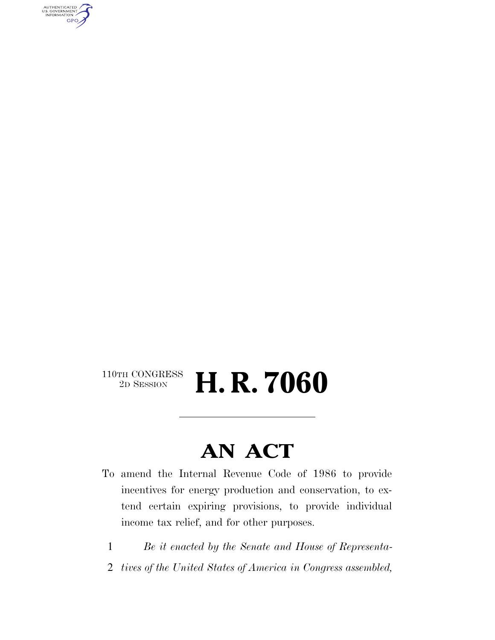AUTHENTICATED<br>U.S. GOVERNMENT<br>INFORMATION **GPO** 

# $\begin{array}{c} \textbf{110TH CONGRESS} \\ \textbf{2D SESION} \end{array}$ 2D SESSION **H. R. 7060**

# **AN ACT**

- To amend the Internal Revenue Code of 1986 to provide incentives for energy production and conservation, to extend certain expiring provisions, to provide individual income tax relief, and for other purposes.
	- 1 *Be it enacted by the Senate and House of Representa-*
	- 2 *tives of the United States of America in Congress assembled,*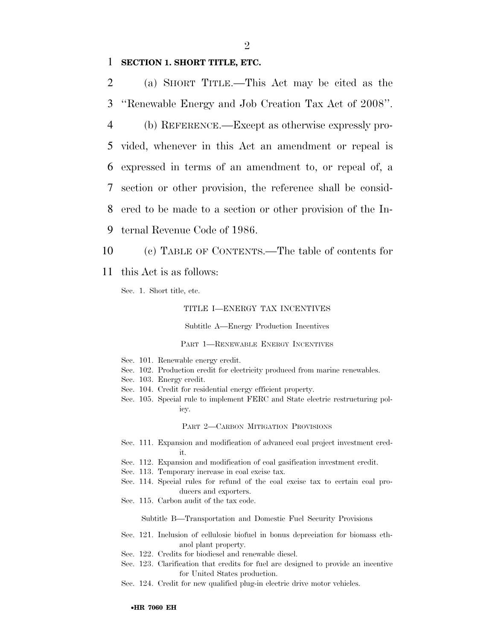# 1 **SECTION 1. SHORT TITLE, ETC.**

2 (a) SHORT TITLE.—This Act may be cited as the 3 ''Renewable Energy and Job Creation Tax Act of 2008''.

 (b) REFERENCE.—Except as otherwise expressly pro- vided, whenever in this Act an amendment or repeal is expressed in terms of an amendment to, or repeal of, a section or other provision, the reference shall be consid- ered to be made to a section or other provision of the In-ternal Revenue Code of 1986.

10 (c) TABLE OF CONTENTS.—The table of contents for

11 this Act is as follows:

Sec. 1. Short title, etc.

## TITLE I—ENERGY TAX INCENTIVES

Subtitle A—Energy Production Incentives

PART 1—RENEWABLE ENERGY INCENTIVES

- Sec. 101. Renewable energy credit.
- Sec. 102. Production credit for electricity produced from marine renewables.
- Sec. 103. Energy credit.
- Sec. 104. Credit for residential energy efficient property.
- Sec. 105. Special rule to implement FERC and State electric restructuring policy.

PART 2—CARBON MITIGATION PROVISIONS

- Sec. 111. Expansion and modification of advanced coal project investment credit.
- Sec. 112. Expansion and modification of coal gasification investment credit.
- Sec. 113. Temporary increase in coal excise tax.
- Sec. 114. Special rules for refund of the coal excise tax to certain coal producers and exporters.
- Sec. 115. Carbon audit of the tax code.

Subtitle B—Transportation and Domestic Fuel Security Provisions

- Sec. 121. Inclusion of cellulosic biofuel in bonus depreciation for biomass ethanol plant property.
- Sec. 122. Credits for biodiesel and renewable diesel.
- Sec. 123. Clarification that credits for fuel are designed to provide an incentive for United States production.
- Sec. 124. Credit for new qualified plug-in electric drive motor vehicles.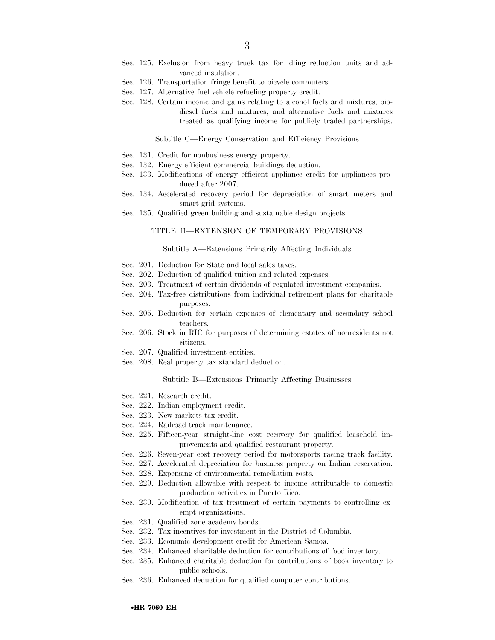- Sec. 125. Exclusion from heavy truck tax for idling reduction units and advanced insulation.
- Sec. 126. Transportation fringe benefit to bicycle commuters.
- Sec. 127. Alternative fuel vehicle refueling property credit.
- Sec. 128. Certain income and gains relating to alcohol fuels and mixtures, biodiesel fuels and mixtures, and alternative fuels and mixtures treated as qualifying income for publicly traded partnerships.

#### Subtitle C—Energy Conservation and Efficiency Provisions

- Sec. 131. Credit for nonbusiness energy property.
- Sec. 132. Energy efficient commercial buildings deduction.
- Sec. 133. Modifications of energy efficient appliance credit for appliances produced after 2007.
- Sec. 134. Accelerated recovery period for depreciation of smart meters and smart grid systems.
- Sec. 135. Qualified green building and sustainable design projects.

## TITLE II—EXTENSION OF TEMPORARY PROVISIONS

#### Subtitle A—Extensions Primarily Affecting Individuals

- Sec. 201. Deduction for State and local sales taxes.
- Sec. 202. Deduction of qualified tuition and related expenses.
- Sec. 203. Treatment of certain dividends of regulated investment companies.
- Sec. 204. Tax-free distributions from individual retirement plans for charitable purposes.
- Sec. 205. Deduction for certain expenses of elementary and secondary school teachers.
- Sec. 206. Stock in RIC for purposes of determining estates of nonresidents not citizens.
- Sec. 207. Qualified investment entities.
- Sec. 208. Real property tax standard deduction.

#### Subtitle B—Extensions Primarily Affecting Businesses

- Sec. 221. Research credit.
- Sec. 222. Indian employment credit.
- Sec. 223. New markets tax credit.
- Sec. 224. Railroad track maintenance.
- Sec. 225. Fifteen-year straight-line cost recovery for qualified leasehold improvements and qualified restaurant property.
- Sec. 226. Seven-year cost recovery period for motorsports racing track facility.
- Sec. 227. Accelerated depreciation for business property on Indian reservation.
- Sec. 228. Expensing of environmental remediation costs.
- Sec. 229. Deduction allowable with respect to income attributable to domestic production activities in Puerto Rico.
- Sec. 230. Modification of tax treatment of certain payments to controlling exempt organizations.
- Sec. 231. Qualified zone academy bonds.
- Sec. 232. Tax incentives for investment in the District of Columbia.
- Sec. 233. Economic development credit for American Samoa.
- Sec. 234. Enhanced charitable deduction for contributions of food inventory.
- Sec. 235. Enhanced charitable deduction for contributions of book inventory to public schools.
- Sec. 236. Enhanced deduction for qualified computer contributions.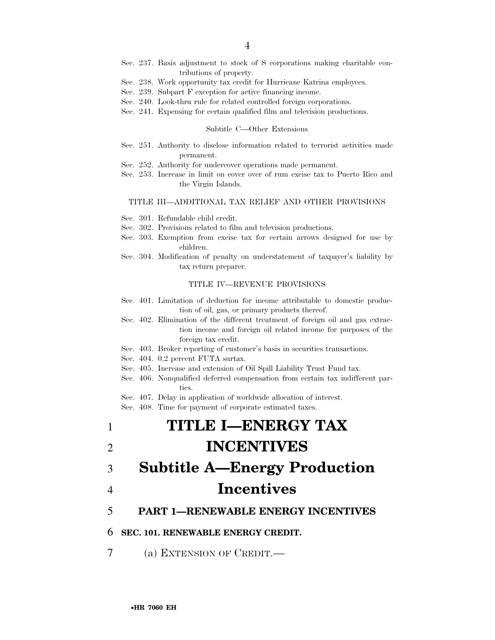- Sec. 237. Basis adjustment to stock of S corporations making charitable contributions of property.
- Sec. 238. Work opportunity tax credit for Hurricane Katrina employees.
- Sec. 239. Subpart F exception for active financing income.
- Sec. 240. Look-thru rule for related controlled foreign corporations.
- Sec. 241. Expensing for certain qualified film and television productions.

#### Subtitle C—Other Extensions

- Sec. 251. Authority to disclose information related to terrorist activities made permanent.
- Sec. 252. Authority for undercover operations made permanent.
- Sec. 253. Increase in limit on cover over of rum excise tax to Puerto Rico and the Virgin Islands.

## TITLE III—ADDITIONAL TAX RELIEF AND OTHER PROVISIONS

- Sec. 301. Refundable child credit.
- Sec. 302. Provisions related to film and television productions.
- Sec. 303. Exemption from excise tax for certain arrows designed for use by children.
- Sec. 304. Modification of penalty on understatement of taxpayer's liability by tax return preparer.

### TITLE IV—REVENUE PROVISIONS

- Sec. 401. Limitation of deduction for income attributable to domestic production of oil, gas, or primary products thereof.
- Sec. 402. Elimination of the different treatment of foreign oil and gas extraction income and foreign oil related income for purposes of the foreign tax credit.
- Sec. 403. Broker reporting of customer's basis in securities transactions.
- Sec. 404. 0.2 percent FUTA surtax.
- Sec. 405. Increase and extension of Oil Spill Liability Trust Fund tax.
- Sec. 406. Nonqualified deferred compensation from certain tax indifferent parties.
- Sec. 407. Delay in application of worldwide allocation of interest.

Sec. 408. Time for payment of corporate estimated taxes.

# 1 **TITLE I—ENERGY TAX**  2 **INCENTIVES**

# 3 **Subtitle A—Energy Production**  4 **Incentives**

# 5 **PART 1—RENEWABLE ENERGY INCENTIVES**

## 6 **SEC. 101. RENEWABLE ENERGY CREDIT.**

7 (a) EXTENSION OF CREDIT.—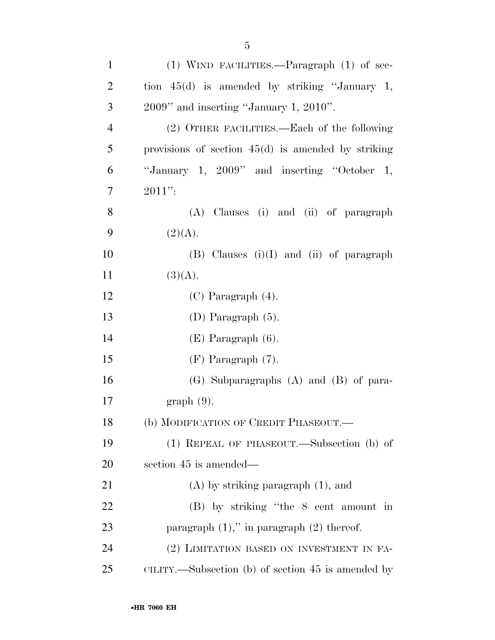| $\mathbf{1}$   | $(1)$ WIND FACILITIES.—Paragraph $(1)$ of sec-       |
|----------------|------------------------------------------------------|
| $\overline{2}$ | tion $45(d)$ is amended by striking "January 1,      |
| 3              | $2009$ " and inserting "January 1, $2010$ ".         |
| $\overline{4}$ | (2) OTHER FACILITIES.—Each of the following          |
| 5              | provisions of section $45(d)$ is amended by striking |
| 6              | "January 1, $2009$ " and inserting "October 1,       |
| $\overline{7}$ | $2011$ ":                                            |
| 8              | (A) Clauses (i) and (ii) of paragraph                |
| 9              | (2)(A).                                              |
| 10             | $(B)$ Clauses $(i)(I)$ and $(ii)$ of paragraph       |
| 11             | (3)(A).                                              |
| 12             | $(C)$ Paragraph $(4)$ .                              |
| 13             | (D) Paragraph $(5)$ .                                |
| 14             | $(E)$ Paragraph $(6)$ .                              |
| 15             | $(F)$ Paragraph $(7)$ .                              |
| 16             | $(G)$ Subparagraphs $(A)$ and $(B)$ of para-         |
| 17             | $graph(9)$ .                                         |
| 18             | (b) MODIFICATION OF CREDIT PHASEOUT.                 |
| 19             | (1) REPEAL OF PHASEOUT.—Subsection (b) of            |
| 20             | section 45 is amended—                               |
| 21             | $(A)$ by striking paragraph $(1)$ , and              |
| 22             | (B) by striking "the 8 cent amount in                |
| 23             | paragraph $(1)$ ," in paragraph $(2)$ thereof.       |
| 24             | (2) LIMITATION BASED ON INVESTMENT IN FA-            |
| 25             | CILITY.—Subsection (b) of section 45 is amended by   |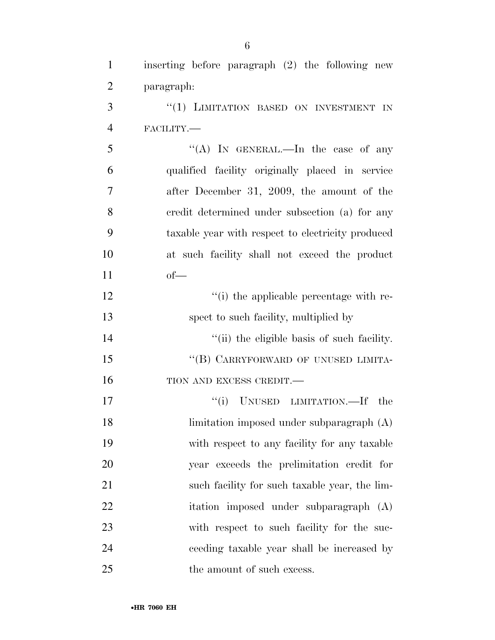| $\mathbf{1}$   | inserting before paragraph $(2)$ the following new |
|----------------|----------------------------------------------------|
| $\overline{2}$ | paragraph:                                         |
| 3              | "(1) LIMITATION BASED ON INVESTMENT IN             |
| $\overline{4}$ | FACILITY.-                                         |
| 5              | "(A) IN GENERAL.—In the case of any                |
| 6              | qualified facility originally placed in service    |
| 7              | after December 31, 2009, the amount of the         |
| 8              | credit determined under subsection (a) for any     |
| 9              | taxable year with respect to electricity produced  |
| 10             | at such facility shall not exceed the product      |
| 11             | $of$ —                                             |
| 12             | "(i) the applicable percentage with re-            |
| 13             | spect to such facility, multiplied by              |
| 14             | "(ii) the eligible basis of such facility.         |
| 15             | "(B) CARRYFORWARD OF UNUSED LIMITA-                |
| 16             | TION AND EXCESS CREDIT.                            |
| 17             | UNUSED LIMITATION.—If the<br>``(i)                 |
| 18             | limitation imposed under subparagraph (A)          |
| 19             | with respect to any facility for any taxable       |
| 20             | year exceeds the prelimitation credit for          |
| 21             | such facility for such taxable year, the lim-      |
| 22             | itation imposed under subparagraph (A)             |
| 23             | with respect to such facility for the suc-         |
| 24             | ceeding taxable year shall be increased by         |
| 25             | the amount of such excess.                         |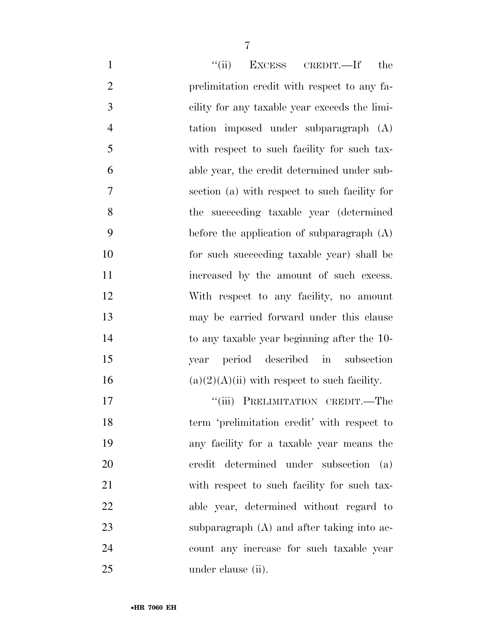| $\mathbf{1}$   | ``(ii)<br>EXCESS CREDIT.—If<br>the             |
|----------------|------------------------------------------------|
| $\overline{2}$ | prelimitation credit with respect to any fa-   |
| 3              | cility for any taxable year exceeds the limi-  |
| $\overline{4}$ | tation imposed under subparagraph (A)          |
| 5              | with respect to such facility for such tax-    |
| 6              | able year, the credit determined under sub-    |
| 7              | section (a) with respect to such facility for  |
| 8              | the succeeding taxable year (determined        |
| 9              | before the application of subparagraph $(A)$   |
| 10             | for such succeeding taxable year) shall be     |
| 11             | increased by the amount of such excess.        |
| 12             | With respect to any facility, no amount        |
| 13             | may be carried forward under this clause       |
| 14             | to any taxable year beginning after the 10-    |
| 15             | year period described in subsection            |
| 16             | $(a)(2)(A)(ii)$ with respect to such facility. |
| 17             | PRELIMITATION CREDIT.-The<br>``(iii)           |
| 18             | term 'prelimitation credit' with respect to    |
| 19             | any facility for a taxable year means the      |
| 20             | credit determined under subsection<br>(a)      |
| 21             | with respect to such facility for such tax-    |
| 22             | able year, determined without regard to        |
| 23             | subparagraph $(A)$ and after taking into ac-   |
| 24             | count any increase for such taxable year       |
| 25             | under clause (ii).                             |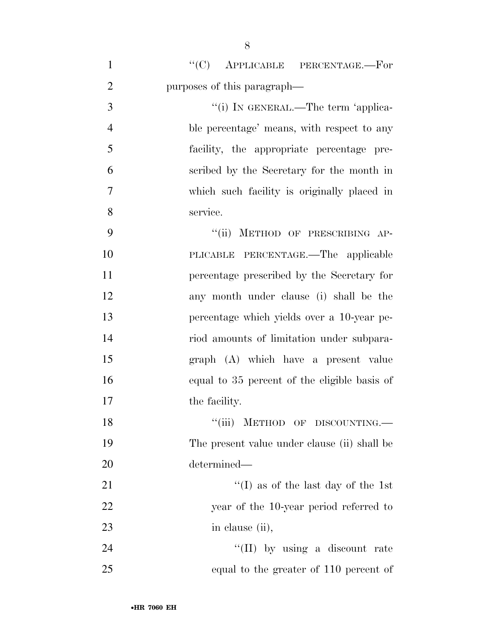| $\mathbf{1}$   | $"$ (C) APPLICABLE PERCENTAGE.—For              |
|----------------|-------------------------------------------------|
| $\overline{2}$ | purposes of this paragraph—                     |
| 3              | "(i) IN GENERAL.—The term 'applica-             |
| $\overline{4}$ | ble percentage' means, with respect to any      |
| 5              | facility, the appropriate percentage pre-       |
| 6              | scribed by the Secretary for the month in       |
| $\overline{7}$ | which such facility is originally placed in     |
| 8              | service.                                        |
| 9              | METHOD OF PRESCRIBING AP-<br>$\lq(\mathbf{ii})$ |
| 10             | PLICABLE PERCENTAGE.—The applicable             |
| 11             | percentage prescribed by the Secretary for      |
| 12             | any month under clause (i) shall be the         |
| 13             | percentage which yields over a 10-year pe-      |
| 14             | riod amounts of limitation under subpara-       |
| 15             | graph (A) which have a present value            |
| 16             | equal to 35 percent of the eligible basis of    |
| 17             | the facility.                                   |
| 18             | "(iii) METHOD OF DISCOUNTING.                   |
| 19             | The present value under clause (ii) shall be    |
| 20             | determined—                                     |
| 21             | "(I) as of the last day of the 1st              |
| 22             | year of the 10-year period referred to          |
| 23             | in clause (ii),                                 |
| 24             | "(II) by using a discount rate                  |
| 25             | equal to the greater of 110 percent of          |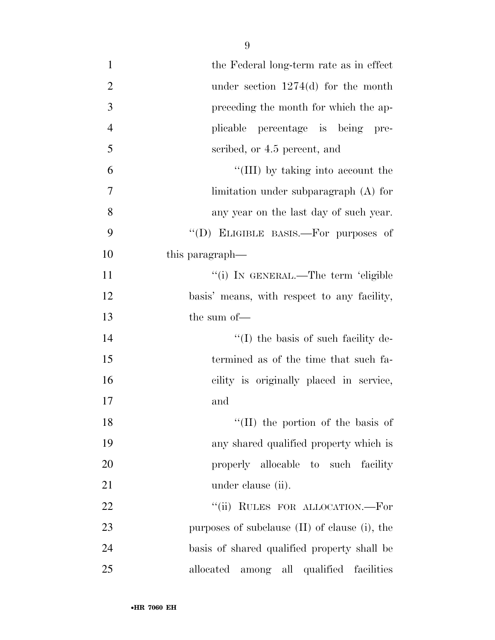| $\mathbf{1}$     | the Federal long-term rate as in effect            |
|------------------|----------------------------------------------------|
| $\overline{2}$   | under section $1274(d)$ for the month              |
| 3                | preceding the month for which the ap-              |
| $\overline{4}$   | plicable percentage is being pre-                  |
| 5                | scribed, or 4.5 percent, and                       |
| 6                | "(III) by taking into account the                  |
| $\boldsymbol{7}$ | limitation under subparagraph $(A)$ for            |
| 8                | any year on the last day of such year.             |
| 9                | "(D) ELIGIBLE BASIS.—For purposes of               |
| 10               | this paragraph—                                    |
| 11               | "(i) IN GENERAL.—The term 'eligible                |
| 12               | basis' means, with respect to any facility,        |
| 13               | the sum of-                                        |
| 14               | $\lq\lq$ (I) the basis of such facility de-        |
| 15               | termined as of the time that such fa-              |
| 16               | cility is originally placed in service,            |
| 17               | and                                                |
| 18               | "(II) the portion of the basis of                  |
| 19               | any shared qualified property which is             |
| 20               | properly allocable to such facility                |
| 21               | under clause (ii).                                 |
| 22               | "(ii) RULES FOR ALLOCATION.—For                    |
| 23               | purposes of subclause $(II)$ of clause $(i)$ , the |
| 24               | basis of shared qualified property shall be        |
| 25               | allocated among all qualified facilities           |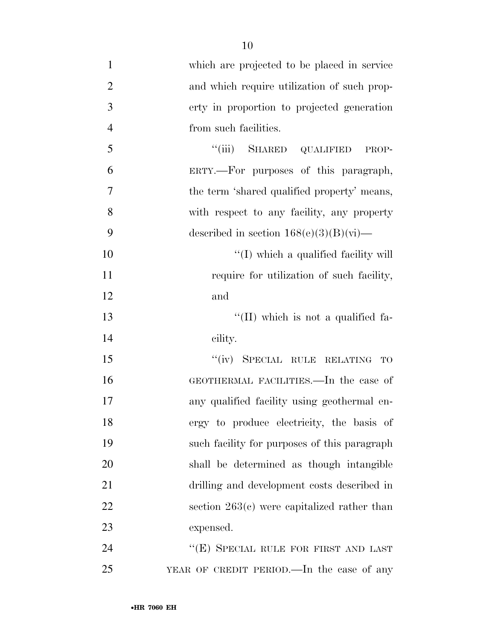| $\mathbf{1}$   | which are projected to be placed in service   |
|----------------|-----------------------------------------------|
| $\overline{2}$ | and which require utilization of such prop-   |
| 3              | erty in proportion to projected generation    |
| $\overline{4}$ | from such facilities.                         |
| 5              | "(iii) SHARED QUALIFIED<br>PROP-              |
| 6              | ERTY.---For purposes of this paragraph,       |
| 7              | the term 'shared qualified property' means,   |
| 8              | with respect to any facility, any property    |
| 9              | described in section $168(e)(3)(B)(vi)$ —     |
| 10             | "(I) which a qualified facility will          |
| 11             | require for utilization of such facility,     |
| 12             | and                                           |
| 13             | "(II) which is not a qualified fa-            |
| 14             | cility.                                       |
| 15             | "(iv) SPECIAL RULE RELATING<br>TO             |
| 16             | GEOTHERMAL FACILITIES.—In the case of         |
| 17             | any qualified facility using geothermal en-   |
| 18             | ergy to produce electricity, the basis of     |
| 19             | such facility for purposes of this paragraph  |
| 20             | shall be determined as though intangible      |
| 21             | drilling and development costs described in   |
| 22             | section $263(c)$ were capitalized rather than |
| 23             | expensed.                                     |
| 24             | "(E) SPECIAL RULE FOR FIRST AND LAST          |
| 25             | YEAR OF CREDIT PERIOD.—In the case of any     |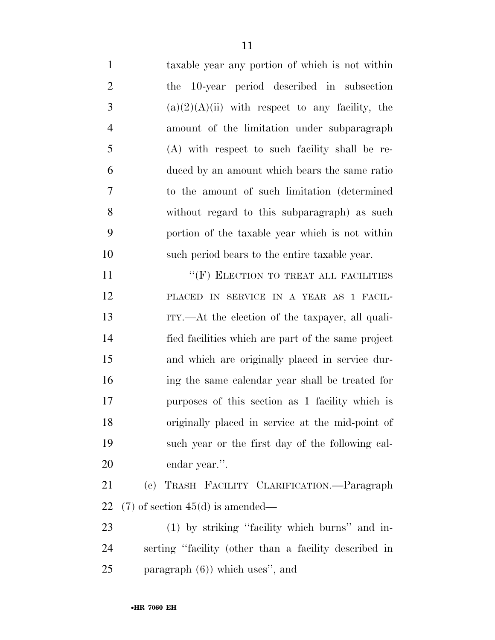| $\mathbf{1}$   | taxable year any portion of which is not within       |
|----------------|-------------------------------------------------------|
| $\overline{2}$ | the 10-year period described in subsection            |
| 3              | $(a)(2)(A)(ii)$ with respect to any facility, the     |
| $\overline{4}$ | amount of the limitation under subparagraph           |
| 5              | (A) with respect to such facility shall be re-        |
| 6              | duced by an amount which bears the same ratio         |
| 7              | to the amount of such limitation (determined)         |
| 8              | without regard to this subparagraph) as such          |
| 9              | portion of the taxable year which is not within       |
| 10             | such period bears to the entire taxable year.         |
| 11             | "(F) ELECTION TO TREAT ALL FACILITIES                 |
| 12             | PLACED IN SERVICE IN A YEAR AS 1 FACIL-               |
| 13             | ITY.—At the election of the taxpayer, all quali-      |
| 14             | fied facilities which are part of the same project    |
| 15             | and which are originally placed in service dur-       |
| 16             | ing the same calendar year shall be treated for       |
| 17             | purposes of this section as 1 facility which is       |
| 18             | originally placed in service at the mid-point of      |
| 19             | such year or the first day of the following cal-      |
| 20             | endar year.".                                         |
| 21             | (c) TRASH FACILITY CLARIFICATION. - Paragraph         |
| 22             | $(7)$ of section 45(d) is amended—                    |
| 23             | (1) by striking "facility which burns" and in-        |
| 24             | serting "facility (other than a facility described in |
| 25             | paragraph $(6)$ ) which uses", and                    |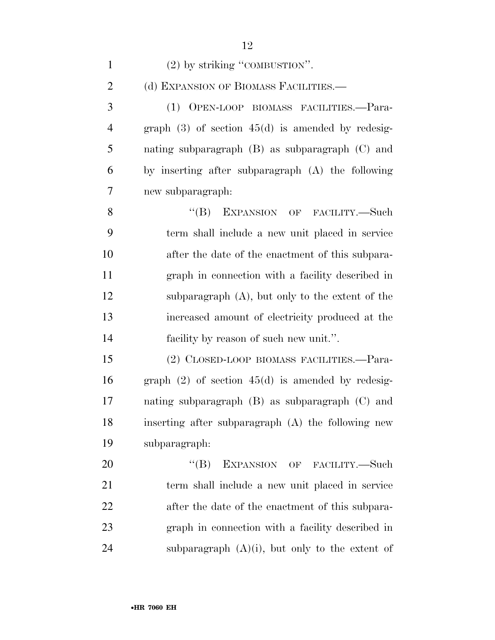| $\mathbf{1}$   | $(2)$ by striking "COMBUSTION".                       |
|----------------|-------------------------------------------------------|
| $\overline{2}$ | (d) EXPANSION OF BIOMASS FACILITIES.—                 |
| 3              | (1) OPEN-LOOP BIOMASS FACILITIES.-Para-               |
| $\overline{4}$ | graph $(3)$ of section $45(d)$ is amended by redesig- |
| 5              | nating subparagraph (B) as subparagraph (C) and       |
| 6              | by inserting after subparagraph (A) the following     |
| 7              | new subparagraph:                                     |
| 8              | $\lq\lq (B)$<br>EXPANSION OF FACILITY.-Such           |
| 9              | term shall include a new unit placed in service       |
| 10             | after the date of the enactment of this subpara-      |
| 11             | graph in connection with a facility described in      |
| 12             | subparagraph $(A)$ , but only to the extent of the    |
| 13             | increased amount of electricity produced at the       |
| 14             | facility by reason of such new unit.".                |
| 15             | (2) CLOSED-LOOP BIOMASS FACILITIES.—Para-             |
| 16             | graph $(2)$ of section $45(d)$ is amended by redesig- |
| 17             | nating subparagraph $(B)$ as subparagraph $(C)$ and   |
| 18             | inserting after subparagraph (A) the following new    |
| 19             | subparagraph:                                         |
| 20             | $\lq\lq (B)$<br>EXPANSION OF FACILITY.-Such           |
| 21             | term shall include a new unit placed in service       |
| 22             | after the date of the enactment of this subpara-      |
| 23             | graph in connection with a facility described in      |
| 24             | subparagraph $(A)(i)$ , but only to the extent of     |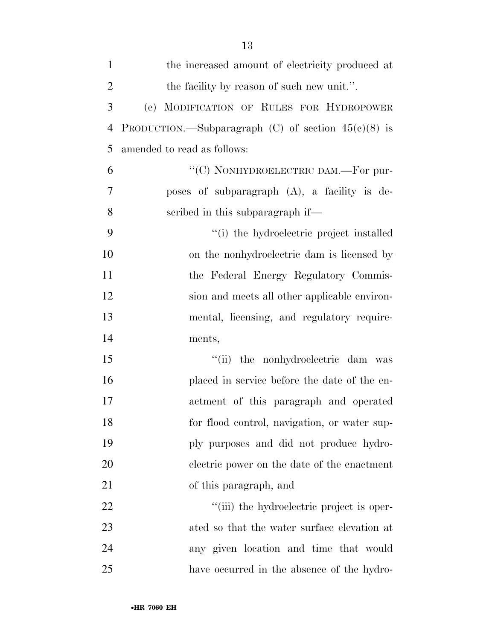| $\mathbf{1}$   | the increased amount of electricity produced at       |
|----------------|-------------------------------------------------------|
| $\overline{2}$ | the facility by reason of such new unit.".            |
| 3              | (e) MODIFICATION OF RULES FOR HYDROPOWER              |
| $\overline{4}$ | PRODUCTION.—Subparagraph (C) of section $45(e)(8)$ is |
| 5              | amended to read as follows:                           |
| 6              | "(C) NONHYDROELECTRIC DAM.—For pur-                   |
| 7              | poses of subparagraph (A), a facility is de-          |
| 8              | scribed in this subparagraph if—                      |
| 9              | "(i) the hydroelectric project installed              |
| 10             | on the nonhydroelectric dam is licensed by            |
| 11             | the Federal Energy Regulatory Commis-                 |
| 12             | sion and meets all other applicable environ-          |
| 13             | mental, licensing, and regulatory require-            |
| 14             | ments,                                                |
| 15             | ``(ii)<br>the nonhydroelectric dam was                |
| 16             | placed in service before the date of the en-          |
| 17             | actment of this paragraph and operated                |
| 18             | for flood control, navigation, or water sup-          |
| 19             | ply purposes and did not produce hydro-               |
| 20             | electric power on the date of the enactment           |
| 21             | of this paragraph, and                                |
| 22             | "(iii) the hydroelectric project is oper-             |
| 23             | ated so that the water surface elevation at           |
| 24             | any given location and time that would                |
| 25             | have occurred in the absence of the hydro-            |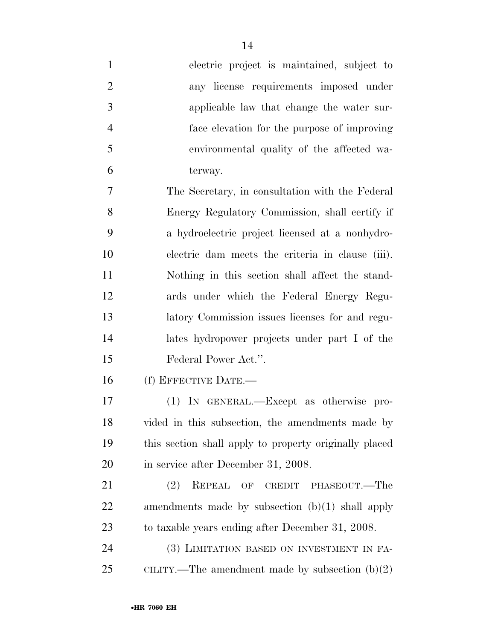| $\mathbf{1}$   | electric project is maintained, subject to             |
|----------------|--------------------------------------------------------|
| $\overline{2}$ | any license requirements imposed under                 |
| 3              | applicable law that change the water sur-              |
| $\overline{4}$ | face elevation for the purpose of improving            |
| 5              | environmental quality of the affected wa-              |
| 6              | terway.                                                |
| $\overline{7}$ | The Secretary, in consultation with the Federal        |
| 8              | Energy Regulatory Commission, shall certify if         |
| 9              | a hydroelectric project licensed at a nonhydro-        |
| 10             | electric dam meets the criteria in clause (iii).       |
| 11             | Nothing in this section shall affect the stand-        |
| 12             | ards under which the Federal Energy Regu-              |
| 13             | latory Commission issues licenses for and regu-        |
| 14             | lates hydropower projects under part I of the          |
| 15             | Federal Power Act.".                                   |
| 16             | (f) EFFECTIVE DATE.-                                   |
| 17             | (1) IN GENERAL.—Except as otherwise pro-               |
| 18             | vided in this subsection, the amendments made by       |
| 19             | this section shall apply to property originally placed |
| 20             | in service after December 31, 2008.                    |
| 21             | REPEAL<br>(2)<br>OF CREDIT PHASEOUT.—The               |
| 22             | amendments made by subsection $(b)(1)$ shall apply     |
| 23             | to taxable years ending after December 31, 2008.       |
| 24             | (3) LIMITATION BASED ON INVESTMENT IN FA-              |
|                |                                                        |

CILITY.—The amendment made by subsection (b)(2)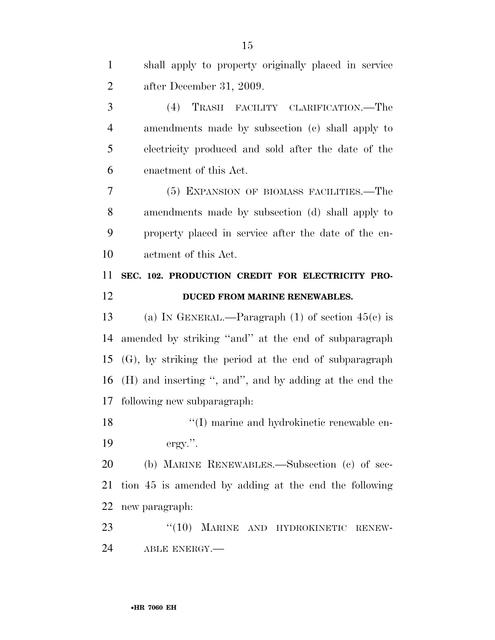| $\mathbf{1}$ | shall apply to property originally placed in service      |
|--------------|-----------------------------------------------------------|
| 2            | after December 31, 2009.                                  |
| 3            | TRASH FACILITY CLARIFICATION.—The<br>(4)                  |
| 4            | amendments made by subsection (c) shall apply to          |
| 5            | electricity produced and sold after the date of the       |
| 6            | enactment of this Act.                                    |
| 7            | (5) EXPANSION OF BIOMASS FACILITIES.—The                  |
| 8            | amendments made by subsection (d) shall apply to          |
| 9            | property placed in service after the date of the en-      |
| 10           | actment of this Act.                                      |
| 11           | SEC. 102. PRODUCTION CREDIT FOR ELECTRICITY PRO-          |
| 12           | DUCED FROM MARINE RENEWABLES.                             |
|              |                                                           |
| 13           | (a) IN GENERAL.—Paragraph $(1)$ of section $45(c)$ is     |
| 14           | amended by striking "and" at the end of subparagraph      |
| 15           | $(G)$ , by striking the period at the end of subparagraph |
| 16           | (H) and inserting ", and", and by adding at the end the   |
| 17           | following new subparagraph.                               |
| 18           | "(I) marine and hydrokinetic renewable en-                |
| 19           | $ergy$ .".                                                |
| 20           | (b) MARINE RENEWABLES.—Subsection (c) of sec-             |
| 21           | tion 45 is amended by adding at the end the following     |
| 22           | new paragraph:                                            |
| 23           | "(10) MARINE AND HYDROKINETIC<br>RENEW-                   |
| 24           | ABLE ENERGY.                                              |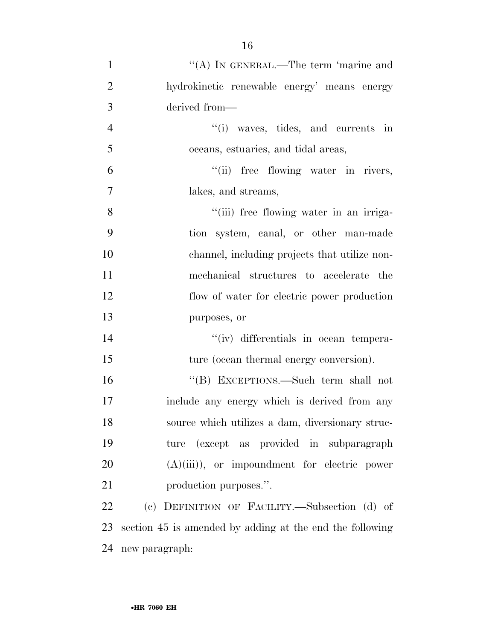| $\mathbf{1}$   | "(A) IN GENERAL.—The term 'marine and                    |
|----------------|----------------------------------------------------------|
| $\overline{2}$ | hydrokinetic renewable energy' means energy              |
| 3              | derived from-                                            |
| $\overline{4}$ | "(i) waves, tides, and currents in                       |
| 5              | oceans, estuaries, and tidal areas,                      |
| 6              | "(ii) free flowing water in rivers,                      |
| $\overline{7}$ | lakes, and streams,                                      |
| 8              | "(iii) free flowing water in an irriga-                  |
| 9              | tion system, canal, or other man-made                    |
| 10             | channel, including projects that utilize non-            |
| 11             | mechanical structures to accelerate the                  |
| 12             | flow of water for electric power production              |
| 13             | purposes, or                                             |
| 14             | "(iv) differentials in ocean tempera-                    |
| 15             | ture (ocean thermal energy conversion).                  |
| 16             | "(B) EXCEPTIONS.—Such term shall not                     |
| 17             | include any energy which is derived from any             |
| 18             | source which utilizes a dam, diversionary struc-         |
| 19             | ture (except as provided in subparagraph                 |
| 20             | $(A)(iii)$ , or impoundment for electric power           |
| 21             | production purposes.".                                   |
| 22             | (c) DEFINITION OF FACILITY.-Subsection (d) of            |
| 23             | section 45 is amended by adding at the end the following |

new paragraph: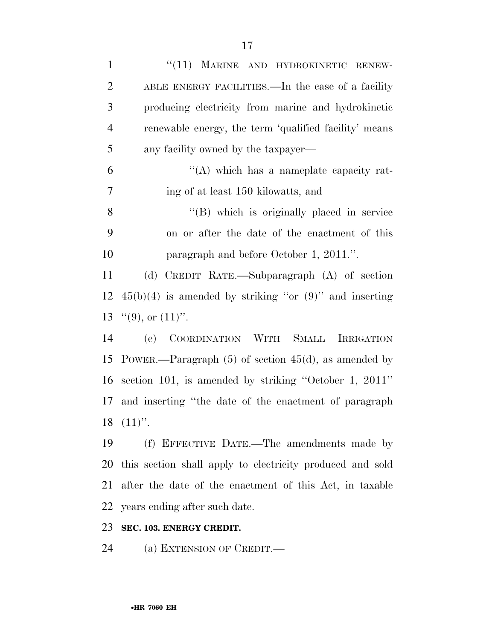| $\mathbf{1}$   | "(11) MARINE AND HYDROKINETIC RENEW-                        |
|----------------|-------------------------------------------------------------|
| $\overline{2}$ | ABLE ENERGY FACILITIES.—In the case of a facility           |
| 3              | producing electricity from marine and hydrokinetic          |
| $\overline{4}$ | renewable energy, the term 'qualified facility' means       |
| 5              | any facility owned by the taxpayer—                         |
| 6              | "(A) which has a nameplate capacity rat-                    |
| 7              | ing of at least 150 kilowatts, and                          |
| 8              | "(B) which is originally placed in service                  |
| 9              | on or after the date of the enactment of this               |
| 10             | paragraph and before October 1, 2011.".                     |
| 11             | (d) CREDIT RATE.—Subparagraph (A) of section                |
| 12             | $45(b)(4)$ is amended by striking "or $(9)$ " and inserting |
| 13             | $``(9),$ or $(11)"$ .                                       |
| 14             | (e) COORDINATION WITH SMALL<br><b>IRRIGATION</b>            |
| 15             | POWER.—Paragraph $(5)$ of section $45(d)$ , as amended by   |
| 16             | section 101, is amended by striking "October 1, $2011"$     |
| 17             | and inserting "the date of the enactment of paragraph       |
|                | $18$ $(11)$ ".                                              |
| 19             | (f) EFFECTIVE DATE.—The amendments made by                  |
| 20             | this section shall apply to electricity produced and sold   |
| 21             | after the date of the enactment of this Act, in taxable     |
| 22             | years ending after such date.                               |
|                |                                                             |

# **SEC. 103. ENERGY CREDIT.**

(a) EXTENSION OF CREDIT.—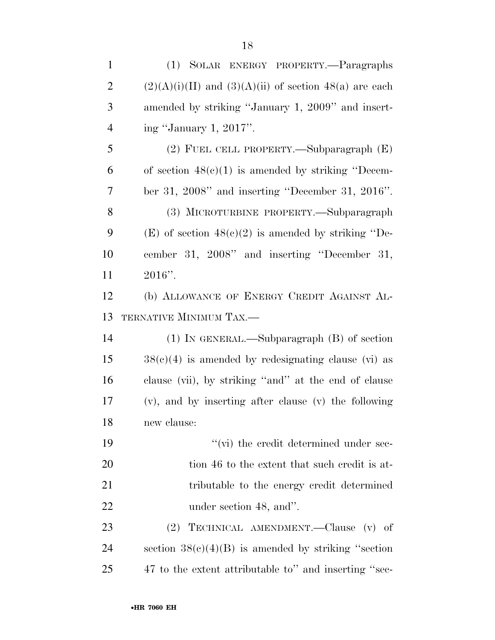| $\mathbf{1}$   | (1) SOLAR ENERGY PROPERTY.-Paragraphs                      |
|----------------|------------------------------------------------------------|
| $\overline{2}$ | $(2)(A)(i)(II)$ and $(3)(A)(ii)$ of section 48(a) are each |
| 3              | amended by striking "January 1, 2009" and insert-          |
| $\overline{4}$ | ing "January 1, 2017".                                     |
| 5              | (2) FUEL CELL PROPERTY.—Subparagraph $(E)$                 |
| 6              | of section $48(c)(1)$ is amended by striking "Decem-       |
| 7              | ber 31, 2008" and inserting "December 31, 2016".           |
| 8              | (3) MICROTURBINE PROPERTY.—Subparagraph                    |
| 9              | (E) of section $48(c)(2)$ is amended by striking "De-      |
| 10             | cember 31, 2008" and inserting "December 31,               |
| 11             | $2016"$ .                                                  |
| 12             | (b) ALLOWANCE OF ENERGY CREDIT AGAINST AL-                 |
| 13             | TERNATIVE MINIMUM TAX.-                                    |
| 14             | $(1)$ In GENERAL.—Subparagraph $(B)$ of section            |
| 15             | $38(c)(4)$ is amended by redesignating clause (vi) as      |
| 16             | clause (vii), by striking "and" at the end of clause       |
| 17             | (v), and by inserting after clause (v) the following       |
| 18             | new clause:                                                |
| 19             | $\lq\lq$ (vi) the credit determined under sec-             |
| 20             | tion 46 to the extent that such credit is at-              |
| 21             | tributable to the energy credit determined                 |
| 22             | under section 48, and".                                    |
| 23             | (2) TECHNICAL AMENDMENT.—Clause (v) of                     |
| 24             | section $38(c)(4)(B)$ is amended by striking "section"     |
| 25             | 47 to the extent attributable to" and inserting "sec-      |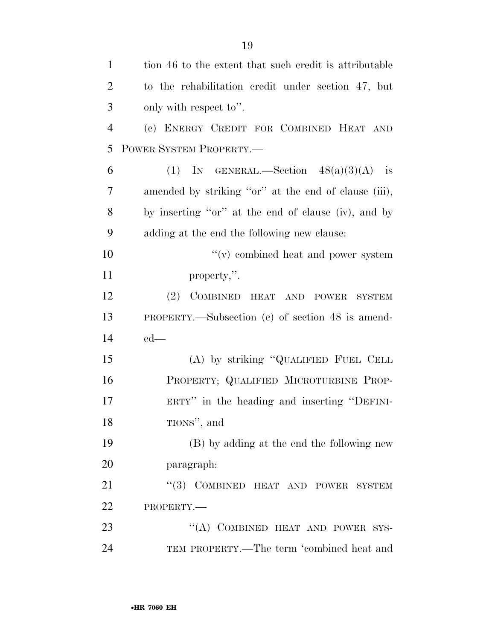| $\mathbf{1}$   | tion 46 to the extent that such credit is attributable |
|----------------|--------------------------------------------------------|
| $\overline{2}$ | to the rehabilitation credit under section 47, but     |
| 3              | only with respect to".                                 |
| $\overline{4}$ | (c) ENERGY CREDIT FOR COMBINED HEAT AND                |
| 5              | POWER SYSTEM PROPERTY.                                 |
| 6              | (1) IN GENERAL.—Section $48(a)(3)(A)$ is               |
| 7              | amended by striking "or" at the end of clause (iii),   |
| 8              | by inserting "or" at the end of clause (iv), and by    |
| 9              | adding at the end the following new clause:            |
| 10             | "(v) combined heat and power system                    |
| 11             | property,".                                            |
| 12             | (2) COMBINED HEAT AND POWER SYSTEM                     |
| 13             | PROPERTY.—Subsection (c) of section 48 is amend-       |
| 14             | $ed$ —                                                 |
| 15             | (A) by striking "QUALIFIED FUEL CELL                   |
| 16             | PROPERTY; QUALIFIED MICROTURBINE PROP-                 |
| 17             | ERTY" in the heading and inserting "DEFINI-            |
| 18             | TIONS", and                                            |
| 19             | (B) by adding at the end the following new             |
| 20             | paragraph:                                             |
| 21             | "(3) COMBINED HEAT AND POWER SYSTEM                    |
| 22             | PROPERTY.-                                             |
| 23             | "(A) COMBINED HEAT AND POWER SYS-                      |
| 24             | TEM PROPERTY.—The term 'combined heat and              |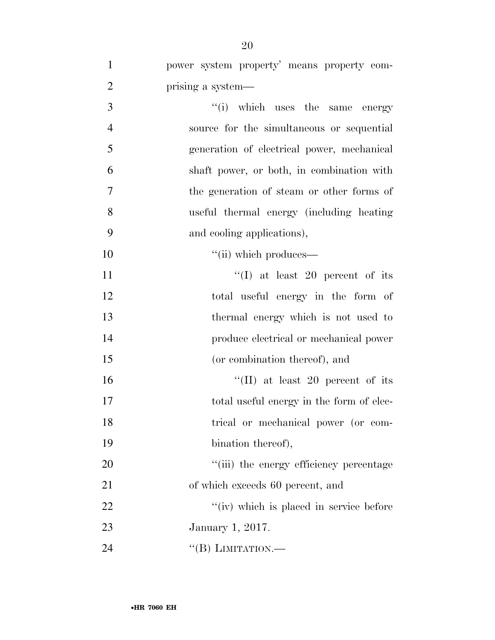| $\mathbf{1}$   | power system property' means property com- |
|----------------|--------------------------------------------|
| $\overline{2}$ | prising a system—                          |
| 3              | "(i) which uses the same energy            |
| $\overline{4}$ | source for the simultaneous or sequential  |
| $\mathfrak{S}$ | generation of electrical power, mechanical |
| 6              | shaft power, or both, in combination with  |
| $\tau$         | the generation of steam or other forms of  |
| 8              | useful thermal energy (including heating   |
| 9              | and cooling applications),                 |
| 10             | "(ii) which produces—                      |
| 11             | "(I) at least 20 percent of its            |
| 12             | total useful energy in the form of         |
| 13             | thermal energy which is not used to        |
| 14             | produce electrical or mechanical power     |
| 15             | (or combination thereof), and              |
| 16             | "(II) at least 20 percent of its           |
| 17             | total useful energy in the form of elec-   |
| 18             | trical or mechanical power (or com-        |
| 19             | bination thereof),                         |
| 20             | "(iii) the energy efficiency percentage    |
| 21             | of which exceeds 60 percent, and           |
| 22             | "(iv) which is placed in service before    |
| 23             | January 1, 2017.                           |
| 24             | "(B) LIMITATION.—                          |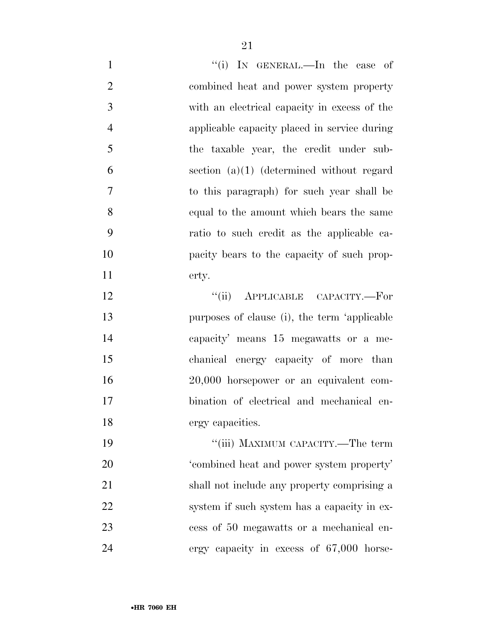| $\mathbf{1}$   | "(i) IN GENERAL.—In the case of              |
|----------------|----------------------------------------------|
| $\overline{2}$ | combined heat and power system property      |
| 3              | with an electrical capacity in excess of the |
| $\overline{4}$ | applicable capacity placed in service during |
| 5              | the taxable year, the credit under sub-      |
| 6              | section $(a)(1)$ (determined without regard  |
| 7              | to this paragraph) for such year shall be    |
| 8              | equal to the amount which bears the same     |
| 9              | ratio to such credit as the applicable ca-   |
| 10             | pacity bears to the capacity of such prop-   |
| 11             | erty.                                        |
| 12             | APPLICABLE CAPACITY.-For<br>``(ii)           |
| 13             | purposes of clause (i), the term 'applicable |
| 14             | capacity' means 15 megawatts or a me-        |
| 15             | chanical energy capacity of more than        |
| 16             | 20,000 horsepower or an equivalent com-      |
| 17             | bination of electrical and mechanical en-    |
| 18             | ergy capacities.                             |
| 19             | "(iii) MAXIMUM CAPACITY.—The term            |
| 20             | 'combined heat and power system property'    |
| 21             | shall not include any property comprising a  |
| 22             | system if such system has a capacity in ex-  |
| 23             | cess of 50 megawatts or a mechanical en-     |
| 24             | ergy capacity in excess of 67,000 horse-     |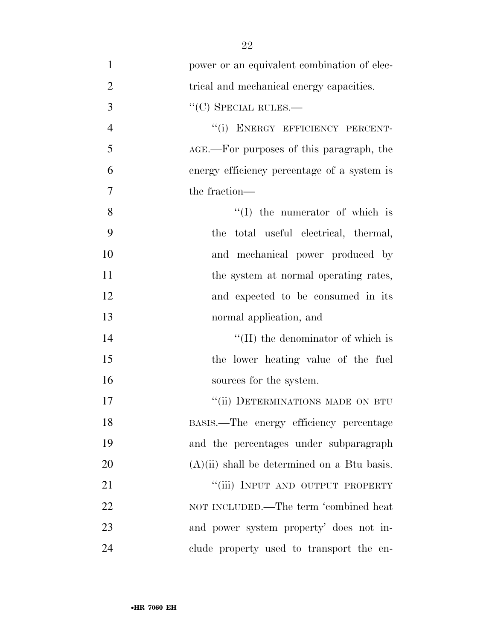| $\mathbf{1}$   | power or an equivalent combination of elec-   |
|----------------|-----------------------------------------------|
| $\overline{2}$ | trical and mechanical energy capacities.      |
| 3              | $``(C)$ SPECIAL RULES.—                       |
| $\overline{4}$ | "(i) ENERGY EFFICIENCY PERCENT-               |
| 5              | AGE.—For purposes of this paragraph, the      |
| 6              | energy efficiency percentage of a system is   |
| $\overline{7}$ | the fraction—                                 |
| 8              | $\lq\lq$ (I) the numerator of which is        |
| 9              | the total useful electrical, thermal,         |
| 10             | and mechanical power produced by              |
| 11             | the system at normal operating rates,         |
| 12             | and expected to be consumed in its            |
| 13             | normal application, and                       |
| 14             | $\lq\lq$ (II) the denominator of which is     |
| 15             | the lower heating value of the fuel           |
| 16             | sources for the system.                       |
| 17             | "(ii) DETERMINATIONS MADE ON BTU              |
| 18             | BASIS.—The energy efficiency percentage       |
| 19             | and the percentages under subparagraph        |
| 20             | $(A)(ii)$ shall be determined on a Btu basis. |
| 21             | "(iii) INPUT AND OUTPUT PROPERTY              |
| 22             | NOT INCLUDED.—The term 'combined heat         |
| 23             | and power system property' does not in-       |
| 24             | clude property used to transport the en-      |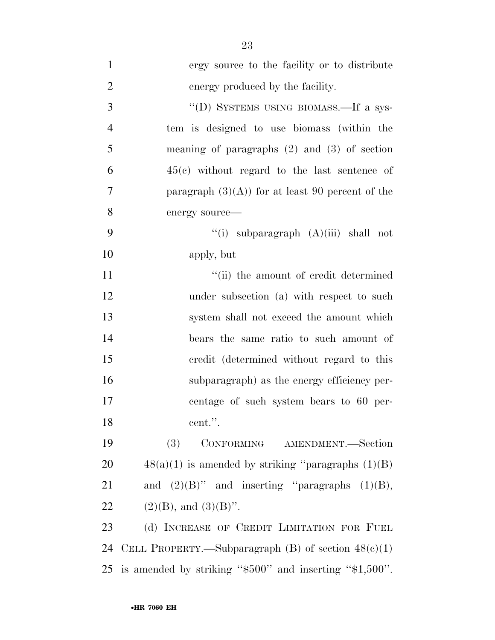ergy source to the facility or to distribute energy produced by the facility. 3 "(D) SYSTEMS USING BIOMASS.—If a sys- tem is designed to use biomass (within the meaning of paragraphs (2) and (3) of section 45(c) without regard to the last sentence of 7 paragraph  $(3)(A)$  for at least 90 percent of the energy source—  $\frac{1}{1}$  subparagraph  $(A)(iii)$  shall not apply, but 11 ''(ii) the amount of credit determined 12 under subsection (a) with respect to such system shall not exceed the amount which bears the same ratio to such amount of credit (determined without regard to this subparagraph) as the energy efficiency per- centage of such system bears to 60 per- cent.''. (3) CONFORMING AMENDMENT.—Section  $48(a)(1)$  is amended by striking "paragraphs  $(1)(B)$ 21 and  $(2)(B)$ " and inserting "paragraphs  $(1)(B)$ , 22 (2)(B), and  $(3)(B)$ ". 23 (d) INCREASE OF CREDIT LIMITATION FOR FUEL

24 CELL PROPERTY.—Subparagraph  $(B)$  of section  $48(e)(1)$ 25 is amended by striking ''\$500'' and inserting ''\$1,500''.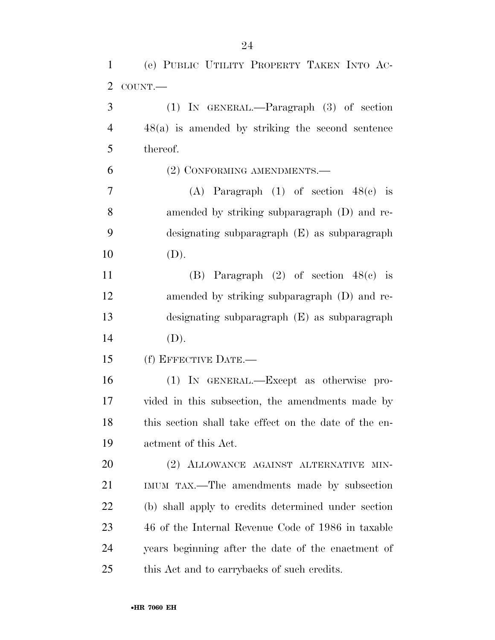| $\mathbf{1}$   | (e) PUBLIC UTILITY PROPERTY TAKEN INTO AC-            |
|----------------|-------------------------------------------------------|
| $\overline{2}$ | COUNT.                                                |
| 3              | $(1)$ IN GENERAL.—Paragraph $(3)$ of section          |
| $\overline{4}$ | $48(a)$ is amended by striking the second sentence    |
| 5              | thereof.                                              |
| 6              | (2) CONFORMING AMENDMENTS.-                           |
| $\tau$         | (A) Paragraph $(1)$ of section $48(e)$ is             |
| 8              | amended by striking subparagraph (D) and re-          |
| 9              | designating subparagraph (E) as subparagraph          |
| 10             | (D).                                                  |
| 11             | (B) Paragraph $(2)$ of section $48(e)$ is             |
| 12             | amended by striking subparagraph (D) and re-          |
| 13             | designating subparagraph (E) as subparagraph          |
| 14             | (D).                                                  |
| 15             | (f) EFFECTIVE DATE.-                                  |
| 16             | (1) IN GENERAL.—Except as otherwise pro-              |
| 17             | vided in this subsection, the amendments made by      |
| 18             | this section shall take effect on the date of the en- |
| 19             | actment of this Act.                                  |
| 20             | (2) ALLOWANCE AGAINST ALTERNATIVE MIN-                |
| 21             | IMUM TAX.—The amendments made by subsection           |
| 22             | (b) shall apply to credits determined under section   |
| 23             | 46 of the Internal Revenue Code of 1986 in taxable    |
| 24             | years beginning after the date of the enactment of    |
| 25             | this Act and to carrybacks of such credits.           |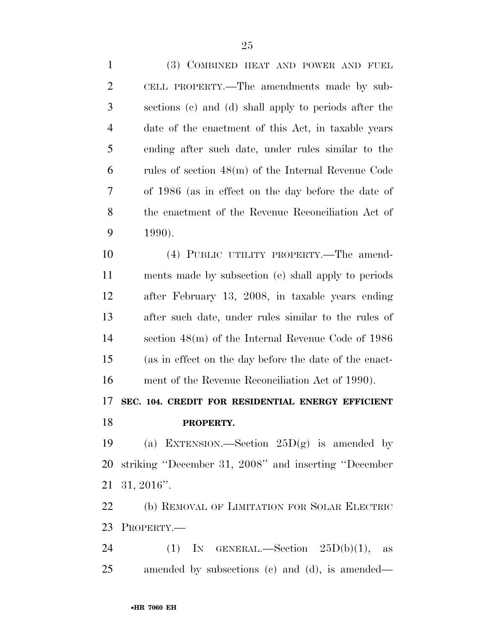(3) COMBINED HEAT AND POWER AND FUEL CELL PROPERTY.—The amendments made by sub- sections (c) and (d) shall apply to periods after the date of the enactment of this Act, in taxable years ending after such date, under rules similar to the rules of section 48(m) of the Internal Revenue Code of 1986 (as in effect on the day before the date of the enactment of the Revenue Reconciliation Act of 1990). (4) PUBLIC UTILITY PROPERTY.—The amend- ments made by subsection (e) shall apply to periods after February 13, 2008, in taxable years ending after such date, under rules similar to the rules of section 48(m) of the Internal Revenue Code of 1986 (as in effect on the day before the date of the enact- ment of the Revenue Reconciliation Act of 1990). **SEC. 104. CREDIT FOR RESIDENTIAL ENERGY EFFICIENT PROPERTY.**  19 (a) EXTENSION.—Section  $25D(g)$  is amended by striking ''December 31, 2008'' and inserting ''December 31, 2016''. (b) REMOVAL OF LIMITATION FOR SOLAR ELECTRIC PROPERTY.— 24 (1) IN GENERAL.—Section  $25D(b)(1)$ , as

amended by subsections (c) and (d), is amended—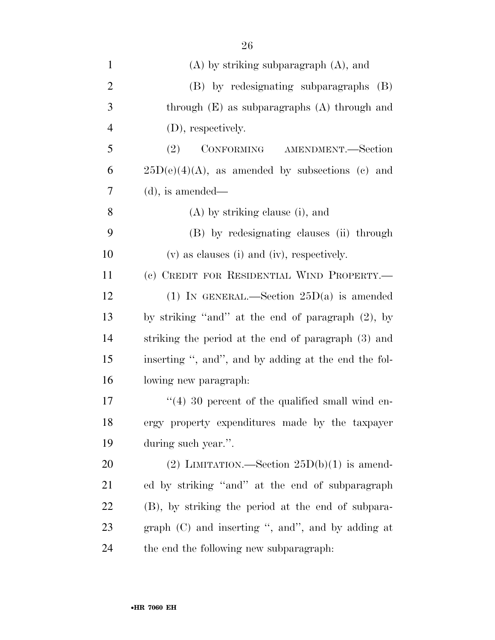| $\mathbf{1}$   | $(A)$ by striking subparagraph $(A)$ , and             |
|----------------|--------------------------------------------------------|
| $\overline{2}$ | (B) by redesignating subparagraphs (B)                 |
| 3              | through $(E)$ as subparagraphs $(A)$ through and       |
| $\overline{4}$ | (D), respectively.                                     |
| 5              | CONFORMING AMENDMENT.—Section<br>(2)                   |
| 6              | $25D(e)(4)(A)$ , as amended by subsections (c) and     |
| 7              | $(d)$ , is amended—                                    |
| 8              | (A) by striking clause (i), and                        |
| 9              | (B) by redesignating clauses (ii) through              |
| 10             | (v) as clauses (i) and (iv), respectively.             |
| 11             | (c) CREDIT FOR RESIDENTIAL WIND PROPERTY.—             |
| 12             | (1) IN GENERAL.—Section $25D(a)$ is amended            |
| 13             | by striking "and" at the end of paragraph (2), by      |
| 14             | striking the period at the end of paragraph (3) and    |
| 15             | inserting ", and", and by adding at the end the fol-   |
| 16             | lowing new paragraph.                                  |
| 17             | $\cdot$ (4) 30 percent of the qualified small wind en- |
| 18             | ergy property expenditures made by the taxpayer        |
| 19             | during such year.".                                    |
| 20             | (2) LIMITATION.—Section $25D(b)(1)$ is amend-          |
| 21             | ed by striking "and" at the end of subparagraph        |
| 22             | (B), by striking the period at the end of subpara-     |
| 23             | graph $(C)$ and inserting ", and", and by adding at    |
| 24             | the end the following new subparagraph:                |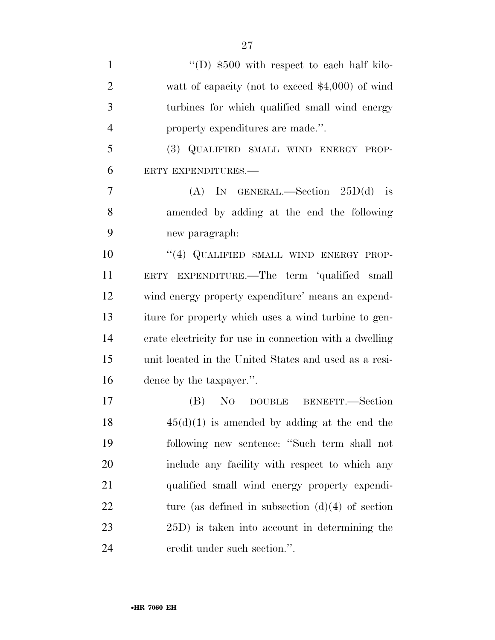| $\mathbf{1}$   | $\lq\lq$ (D) \$500 with respect to each half kilo-      |
|----------------|---------------------------------------------------------|
| $\overline{2}$ | watt of capacity (not to exceed $$4,000$ ) of wind      |
| 3              | turbines for which qualified small wind energy          |
| $\overline{4}$ | property expenditures are made.".                       |
| 5              | (3) QUALIFIED SMALL WIND ENERGY PROP-                   |
| 6              | ERTY EXPENDITURES.-                                     |
| 7              | (A) IN GENERAL.—Section $25D(d)$ is                     |
| 8              | amended by adding at the end the following              |
| 9              | new paragraph:                                          |
| 10             | "(4) QUALIFIED SMALL WIND ENERGY PROP-                  |
| 11             | ERTY EXPENDITURE.—The term 'qualified small             |
| 12             | wind energy property expenditure' means an expend-      |
| 13             | iture for property which uses a wind turbine to gen-    |
| 14             | erate electricity for use in connection with a dwelling |
| 15             | unit located in the United States and used as a resi-   |
| 16             | dence by the taxpayer.".                                |
| 17             | (B)<br>NO DOUBLE<br>BENEFIT.—Section                    |
| 18             | $45(d)(1)$ is amended by adding at the end the          |
| 19             | following new sentence: "Such term shall not            |
| 20             | include any facility with respect to which any          |
| 21             | qualified small wind energy property expendi-           |
| <u>22</u>      | ture (as defined in subsection $(d)(4)$ of section      |
| 23             | 25D) is taken into account in determining the           |
| 24             | credit under such section.".                            |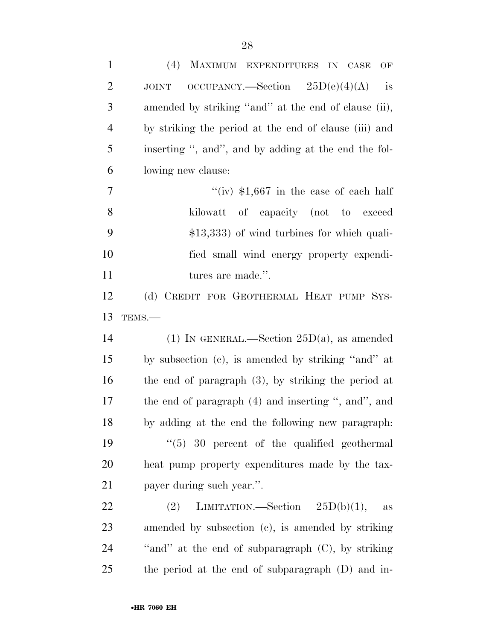| $\mathbf{1}$   | (4) MAXIMUM EXPENDITURES IN CASE<br>$\mathrm{OF}% \left( \mathcal{N}\right)$ |
|----------------|------------------------------------------------------------------------------|
| $\overline{2}$ | $OCCUPANCY. - Section 25D(e)(4)(A)$<br>is<br><b>JOINT</b>                    |
| 3              | amended by striking "and" at the end of clause (ii),                         |
| $\overline{4}$ | by striking the period at the end of clause (iii) and                        |
| 5              | inserting ", and", and by adding at the end the fol-                         |
| 6              | lowing new clause:                                                           |
| 7              | "(iv) $$1,667$ in the case of each half                                      |
| 8              | kilowatt of capacity (not to exceed                                          |
| 9              | $$13,333$ of wind turbines for which quali-                                  |
| 10             | fied small wind energy property expendi-                                     |
| 11             | tures are made.".                                                            |
| 12             | (d) CREDIT FOR GEOTHERMAL HEAT PUMP SYS-                                     |
| 13             | TEMS.-                                                                       |
| 14             | (1) IN GENERAL.—Section $25D(a)$ , as amended                                |
| 15             | by subsection (c), is amended by striking "and" at                           |
| 16             | the end of paragraph $(3)$ , by striking the period at                       |
| 17             | the end of paragraph (4) and inserting ", and", and                          |
| 18             | by adding at the end the following new paragraph.                            |
| 19             | $\degree$ (5) 30 percent of the qualified geothermal                         |
| 20             | heat pump property expenditures made by the tax-                             |
| 21             | payer during such year.".                                                    |
| 22             | LIMITATION.—Section $25D(b)(1)$ ,<br>(2)<br>$\rm as$                         |
| 23             | amended by subsection (c), is amended by striking                            |
| 24             | "and" at the end of subparagraph $(C)$ , by striking                         |
| 25             |                                                                              |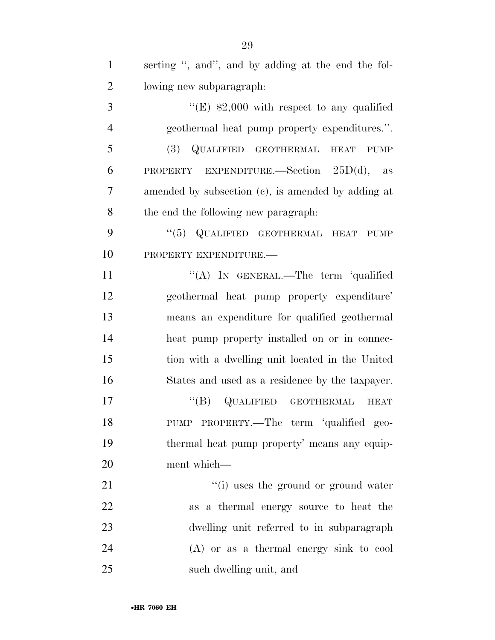| $\mathbf{1}$   | serting ", and", and by adding at the end the fol- |
|----------------|----------------------------------------------------|
| $\overline{2}$ | lowing new subparagraph.                           |
| 3              | "(E) $$2,000$ with respect to any qualified        |
| $\overline{4}$ | geothermal heat pump property expenditures.".      |
| 5              | (3) QUALIFIED GEOTHERMAL<br><b>HEAT</b><br>PUMP    |
| 6              | PROPERTY EXPENDITURE.—Section $25D(d)$ , as        |
| 7              | amended by subsection (c), is amended by adding at |
| 8              | the end the following new paragraph.               |
| 9              | "(5) QUALIFIED GEOTHERMAL HEAT PUMP                |
| 10             | PROPERTY EXPENDITURE.                              |
| 11             | "(A) IN GENERAL.—The term 'qualified               |
| 12             | geothermal heat pump property expenditure'         |
| 13             | means an expenditure for qualified geothermal      |
| 14             | heat pump property installed on or in connec-      |
| 15             | tion with a dwelling unit located in the United    |
| 16             | States and used as a residence by the taxpayer.    |
| 17             | $\lq\lq (B)$ QUALIFIED GEOTHERMAL<br><b>HEAT</b>   |
| 18             | PUMP PROPERTY.—The term 'qualified geo-            |
| 19             | thermal heat pump property' means any equip-       |
| 20             | ment which-                                        |
| 21             | "(i) uses the ground or ground water               |
| 22             | as a thermal energy source to heat the             |
| 23             | dwelling unit referred to in subparagraph          |
| 24             | $(A)$ or as a thermal energy sink to cool          |
| 25             | such dwelling unit, and                            |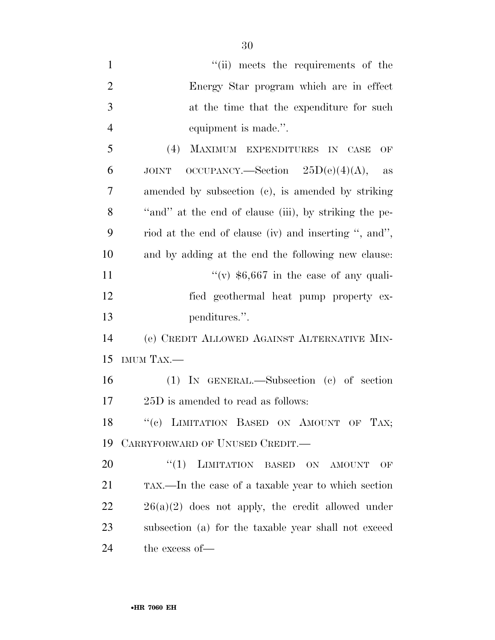| $\mathbf{1}$   | "(ii) meets the requirements of the                       |
|----------------|-----------------------------------------------------------|
| $\overline{2}$ | Energy Star program which are in effect                   |
| 3              | at the time that the expenditure for such                 |
| $\overline{4}$ | equipment is made.".                                      |
| 5              | (4)<br>MAXIMUM EXPENDITURES IN CASE<br>OF                 |
| 6              | OCCUPANCY.—Section $25D(e)(4)(A)$ ,<br><b>JOINT</b><br>as |
| 7              | amended by subsection (c), is amended by striking         |
| 8              | "and" at the end of clause (iii), by striking the pe-     |
| 9              | riod at the end of clause (iv) and inserting ", and",     |
| 10             | and by adding at the end the following new clause:        |
| 11             | "(v) $$6,667$ in the case of any quali-                   |
| 12             | fied geothermal heat pump property ex-                    |
| 13             | penditures.".                                             |
| 14             | (e) CREDIT ALLOWED AGAINST ALTERNATIVE MIN-               |
| 15             | IMUM TAX.-                                                |
| 16             | (1) IN GENERAL.—Subsection (c) of section                 |
| 17             | 25D is amended to read as follows:                        |
| 18             | "(c) LIMITATION BASED ON AMOUNT OF TAX;                   |
| 19             | CARRYFORWARD OF UNUSED CREDIT.                            |
| 20             | "(1) LIMITATION BASED ON AMOUNT<br>OF                     |
| 21             | TAX.—In the case of a taxable year to which section       |
| 22             | $26(a)(2)$ does not apply, the credit allowed under       |
| 23             | subsection (a) for the taxable year shall not exceed      |
|                |                                                           |

the excess of—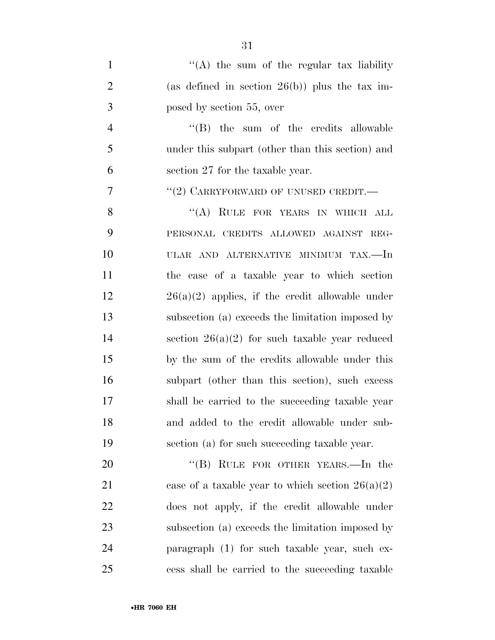| $\mathbf{1}$   | "(A) the sum of the regular tax liability          |
|----------------|----------------------------------------------------|
| $\overline{2}$ | (as defined in section $26(b)$ ) plus the tax im-  |
| 3              | posed by section 55, over                          |
| $\overline{4}$ | $\lq\lq$ (B) the sum of the credits allowable      |
| 5              | under this subpart (other than this section) and   |
| 6              | section 27 for the taxable year.                   |
| $\overline{7}$ | "(2) CARRYFORWARD OF UNUSED CREDIT.—               |
| 8              | "(A) RULE FOR YEARS IN WHICH ALL                   |
| 9              | PERSONAL CREDITS ALLOWED AGAINST REG-              |
| 10             | ULAR AND ALTERNATIVE MINIMUM TAX.—In               |
| 11             | the case of a taxable year to which section        |
| 12             | $26(a)(2)$ applies, if the credit allowable under  |
| 13             | subsection (a) exceeds the limitation imposed by   |
| 14             | section $26(a)(2)$ for such taxable year reduced   |
| 15             | by the sum of the credits allowable under this     |
| 16             | subpart (other than this section), such excess     |
| 17             | shall be carried to the succeeding taxable year    |
| 18             | and added to the credit allowable under sub-       |
| 19             | section (a) for such succeeding taxable year.      |
| 20             | "(B) RULE FOR OTHER YEARS.—In the                  |
| 21             | case of a taxable year to which section $26(a)(2)$ |
| 22             | does not apply, if the credit allowable under      |
| 23             | subsection (a) exceeds the limitation imposed by   |
| 24             | paragraph (1) for such taxable year, such ex-      |

cess shall be carried to the succeeding taxable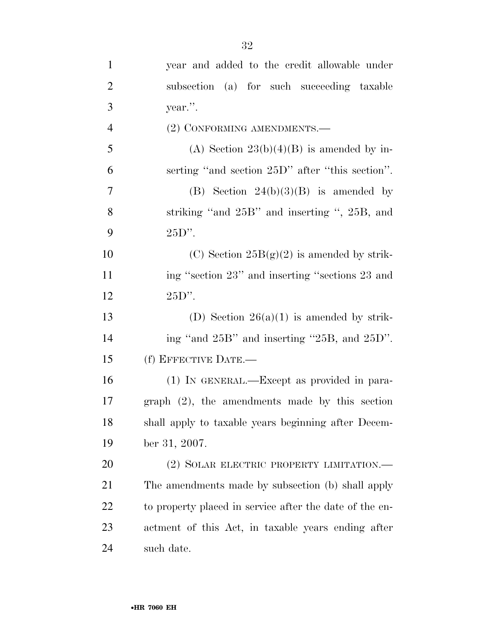| $\mathbf{1}$   | year and added to the credit allowable under            |
|----------------|---------------------------------------------------------|
| $\overline{2}$ | subsection (a) for such succeeding taxable              |
| 3              | year.".                                                 |
| $\overline{4}$ | (2) CONFORMING AMENDMENTS.—                             |
| 5              | (A) Section $23(b)(4)(B)$ is amended by in-             |
| 6              | serting "and section 25D" after "this section".         |
| 7              | (B) Section $24(b)(3)(B)$ is amended by                 |
| 8              | striking "and 25B" and inserting ", 25B, and            |
| 9              | $25D$ ".                                                |
| 10             | (C) Section $25B(g)(2)$ is amended by strik-            |
| 11             | ing "section 23" and inserting "sections 23 and         |
| 12             | $25D$ ".                                                |
| 13             | (D) Section $26(a)(1)$ is amended by strik-             |
| 14             | ing "and 25B" and inserting "25B, and 25D".             |
| 15             | (f) EFFECTIVE DATE.—                                    |
| 16             | (1) IN GENERAL.—Except as provided in para-             |
| 17             | $graph (2)$ , the amendments made by this section       |
| 18             | shall apply to taxable years beginning after Decem-     |
| 19             | ber 31, 2007.                                           |
| 20             | (2) SOLAR ELECTRIC PROPERTY LIMITATION.—                |
| 21             | The amendments made by subsection (b) shall apply       |
| 22             | to property placed in service after the date of the en- |
| 23             | actment of this Act, in taxable years ending after      |
| 24             | such date.                                              |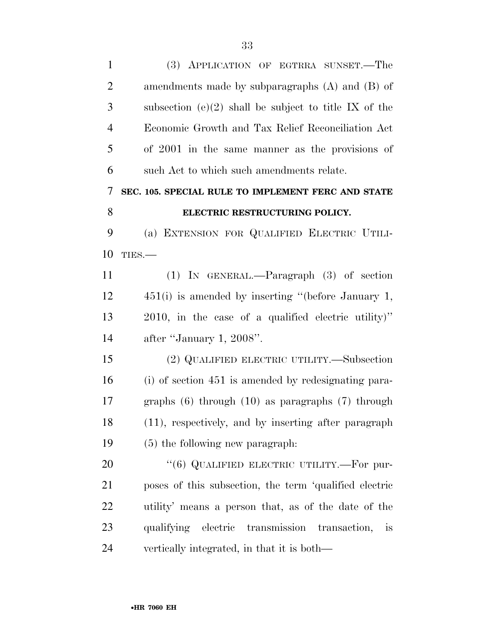| $\mathbf{1}$   | (3) APPLICATION OF EGTRRA SUNSET.—The                      |
|----------------|------------------------------------------------------------|
| $\overline{2}$ | amendments made by subparagraphs $(A)$ and $(B)$ of        |
| 3              | subsection (e)(2) shall be subject to title IX of the      |
| 4              | Economic Growth and Tax Relief Reconciliation Act          |
| 5              | of 2001 in the same manner as the provisions of            |
| 6              | such Act to which such amendments relate.                  |
| 7              | SEC. 105. SPECIAL RULE TO IMPLEMENT FERC AND STATE         |
| 8              | ELECTRIC RESTRUCTURING POLICY.                             |
| 9              | (a) EXTENSION FOR QUALIFIED ELECTRIC UTILI-                |
| 10             | TIES.-                                                     |
| 11             | $(1)$ IN GENERAL.—Paragraph $(3)$ of section               |
| 12             | $451(i)$ is amended by inserting "(before January 1,       |
| 13             | 2010, in the case of a qualified electric utility)"        |
| 14             | after "January 1, 2008".                                   |
| 15             | (2) QUALIFIED ELECTRIC UTILITY.—Subsection                 |
| 16             | (i) of section 451 is amended by redesignating para-       |
| 17             | graphs $(6)$ through $(10)$ as paragraphs $(7)$ through    |
| 18             | (11), respectively, and by inserting after paragraph       |
| 19             | (5) the following new paragraph:                           |
| 20             | "(6) QUALIFIED ELECTRIC UTILITY.—For pur-                  |
| 21             | poses of this subsection, the term 'qualified electric     |
| 22             | utility' means a person that, as of the date of the        |
| 23             | qualifying electric transmission transaction,<br><i>is</i> |
| 24             | vertically integrated, in that it is both—                 |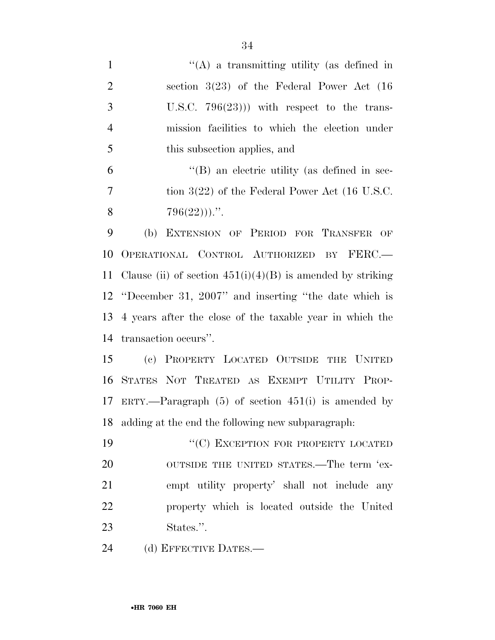| $\mathbf{1}$   | "(A) a transmitting utility (as defined in                   |
|----------------|--------------------------------------------------------------|
| $\overline{2}$ | section $3(23)$ of the Federal Power Act $(16)$              |
| 3              | U.S.C. $796(23)$ ) with respect to the trans-                |
| $\overline{4}$ | mission facilities to which the election under               |
| 5              | this subsection applies, and                                 |
| 6              | $\lq\lq (B)$ an electric utility (as defined in sec-         |
| $\overline{7}$ | tion $3(22)$ of the Federal Power Act (16 U.S.C.             |
| 8              | $796(22))$                                                   |
| 9              | (b)<br>EXTENSION OF PERIOD FOR TRANSFER OF                   |
| 10             | OPERATIONAL CONTROL AUTHORIZED BY FERC.                      |
| 11             | Clause (ii) of section $451(i)(4)(B)$ is amended by striking |
|                | 12 "December 31, 2007" and inserting "the date which is      |
| 13             | 4 years after the close of the taxable year in which the     |
| 14             | transaction occurs".                                         |
| 15             | (c) PROPERTY LOCATED OUTSIDE THE UNITED                      |
| 16             | STATES NOT TREATED AS EXEMPT UTILITY PROP-                   |
|                | 17 ERTY.—Paragraph (5) of section 451(i) is amended by       |
| 18             | adding at the end the following new subparagraph:            |
| 19             | "(C) EXCEPTION FOR PROPERTY LOCATED                          |
| 20             | OUTSIDE THE UNITED STATES.—The term 'ex-                     |
| 21             | empt utility property' shall not include any                 |
| 22             | property which is located outside the United                 |
| 23             | States.".                                                    |
| 24             | (d) EFFECTIVE DATES.—                                        |
|                |                                                              |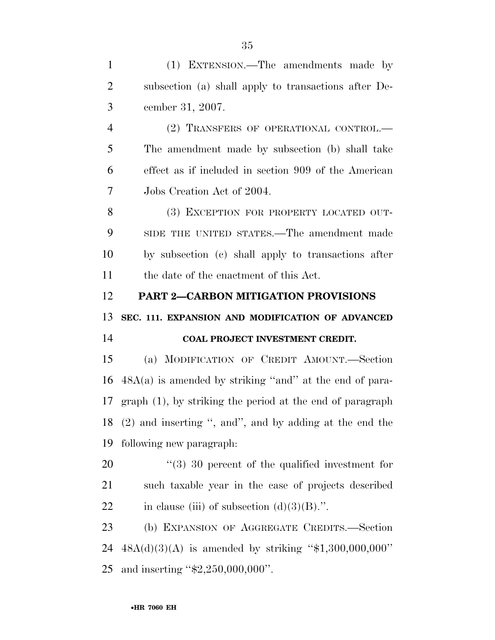(1) EXTENSION.—The amendments made by subsection (a) shall apply to transactions after De- cember 31, 2007. (2) TRANSFERS OF OPERATIONAL CONTROL.— The amendment made by subsection (b) shall take effect as if included in section 909 of the American Jobs Creation Act of 2004. (3) EXCEPTION FOR PROPERTY LOCATED OUT- SIDE THE UNITED STATES.—The amendment made by subsection (c) shall apply to transactions after the date of the enactment of this Act. **PART 2—CARBON MITIGATION PROVISIONS SEC. 111. EXPANSION AND MODIFICATION OF ADVANCED COAL PROJECT INVESTMENT CREDIT.**  (a) MODIFICATION OF CREDIT AMOUNT.—Section  $48A(a)$  is amended by striking "and" at the end of para- graph (1), by striking the period at the end of paragraph (2) and inserting '', and'', and by adding at the end the following new paragraph:  $(3)$  30 percent of the qualified investment for such taxable year in the case of projects described 22 in clause (iii) of subsection  $(d)(3)(B)$ .". (b) EXPANSION OF AGGREGATE CREDITS.—Section 48A(d)(3)(A) is amended by striking ''\$1,300,000,000'' and inserting ''\$2,250,000,000''.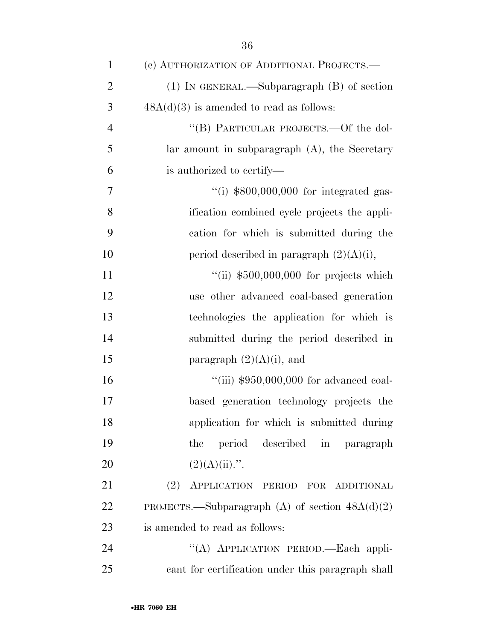| $\mathbf{1}$   | (c) AUTHORIZATION OF ADDITIONAL PROJECTS.—                |
|----------------|-----------------------------------------------------------|
| $\overline{2}$ | (1) IN GENERAL.—Subparagraph (B) of section               |
| 3              | $48A(d)(3)$ is amended to read as follows:                |
| $\overline{4}$ | "(B) PARTICULAR PROJECTS.—Of the dol-                     |
| 5              | $\alpha$ lar amount in subparagraph $(A)$ , the Secretary |
| 6              | is authorized to certify—                                 |
| 7              | $\cdot$ (i) \$800,000,000 for integrated gas-             |
| 8              | ification combined cycle projects the appli-              |
| 9              | cation for which is submitted during the                  |
| 10             | period described in paragraph $(2)(A)(i)$ ,               |
| 11             | "(ii) $$500,000,000$ for projects which                   |
| 12             | use other advanced coal-based generation                  |
| 13             | technologies the application for which is                 |
| 14             | submitted during the period described in                  |
| 15             | paragraph $(2)(A)(i)$ , and                               |
| 16             | "(iii) $$950,000,000$ for advanced coal-                  |
| 17             | based generation technology projects the                  |
| 18             | application for which is submitted during                 |
| 19             | period described in<br>the<br>paragraph                   |
| 20             | $(2)(A)(ii)$ .".                                          |
| 21             | (2) APPLICATION PERIOD FOR ADDITIONAL                     |
| 22             | PROJECTS.—Subparagraph (A) of section $48A(d)(2)$         |
| 23             | is amended to read as follows:                            |
| 24             | "(A) APPLICATION PERIOD.—Each appli-                      |
| 25             | cant for certification under this paragraph shall         |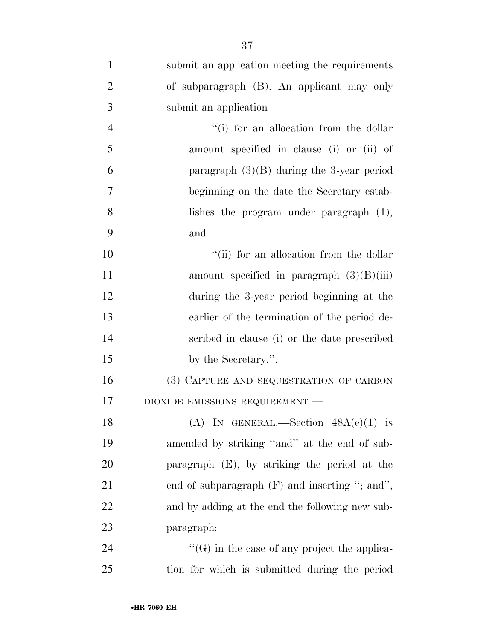| $\mathbf{1}$   | submit an application meeting the requirements      |
|----------------|-----------------------------------------------------|
| $\overline{2}$ | of subparagraph (B). An applicant may only          |
| 3              | submit an application—                              |
| $\overline{4}$ | "(i) for an allocation from the dollar              |
| 5              | amount specified in clause (i) or (ii) of           |
| 6              | paragraph $(3)(B)$ during the 3-year period         |
| $\overline{7}$ | beginning on the date the Secretary estab-          |
| 8              | lishes the program under paragraph $(1)$ ,          |
| 9              | and                                                 |
| 10             | "(ii) for an allocation from the dollar             |
| 11             | amount specified in paragraph $(3)(B)(iii)$         |
| 12             | during the 3-year period beginning at the           |
| 13             | earlier of the termination of the period de-        |
| 14             | scribed in clause (i) or the date prescribed        |
| 15             | by the Secretary.".                                 |
| 16             | (3) CAPTURE AND SEQUESTRATION OF CARBON             |
| 17             | DIOXIDE EMISSIONS REQUIREMENT.-                     |
| 18             | (A) IN GENERAL.—Section $48A(e)(1)$ is              |
| 19             | amended by striking "and" at the end of sub-        |
| 20             | paragraph (E), by striking the period at the        |
| 21             | end of subparagraph $(F)$ and inserting "; and",    |
| 22             | and by adding at the end the following new sub-     |
| 23             | paragraph:                                          |
| 24             | $\lq\lq(G)$ in the case of any project the applica- |
| 25             | tion for which is submitted during the period       |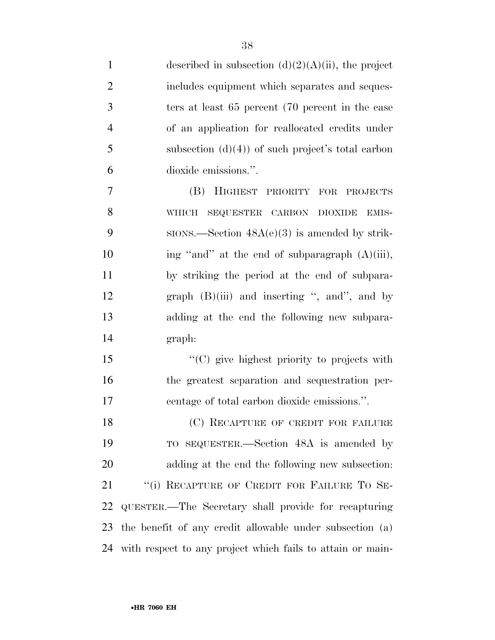| $\mathbf{1}$   | described in subsection $(d)(2)(A)(ii)$ , the project      |
|----------------|------------------------------------------------------------|
| $\overline{2}$ | includes equipment which separates and seques-             |
| 3              | ters at least 65 percent (70 percent in the case           |
| $\overline{4}$ | of an application for reallocated credits under            |
| 5              | subsection $(d)(4)$ of such project's total carbon         |
| 6              | dioxide emissions.".                                       |
| 7              | (B) HIGHEST<br>PRIORITY FOR PROJECTS                       |
| 8              | SEQUESTER CARBON DIOXIDE<br>WHICH<br>EMIS-                 |
| 9              | $SIONS$ . Section $48A(e)(3)$ is amended by strik-         |
| 10             | ing "and" at the end of subparagraph (A)(iii),             |
| 11             | by striking the period at the end of subpara-              |
| 12             | graph $(B)(iii)$ and inserting ", and", and by             |
| 13             | adding at the end the following new subpara-               |
| 14             | graph:                                                     |
| 15             | "(C) give highest priority to projects with                |
| 16             | the greatest separation and sequestration per-             |
| 17             | centage of total carbon dioxide emissions.".               |
| 18             | (C) RECAPTURE OF CREDIT FOR FAILURE                        |
| 19             | TO SEQUESTER.—Section 48A is amended by                    |
| 20             | adding at the end the following new subsection:            |
| 21             | "(i) RECAPTURE OF CREDIT FOR FAILURE TO SE-                |
| 22             | QUESTER.—The Secretary shall provide for recapturing       |
| 23             | the benefit of any credit allowable under subsection (a)   |
| 24             | with respect to any project which fails to attain or main- |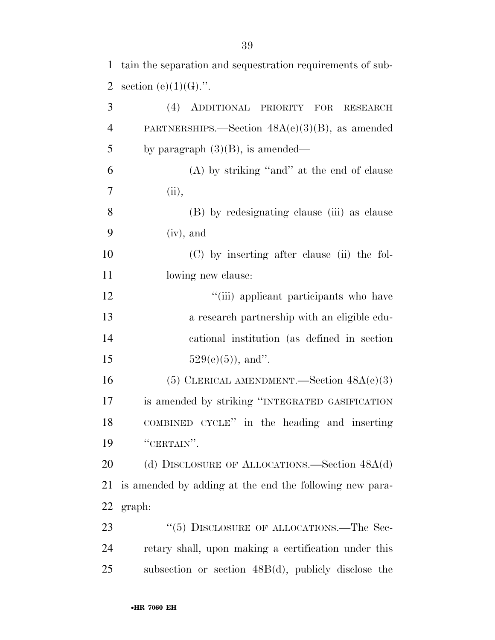| $\overline{2}$ | section (e) $(1)(G)$ .".                                |
|----------------|---------------------------------------------------------|
| 3              | (4) ADDITIONAL PRIORITY FOR<br><b>RESEARCH</b>          |
| $\overline{4}$ | PARTNERSHIPS.—Section $48A(e)(3)(B)$ , as amended       |
| 5              | by paragraph $(3)(B)$ , is amended—                     |
| 6              | $(A)$ by striking "and" at the end of clause            |
| 7              | (ii),                                                   |
| 8              | (B) by redesignating clause (iii) as clause             |
| 9              | $(iv)$ , and                                            |
| 10             | (C) by inserting after clause (ii) the fol-             |
| 11             | lowing new clause:                                      |
| 12             | "(iii) applicant participants who have                  |
| 13             | a research partnership with an eligible edu-            |
| 14             | cational institution (as defined in section             |
| 15             | $529(e)(5)$ , and".                                     |
| 16             | (5) CLERICAL AMENDMENT.—Section $48A(e)(3)$             |
| 17             | is amended by striking "INTEGRATED GASIFICATION         |
| 18             | COMBINED CYCLE" in the heading and inserting            |
| 19             | "CERTAIN".                                              |
| 20             | (d) DISCLOSURE OF ALLOCATIONS.—Section 48A(d)           |
| 21             | is amended by adding at the end the following new para- |
| 22             | graph:                                                  |
| 23             | "(5) DISCLOSURE OF ALLOCATIONS.—The Sec-                |
| 24             | retary shall, upon making a certification under this    |
| 25             | subsection or section 48B(d), publicly disclose the     |

tain the separation and sequestration requirements of sub-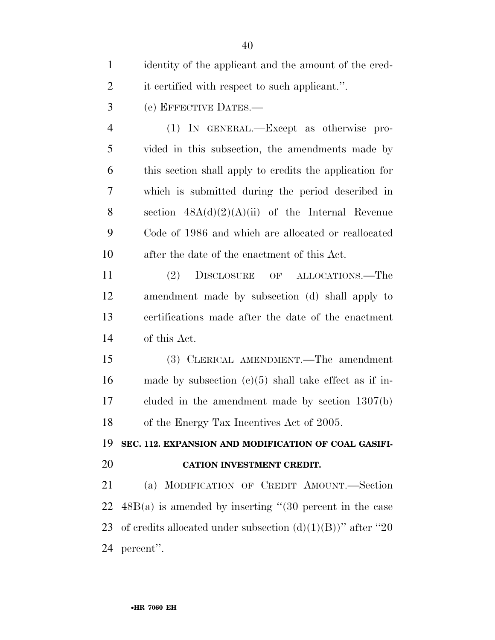| $\mathbf{1}$   | identity of the applicant and the amount of the cred-          |
|----------------|----------------------------------------------------------------|
| $\overline{2}$ | it certified with respect to such applicant.".                 |
| 3              | (e) EFFECTIVE DATES.—                                          |
| $\overline{4}$ | (1) IN GENERAL.—Except as otherwise pro-                       |
| 5              | vided in this subsection, the amendments made by               |
| 6              | this section shall apply to credits the application for        |
| 7              | which is submitted during the period described in              |
| 8              | section $48A(d)(2)(A)(ii)$ of the Internal Revenue             |
| 9              | Code of 1986 and which are allocated or reallocated            |
| 10             | after the date of the enactment of this Act.                   |
| 11             | (2)<br>DISCLOSURE OF ALLOCATIONS.—The                          |
| 12             | amendment made by subsection (d) shall apply to                |
| 13             | certifications made after the date of the enactment            |
| 14             | of this Act.                                                   |
| 15             | (3) CLERICAL AMENDMENT.—The amendment                          |
| 16             | made by subsection $(c)(5)$ shall take effect as if in-        |
| 17             | cluded in the amendment made by section $1307(b)$              |
| 18             | of the Energy Tax Incentives Act of 2005.                      |
| 19             | SEC. 112. EXPANSION AND MODIFICATION OF COAL GASIFI-           |
| 20             | <b>CATION INVESTMENT CREDIT.</b>                               |
| 21             | (a) MODIFICATION OF CREDIT AMOUNT.-Section                     |
| 22             | $48B(a)$ is amended by inserting "(30 percent in the case      |
| 23             | of credits allocated under subsection $(d)(1)(B)$ " after "20" |
| 24             | percent".                                                      |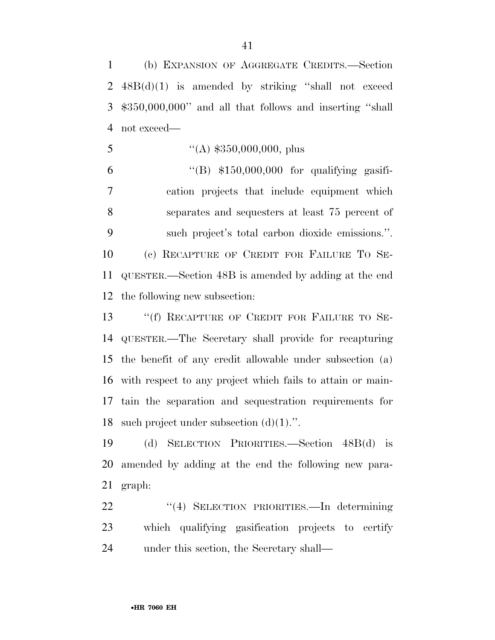(b) EXPANSION OF AGGREGATE CREDITS.—Section 48B(d)(1) is amended by striking ''shall not exceed \$350,000,000'' and all that follows and inserting ''shall not exceed—

5  $((A) \$350,000,000, \text{plus})$ 

 $"({\rm B})$  \$150,000,000 for qualifying gasifi- cation projects that include equipment which separates and sequesters at least 75 percent of such project's total carbon dioxide emissions.''. (c) RECAPTURE OF CREDIT FOR FAILURE TO SE- QUESTER.—Section 48B is amended by adding at the end the following new subsection:

13 "(f) RECAPTURE OF CREDIT FOR FAILURE TO SE- QUESTER.—The Secretary shall provide for recapturing the benefit of any credit allowable under subsection (a) with respect to any project which fails to attain or main- tain the separation and sequestration requirements for 18 such project under subsection  $(d)(1)$ .".

 (d) SELECTION PRIORITIES.—Section 48B(d) is amended by adding at the end the following new para-graph:

 ''(4) SELECTION PRIORITIES.—In determining which qualifying gasification projects to certify under this section, the Secretary shall—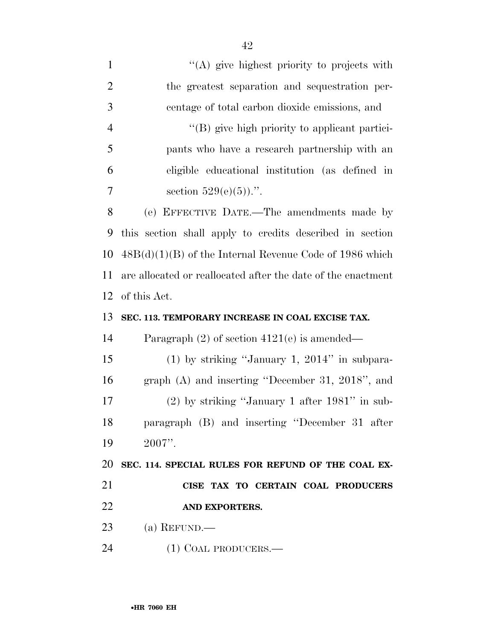| $\mathbf{1}$   | $\lq\lq$ (A) give highest priority to projects with          |
|----------------|--------------------------------------------------------------|
| $\overline{2}$ | the greatest separation and sequestration per-               |
| 3              | centage of total carbon dioxide emissions, and               |
| $\overline{4}$ | "(B) give high priority to applicant partici-                |
| 5              | pants who have a research partnership with an                |
| 6              | eligible educational institution (as defined in              |
| 7              | section $529(e)(5)$ .".                                      |
| 8              | (e) EFFECTIVE DATE.—The amendments made by                   |
| 9              | this section shall apply to credits described in section     |
| 10             | $48B(d)(1)(B)$ of the Internal Revenue Code of 1986 which    |
| 11             | are allocated or reallocated after the date of the enactment |
| 12             | of this Act.                                                 |
|                |                                                              |
| 13             | SEC. 113. TEMPORARY INCREASE IN COAL EXCISE TAX.             |
| 14             | Paragraph $(2)$ of section $4121(e)$ is amended—             |
| 15             | $(1)$ by striking "January 1, 2014" in subpara-              |
| 16             | graph (A) and inserting "December 31, 2018", and             |
| 17             | $(2)$ by striking "January 1 after 1981" in sub-             |
| 18             | paragraph (B) and inserting "December 31 after               |
| 19             | $2007$ ".                                                    |
| 20             | SEC. 114. SPECIAL RULES FOR REFUND OF THE COAL EX-           |
| 21             | CISE TAX TO CERTAIN COAL PRODUCERS                           |
| 22             | AND EXPORTERS.                                               |
| 23             | $(a)$ REFUND.—                                               |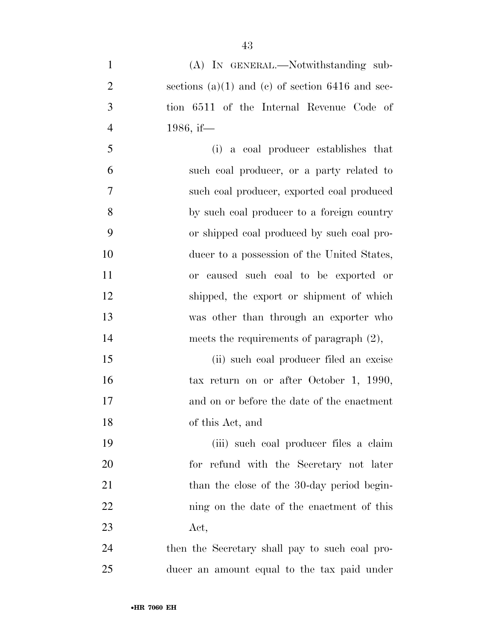| $\mathbf{1}$   | (A) IN GENERAL.—Notwithstanding sub-                 |
|----------------|------------------------------------------------------|
| $\overline{2}$ | sections $(a)(1)$ and $(c)$ of section 6416 and sec- |
| $\mathfrak{Z}$ | tion 6511 of the Internal Revenue Code of            |
| $\overline{4}$ | 1986, if—                                            |
| 5              | (i) a coal producer establishes that                 |
| 6              | such coal producer, or a party related to            |
| $\tau$         | such coal producer, exported coal produced           |
| 8              | by such coal producer to a foreign country           |
| 9              | or shipped coal produced by such coal pro-           |
| 10             | ducer to a possession of the United States,          |
| 11             | or caused such coal to be exported or                |
| 12             | shipped, the export or shipment of which             |
| 13             | was other than through an exporter who               |
| 14             | meets the requirements of paragraph $(2)$ ,          |
| 15             | (ii) such coal producer filed an excise              |
| 16             | tax return on or after October 1, 1990,              |
| 17             | and on or before the date of the enactment           |
| 18             | of this Act, and                                     |
| 19             | (iii) such coal producer files a claim               |
| 20             | for refund with the Secretary not later              |
| 21             | than the close of the 30-day period begin-           |
| 22             | ning on the date of the enactment of this            |
| 23             | $\det,$                                              |
| 24             | then the Secretary shall pay to such coal pro-       |
| 25             | ducer an amount equal to the tax paid under          |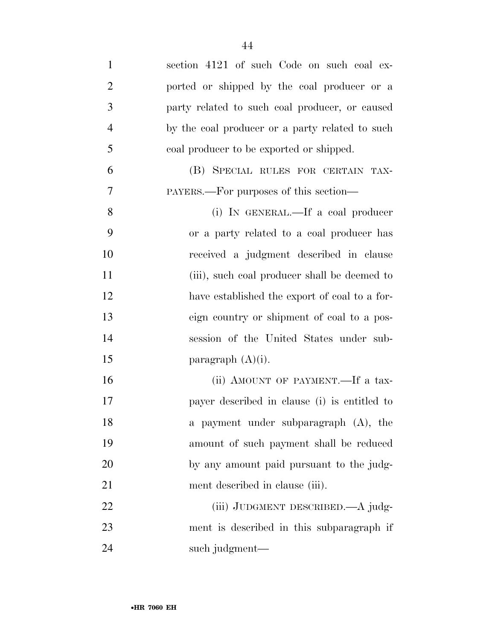| $\mathbf{1}$   | section 4121 of such Code on such coal ex-      |
|----------------|-------------------------------------------------|
| $\overline{2}$ | ported or shipped by the coal producer or a     |
| 3              | party related to such coal producer, or caused  |
| $\overline{4}$ | by the coal producer or a party related to such |
| 5              | coal producer to be exported or shipped.        |
| 6              | (B) SPECIAL RULES FOR CERTAIN TAX-              |
| $\overline{7}$ | PAYERS.—For purposes of this section—           |
| 8              | (i) IN GENERAL.—If a coal producer              |
| 9              | or a party related to a coal producer has       |
| 10             | received a judgment described in clause         |
| 11             | (iii), such coal producer shall be deemed to    |
| 12             | have established the export of coal to a for-   |
| 13             | eign country or shipment of coal to a pos-      |
| 14             | session of the United States under sub-         |
| 15             | paragraph $(A)(i)$ .                            |
| 16             | (ii) AMOUNT OF PAYMENT.—If a tax-               |
| 17             | payer described in clause (i) is entitled to    |
| 18             | a payment under subparagraph (A), the           |
| 19             | amount of such payment shall be reduced         |
| 20             | by any amount paid pursuant to the judg-        |
| 21             | ment described in clause (iii).                 |
| 22             | (iii) JUDGMENT DESCRIBED.—A judg-               |
| 23             | ment is described in this subparagraph if       |
| 24             | such judgment—                                  |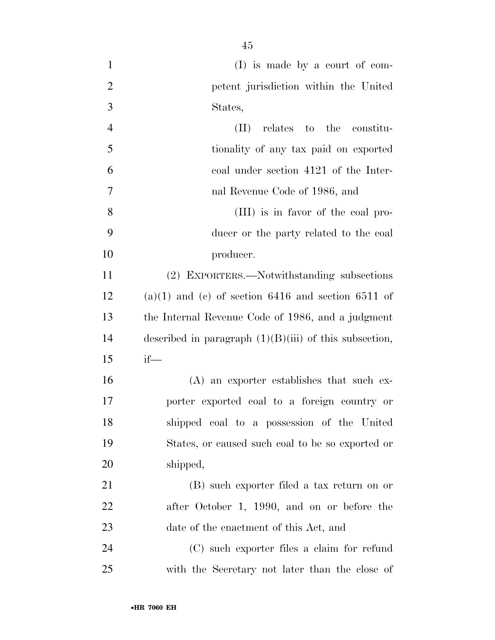| $\mathbf{1}$   | $(I)$ is made by a court of com-                         |
|----------------|----------------------------------------------------------|
| $\overline{2}$ | petent jurisdiction within the United                    |
| 3              | States,                                                  |
| $\overline{4}$ | relates to the constitu-<br>$(\Pi)^{\mathsf{T}}$         |
| 5              | tionality of any tax paid on exported                    |
| 6              | coal under section 4121 of the Inter-                    |
| $\overline{7}$ | nal Revenue Code of 1986, and                            |
| 8              | (III) is in favor of the coal pro-                       |
| 9              | ducer or the party related to the coal                   |
| 10             | producer.                                                |
| 11             | (2) EXPORTERS.—Notwithstanding subsections               |
| 12             | $(a)(1)$ and $(c)$ of section 6416 and section 6511 of   |
| 13             | the Internal Revenue Code of 1986, and a judgment        |
| 14             | described in paragraph $(1)(B)(iii)$ of this subsection, |
| 15             | $if$ —                                                   |
| 16             | $(A)$ an exporter establishes that such ex-              |
| 17             | porter exported coal to a foreign country or             |
| 18             | shipped coal to a possession of the United               |
| 19             | States, or caused such coal to be so exported or         |
| 20             | shipped,                                                 |
| 21             | (B) such exporter filed a tax return on or               |
| 22             | after October 1, 1990, and on or before the              |
| 23             | date of the enactment of this Act, and                   |
| 24             | (C) such exporter files a claim for refund               |
| 25             | with the Secretary not later than the close of           |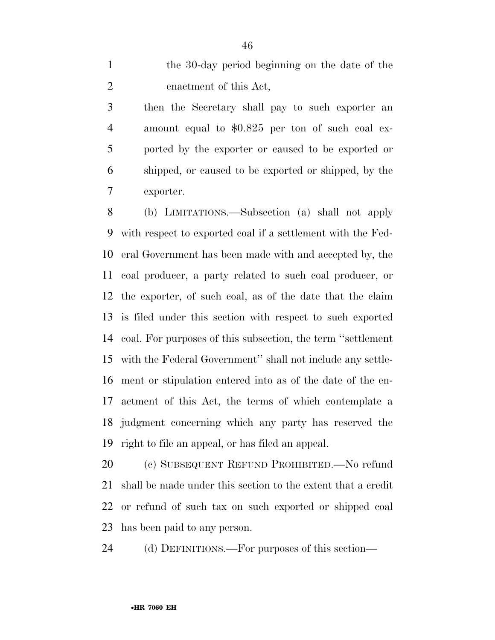the 30-day period beginning on the date of the enactment of this Act,

 then the Secretary shall pay to such exporter an amount equal to \$0.825 per ton of such coal ex- ported by the exporter or caused to be exported or shipped, or caused to be exported or shipped, by the exporter.

 (b) LIMITATIONS.—Subsection (a) shall not apply with respect to exported coal if a settlement with the Fed- eral Government has been made with and accepted by, the coal producer, a party related to such coal producer, or the exporter, of such coal, as of the date that the claim is filed under this section with respect to such exported coal. For purposes of this subsection, the term ''settlement with the Federal Government'' shall not include any settle- ment or stipulation entered into as of the date of the en- actment of this Act, the terms of which contemplate a judgment concerning which any party has reserved the right to file an appeal, or has filed an appeal.

 (c) SUBSEQUENT REFUND PROHIBITED.—No refund shall be made under this section to the extent that a credit or refund of such tax on such exported or shipped coal has been paid to any person.

(d) DEFINITIONS.—For purposes of this section—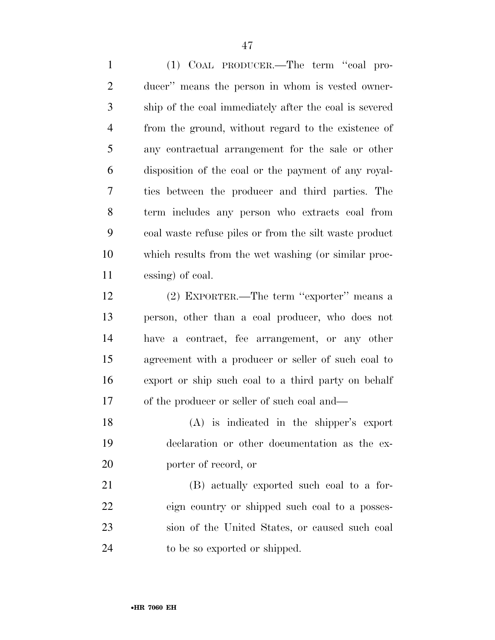(1) COAL PRODUCER.—The term ''coal pro- ducer'' means the person in whom is vested owner- ship of the coal immediately after the coal is severed from the ground, without regard to the existence of any contractual arrangement for the sale or other disposition of the coal or the payment of any royal- ties between the producer and third parties. The term includes any person who extracts coal from coal waste refuse piles or from the silt waste product which results from the wet washing (or similar proc-essing) of coal.

 (2) EXPORTER.—The term ''exporter'' means a person, other than a coal producer, who does not have a contract, fee arrangement, or any other agreement with a producer or seller of such coal to export or ship such coal to a third party on behalf of the producer or seller of such coal and—

 (A) is indicated in the shipper's export declaration or other documentation as the ex-porter of record, or

 (B) actually exported such coal to a for- eign country or shipped such coal to a posses- sion of the United States, or caused such coal to be so exported or shipped.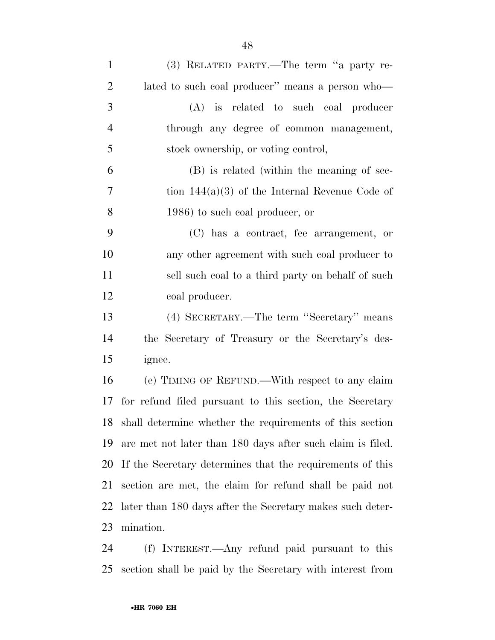| $\mathbf{1}$   | (3) RELATED PARTY.—The term "a party re-                   |
|----------------|------------------------------------------------------------|
| $\overline{2}$ | lated to such coal producer" means a person who—           |
| 3              | (A) is related to such coal producer                       |
| $\overline{4}$ | through any degree of common management,                   |
| 5              | stock ownership, or voting control,                        |
| 6              | (B) is related (within the meaning of sec-                 |
| $\overline{7}$ | tion $144(a)(3)$ of the Internal Revenue Code of           |
| 8              | 1986) to such coal producer, or                            |
| 9              | (C) has a contract, fee arrangement, or                    |
| 10             | any other agreement with such coal producer to             |
| 11             | sell such coal to a third party on behalf of such          |
| 12             | coal producer.                                             |
| 13             | (4) SECRETARY.—The term "Secretary" means                  |
| 14             | the Secretary of Treasury or the Secretary's des-          |
| 15             | ignee.                                                     |
| 16             | (e) TIMING OF REFUND.—With respect to any claim            |
| 17             | for refund filed pursuant to this section, the Secretary   |
| 18             | shall determine whether the requirements of this section   |
| 19             | are met not later than 180 days after such claim is filed. |
| 20             | If the Secretary determines that the requirements of this  |
| 21             | section are met, the claim for refund shall be paid not    |
| 22             | later than 180 days after the Secretary makes such deter-  |
| 23             | mination.                                                  |
| 24             | (f) INTEREST.—Any refund paid pursuant to this             |

section shall be paid by the Secretary with interest from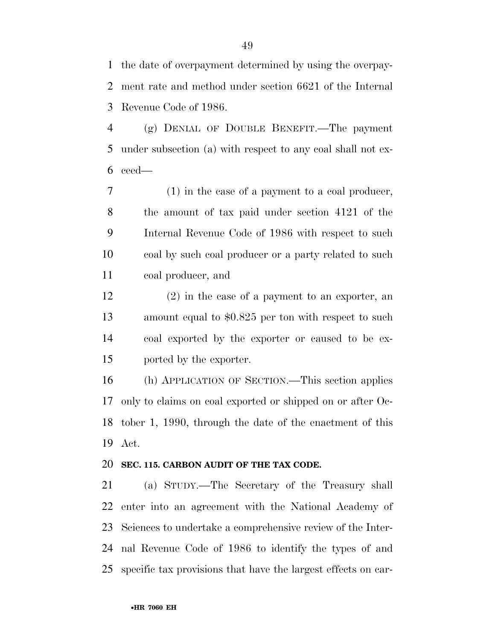the date of overpayment determined by using the overpay- ment rate and method under section 6621 of the Internal Revenue Code of 1986.

 (g) DENIAL OF DOUBLE BENEFIT.—The payment under subsection (a) with respect to any coal shall not ex-ceed—

 (1) in the case of a payment to a coal producer, the amount of tax paid under section 4121 of the Internal Revenue Code of 1986 with respect to such coal by such coal producer or a party related to such coal producer, and

 (2) in the case of a payment to an exporter, an amount equal to \$0.825 per ton with respect to such coal exported by the exporter or caused to be ex-ported by the exporter.

 (h) APPLICATION OF SECTION.—This section applies only to claims on coal exported or shipped on or after Oc- tober 1, 1990, through the date of the enactment of this Act.

## **SEC. 115. CARBON AUDIT OF THE TAX CODE.**

 (a) STUDY.—The Secretary of the Treasury shall enter into an agreement with the National Academy of Sciences to undertake a comprehensive review of the Inter- nal Revenue Code of 1986 to identify the types of and specific tax provisions that have the largest effects on car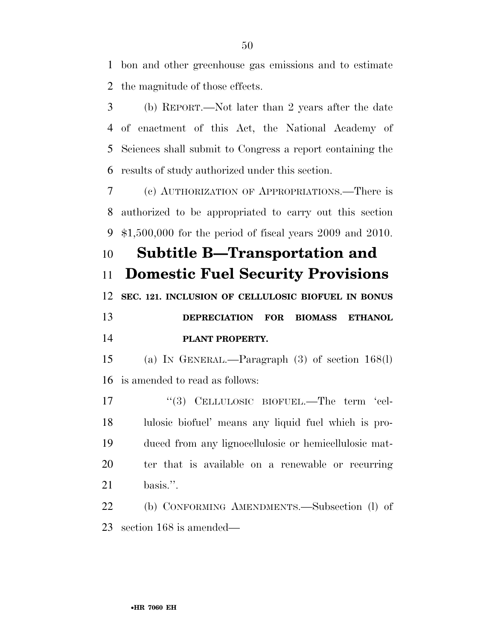bon and other greenhouse gas emissions and to estimate the magnitude of those effects.

 (b) REPORT.—Not later than 2 years after the date of enactment of this Act, the National Academy of Sciences shall submit to Congress a report containing the results of study authorized under this section.

 (c) AUTHORIZATION OF APPROPRIATIONS.—There is authorized to be appropriated to carry out this section \$1,500,000 for the period of fiscal years 2009 and 2010.

 **Subtitle B—Transportation and Domestic Fuel Security Provisions SEC. 121. INCLUSION OF CELLULOSIC BIOFUEL IN BONUS DEPRECIATION FOR BIOMASS ETHANOL PLANT PROPERTY.** 

 (a) IN GENERAL.—Paragraph (3) of section 168(l) is amended to read as follows:

17 "(3) CELLULOSIC BIOFUEL.—The term 'cel-18 lulosic biofuel' means any liquid fuel which is pro- duced from any lignocellulosic or hemicellulosic mat- ter that is available on a renewable or recurring basis.''.

 (b) CONFORMING AMENDMENTS.—Subsection (l) of section 168 is amended—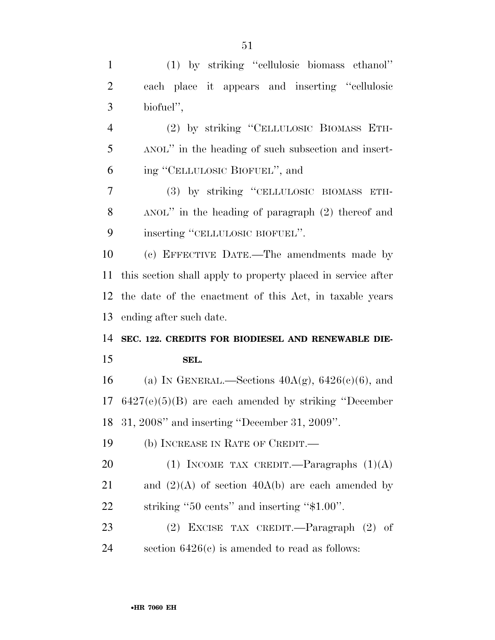(1) by striking ''cellulosic biomass ethanol'' each place it appears and inserting ''cellulosic biofuel'', (2) by striking ''CELLULOSIC BIOMASS ETH- ANOL'' in the heading of such subsection and insert- ing ''CELLULOSIC BIOFUEL'', and (3) by striking ''CELLULOSIC BIOMASS ETH- ANOL'' in the heading of paragraph (2) thereof and 9 inserting "CELLULOSIC BIOFUEL". (c) EFFECTIVE DATE.—The amendments made by this section shall apply to property placed in service after the date of the enactment of this Act, in taxable years ending after such date. **SEC. 122. CREDITS FOR BIODIESEL AND RENEWABLE DIE- SEL.**  16 (a) IN GENERAL.—Sections  $40A(g)$ ,  $6426(e)(6)$ , and 6427(e)(5)(B) are each amended by striking ''December 31, 2008'' and inserting ''December 31, 2009''.

(b) INCREASE IN RATE OF CREDIT.—

20 (1) INCOME TAX CREDIT. Paragraphs  $(1)(A)$ 21 and  $(2)(A)$  of section 40A(b) are each amended by striking ''50 cents'' and inserting ''\$1.00''.

 (2) EXCISE TAX CREDIT.—Paragraph (2) of 24 section  $6426(c)$  is amended to read as follows: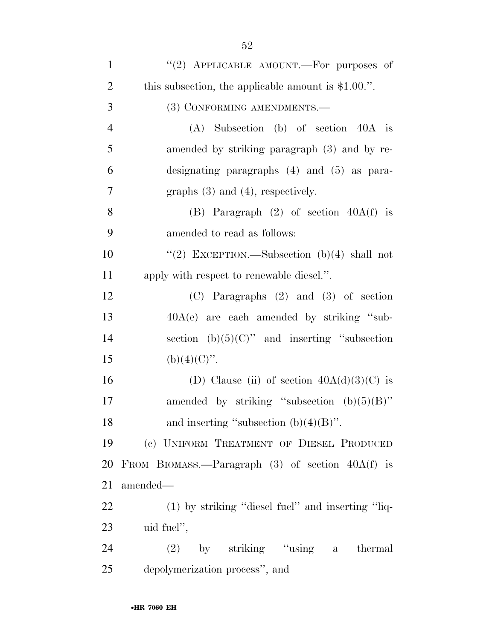| $\mathbf{1}$   | "(2) APPLICABLE AMOUNT.—For purposes of               |
|----------------|-------------------------------------------------------|
| $\overline{2}$ | this subsection, the applicable amount is $$1.00$ .". |
| 3              | (3) CONFORMING AMENDMENTS.-                           |
| $\overline{4}$ | $(A)$ Subsection $(b)$ of section $40A$ is            |
| 5              | amended by striking paragraph (3) and by re-          |
| 6              | designating paragraphs $(4)$ and $(5)$ as para-       |
| 7              | graphs $(3)$ and $(4)$ , respectively.                |
| 8              | (B) Paragraph $(2)$ of section $40A(f)$ is            |
| 9              | amended to read as follows:                           |
| 10             | "(2) EXCEPTION.—Subsection $(b)(4)$ shall not         |
| 11             | apply with respect to renewable diesel.".             |
| 12             | $(C)$ Paragraphs $(2)$ and $(3)$ of section           |
| 13             | $40A(e)$ are each amended by striking "sub-           |
| 14             | section (b) $(5)(C)$ " and inserting "subsection      |
| 15             | $(b)(4)(C)$ ".                                        |
| 16             |                                                       |
|                | (D) Clause (ii) of section $40A(d)(3)(C)$ is          |
| 17             | amended by striking "subsection $(b)(5)(B)$ "         |
| 18             | and inserting "subsection $(b)(4)(B)$ ".              |
| 19             | (c) UNIFORM TREATMENT OF DIESEL PRODUCED              |
| 20             | FROM BIOMASS.—Paragraph $(3)$ of section $40A(f)$ is  |
| 21             | amended—                                              |
| 22             | (1) by striking "diesel fuel" and inserting "liq-     |
| 23             | uid fuel",                                            |
| 24             | $(2)$ by striking "using a thermal                    |
| 25             | depolymerization process", and                        |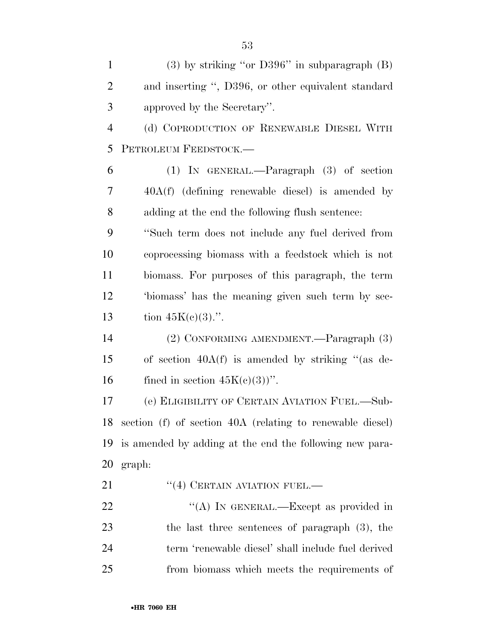| $\mathbf{1}$   | $(3)$ by striking "or D396" in subparagraph $(B)$         |
|----------------|-----------------------------------------------------------|
| $\overline{2}$ | and inserting ", D396, or other equivalent standard       |
| 3              | approved by the Secretary".                               |
| $\overline{4}$ | (d) COPRODUCTION OF RENEWABLE DIESEL WITH                 |
| 5              | PETROLEUM FEEDSTOCK.-                                     |
| 6              | $(1)$ IN GENERAL.—Paragraph $(3)$ of section              |
| 7              | $40A(f)$ (defining renewable diesel) is amended by        |
| 8              | adding at the end the following flush sentence:           |
| 9              | "Such term does not include any fuel derived from         |
| 10             | coprocessing biomass with a feedstock which is not        |
| 11             | biomass. For purposes of this paragraph, the term         |
| 12             | 'biomass' has the meaning given such term by sec-         |
| 13             | tion $45K(c)(3)$ .".                                      |
| 14             | (2) CONFORMING AMENDMENT.—Paragraph (3)                   |
| 15             | of section $40A(f)$ is amended by striking "(as de-       |
| 16             | fined in section $45K(c)(3)$ ".                           |
| 17             | (e) ELIGIBILITY OF CERTAIN AVIATION FUEL.-Sub-            |
| 18             | section (f) of section 40A (relating to renewable diesel) |
| 19             | is amended by adding at the end the following new para-   |
| 20             | graph:                                                    |
| 21             | $``(4)$ CERTAIN AVIATION FUEL.—                           |
| 22             | "(A) IN GENERAL.—Except as provided in                    |
|                |                                                           |

 the last three sentences of paragraph (3), the term 'renewable diesel' shall include fuel derived from biomass which meets the requirements of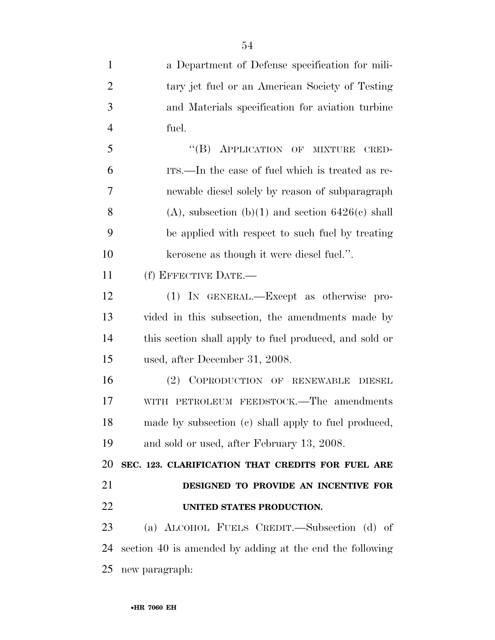| $\mathbf{1}$   | a Department of Defense specification for mili-          |
|----------------|----------------------------------------------------------|
| $\overline{2}$ | tary jet fuel or an American Society of Testing          |
| 3              | and Materials specification for aviation turbine         |
| $\overline{4}$ | fuel.                                                    |
| 5              | "(B) APPLICATION OF MIXTURE<br>CRED-                     |
| 6              | ITS.—In the case of fuel which is treated as re-         |
| 7              | newable diesel solely by reason of subparagraph          |
| 8              | $(A)$ , subsection $(b)(1)$ and section $6426(c)$ shall  |
| 9              | be applied with respect to such fuel by treating         |
| 10             | kerosene as though it were diesel fuel.".                |
| 11             | (f) EFFECTIVE DATE.-                                     |
| 12             | (1) IN GENERAL.—Except as otherwise pro-                 |
| 13             | vided in this subsection, the amendments made by         |
| 14             | this section shall apply to fuel produced, and sold or   |
| 15             | used, after December 31, 2008.                           |
| 16             | (2) COPRODUCTION OF RENEWABLE DIESEL                     |
| 17             | WITH PETROLEUM FEEDSTOCK.—The amendments                 |
| 18             | made by subsection (c) shall apply to fuel produced,     |
| 19             | and sold or used, after February 13, 2008.               |
| 20             | SEC. 123. CLARIFICATION THAT CREDITS FOR FUEL ARE        |
| 21             | DESIGNED TO PROVIDE AN INCENTIVE FOR                     |
| 22             | UNITED STATES PRODUCTION.                                |
| 23             | (a) ALCOHOL FUELS CREDIT.—Subsection (d) of              |
| 24             | section 40 is amended by adding at the end the following |
| 25             | new paragraph:                                           |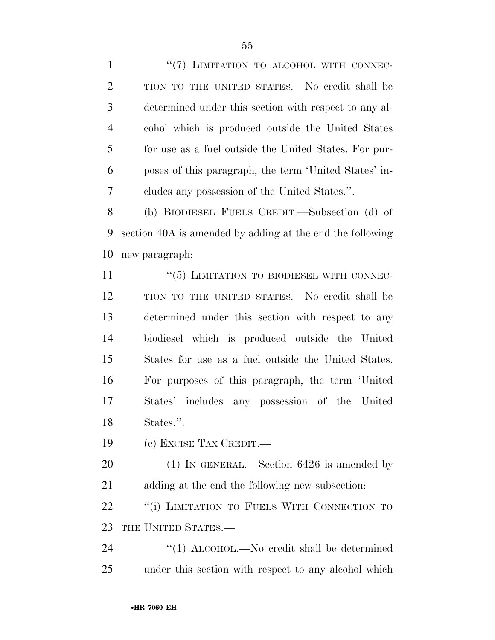1 "(7) LIMITATION TO ALCOHOL WITH CONNEC- TION TO THE UNITED STATES.—No credit shall be determined under this section with respect to any al- cohol which is produced outside the United States for use as a fuel outside the United States. For pur- poses of this paragraph, the term 'United States' in-cludes any possession of the United States.''.

 (b) BIODIESEL FUELS CREDIT.—Subsection (d) of section 40A is amended by adding at the end the following new paragraph:

 ''(5) LIMITATION TO BIODIESEL WITH CONNEC- TION TO THE UNITED STATES.—No credit shall be determined under this section with respect to any biodiesel which is produced outside the United States for use as a fuel outside the United States. For purposes of this paragraph, the term 'United States' includes any possession of the United States.''.

(c) EXCISE TAX CREDIT.—

 (1) IN GENERAL.—Section 6426 is amended by adding at the end the following new subsection:

22 "(i) LIMITATION TO FUELS WITH CONNECTION TO THE UNITED STATES.—

24 "(1) ALCOHOL.—No credit shall be determined under this section with respect to any alcohol which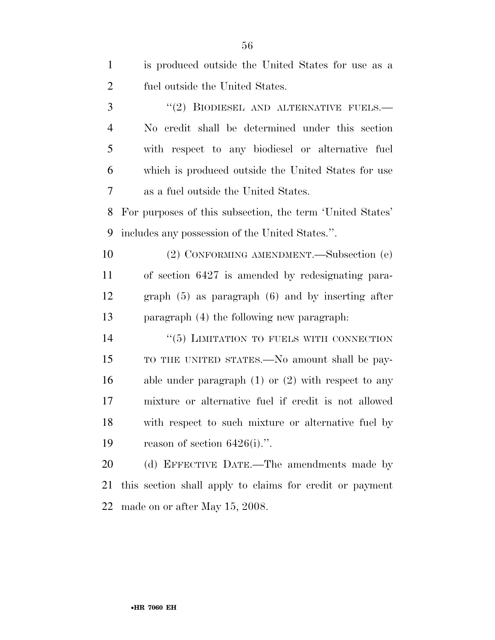| $\mathbf{1}$   | is produced outside the United States for use as a        |
|----------------|-----------------------------------------------------------|
| $\overline{2}$ | fuel outside the United States.                           |
| 3              | "(2) BIODIESEL AND ALTERNATIVE FUELS.—                    |
| $\overline{4}$ | No credit shall be determined under this section          |
| 5              | with respect to any biodiesel or alternative fuel         |
| 6              | which is produced outside the United States for use       |
| 7              | as a fuel outside the United States.                      |
| 8              | For purposes of this subsection, the term 'United States' |
| 9              | includes any possession of the United States.".           |
| 10             | (2) CONFORMING AMENDMENT.—Subsection (e)                  |
| 11             | of section 6427 is amended by redesignating para-         |
| 12             | graph $(5)$ as paragraph $(6)$ and by inserting after     |
| 13             | paragraph (4) the following new paragraph:                |
| 14             | "(5) LIMITATION TO FUELS WITH CONNECTION                  |
| 15             | TO THE UNITED STATES.—No amount shall be pay-             |
| 16             | able under paragraph $(1)$ or $(2)$ with respect to any   |
| 17             | mixture or alternative fuel if credit is not allowed      |
| 18             | with respect to such mixture or alternative fuel by       |
| 19             | reason of section $6426(i)$ .".                           |
| 20             | (d) EFFECTIVE DATE.—The amendments made by                |
| 21             | this section shall apply to claims for credit or payment  |
| 22             | made on or after May 15, 2008.                            |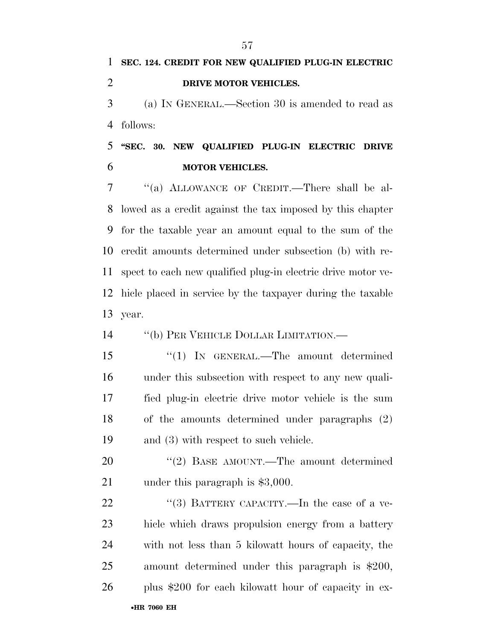(a) IN GENERAL.—Section 30 is amended to read as follows:

 **''SEC. 30. NEW QUALIFIED PLUG-IN ELECTRIC DRIVE MOTOR VEHICLES.** 

 ''(a) ALLOWANCE OF CREDIT.—There shall be al- lowed as a credit against the tax imposed by this chapter for the taxable year an amount equal to the sum of the credit amounts determined under subsection (b) with re- spect to each new qualified plug-in electric drive motor ve- hicle placed in service by the taxpayer during the taxable year.

''(b) PER VEHICLE DOLLAR LIMITATION.—

 ''(1) IN GENERAL.—The amount determined under this subsection with respect to any new quali- fied plug-in electric drive motor vehicle is the sum of the amounts determined under paragraphs (2) and (3) with respect to such vehicle.

20 "(2) BASE AMOUNT.—The amount determined 21 under this paragraph is \$3,000.

•**HR 7060 EH** 22 "(3) BATTERY CAPACITY.—In the case of a ve- hicle which draws propulsion energy from a battery with not less than 5 kilowatt hours of capacity, the amount determined under this paragraph is \$200, plus \$200 for each kilowatt hour of capacity in ex-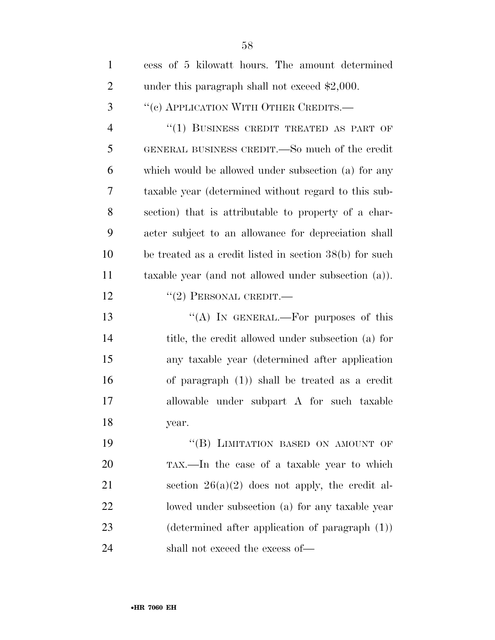| $\mathbf{1}$   | cess of 5 kilowatt hours. The amount determined           |
|----------------|-----------------------------------------------------------|
| $\overline{2}$ | under this paragraph shall not exceed \$2,000.            |
| 3              | "(c) APPLICATION WITH OTHER CREDITS.-                     |
| $\overline{4}$ | "(1) BUSINESS CREDIT TREATED AS PART OF                   |
| 5              | GENERAL BUSINESS CREDIT.—So much of the credit            |
| 6              | which would be allowed under subsection (a) for any       |
| 7              | taxable year (determined without regard to this sub-      |
| 8              | section) that is attributable to property of a char-      |
| 9              | acter subject to an allowance for depreciation shall      |
| 10             | be treated as a credit listed in section 38(b) for such   |
| 11             | taxable year (and not allowed under subsection (a)).      |
| 12             | $``(2)$ PERSONAL CREDIT.—                                 |
| 13             | "(A) IN GENERAL.—For purposes of this                     |
| 14             | title, the credit allowed under subsection (a) for        |
| 15             | any taxable year (determined after application            |
| 16             | of paragraph $(1)$ ) shall be treated as a credit         |
| 17             | allowable under subpart A for such taxable                |
| 18             | year.                                                     |
| 19             | "(B) LIMITATION BASED ON AMOUNT OF                        |
| 20             | TAX.—In the case of a taxable year to which               |
| 21             | section $26(a)(2)$ does not apply, the credit al-         |
| 22             | lowed under subsection (a) for any taxable year           |
| 23             | $(\text{determined after application of paragraph } (1))$ |
| 24             | shall not exceed the excess of—                           |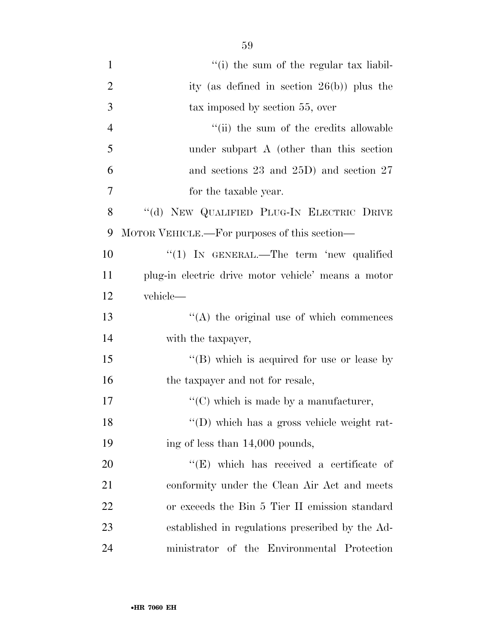| $\mathbf{1}$   | "(i) the sum of the regular tax liabil-             |
|----------------|-----------------------------------------------------|
| $\overline{2}$ | ity (as defined in section $26(b)$ ) plus the       |
| 3              | tax imposed by section 55, over                     |
| $\overline{4}$ | "(ii) the sum of the credits allowable              |
| 5              | under subpart A (other than this section            |
| 6              | and sections $23$ and $25D$ ) and section $27$      |
| $\overline{7}$ | for the taxable year.                               |
| 8              | "(d) NEW QUALIFIED PLUG-IN ELECTRIC DRIVE           |
| 9              | MOTOR VEHICLE.—For purposes of this section—        |
| 10             | " $(1)$ IN GENERAL.—The term 'new qualified         |
| 11             | plug-in electric drive motor vehicle' means a motor |
| 12             | vehicle-                                            |
| 13             | $\lq\lq$ the original use of which commences        |
| 14             | with the taxpayer,                                  |
| 15             | "(B) which is acquired for use or lease by          |
| 16             | the taxpayer and not for resale,                    |
| 17             | $\lq\lq$ (C) which is made by a manufacturer,       |
| 18             | "(D) which has a gross vehicle weight rat-          |
| 19             | ing of less than 14,000 pounds,                     |
| 20             | $\lq\lq$ (E) which has received a certificate of    |
| 21             | conformity under the Clean Air Act and meets        |
| 22             | or exceeds the Bin 5 Tier II emission standard      |
| 23             | established in regulations prescribed by the Ad-    |
| 24             | ministrator of the Environmental Protection         |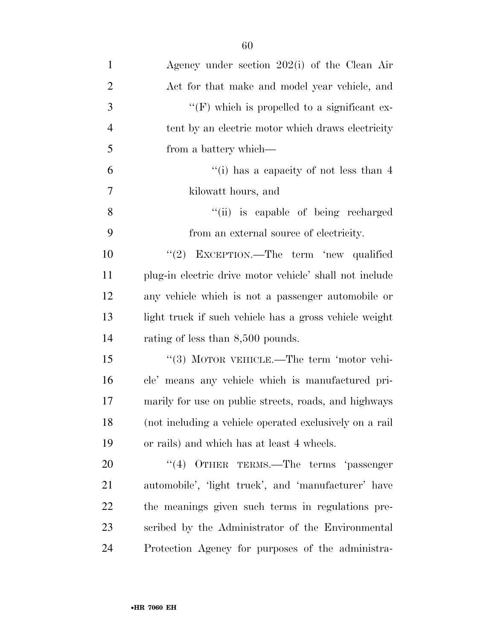| $\mathbf{1}$   | Agency under section $202(i)$ of the Clean Air           |
|----------------|----------------------------------------------------------|
| $\overline{2}$ | Act for that make and model year vehicle, and            |
| 3              | $\lq\lq(F)$ which is propelled to a significant ex-      |
| $\overline{4}$ | tent by an electric motor which draws electricity        |
| 5              | from a battery which—                                    |
| 6              | "(i) has a capacity of not less than $4$                 |
| 7              | kilowatt hours, and                                      |
| 8              | "(ii) is capable of being recharged                      |
| 9              | from an external source of electricity.                  |
| 10             | "(2) EXCEPTION.—The term 'new qualified                  |
| 11             | plug-in electric drive motor vehicle' shall not include  |
| 12             | any vehicle which is not a passenger automobile or       |
| 13             | light truck if such vehicle has a gross vehicle weight   |
| 14             | rating of less than 8,500 pounds.                        |
| 15             | "(3) MOTOR VEHICLE.—The term 'motor vehi-                |
| 16             | cle' means any vehicle which is manufactured pri-        |
| 17             | marily for use on public streets, roads, and highways    |
| 18             | (not including a vehicle operated exclusively on a rail) |
| 19             | or rails) and which has at least 4 wheels.               |
| 20             | (4)<br>OTHER TERMS.—The terms 'passenger                 |
| 21             | automobile', 'light truck', and 'manufacturer' have      |
| 22             | the meanings given such terms in regulations pre-        |
| 23             | scribed by the Administrator of the Environmental        |
| 24             | Protection Agency for purposes of the administra-        |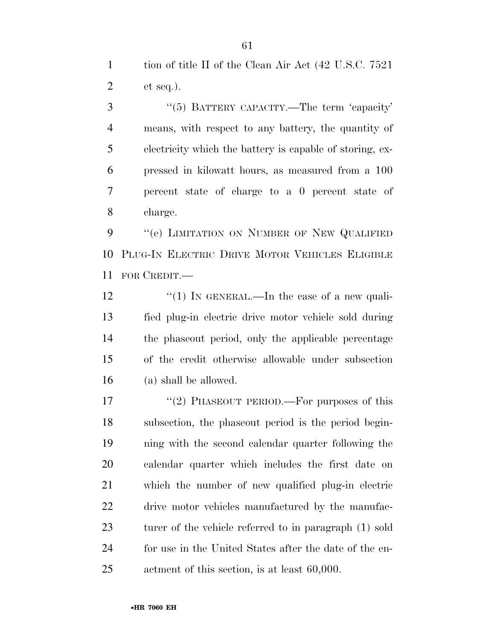1 tion of title II of the Clean Air Act (42 U.S.C. 7521) et seq.).

3 "(5) BATTERY CAPACITY.—The term 'capacity' means, with respect to any battery, the quantity of electricity which the battery is capable of storing, ex- pressed in kilowatt hours, as measured from a 100 percent state of charge to a 0 percent state of charge.

9 "(e) LIMITATION ON NUMBER OF NEW QUALIFIED PLUG-IN ELECTRIC DRIVE MOTOR VEHICLES ELIGIBLE FOR CREDIT.—

 $\frac{1}{2}$   $\frac{1}{2}$  IN GENERAL.—In the case of a new quali- fied plug-in electric drive motor vehicle sold during the phaseout period, only the applicable percentage of the credit otherwise allowable under subsection (a) shall be allowed.

17 "(2) PHASEOUT PERIOD.—For purposes of this subsection, the phaseout period is the period begin- ning with the second calendar quarter following the calendar quarter which includes the first date on which the number of new qualified plug-in electric drive motor vehicles manufactured by the manufac- turer of the vehicle referred to in paragraph (1) sold for use in the United States after the date of the en-actment of this section, is at least 60,000.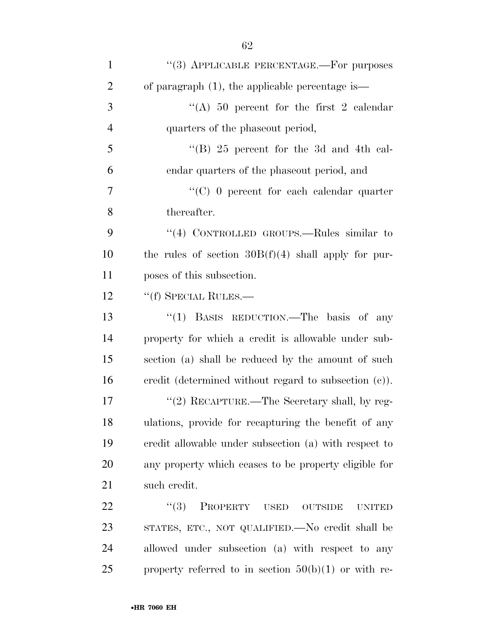| $\mathbf{1}$   | "(3) APPLICABLE PERCENTAGE.—For purposes                 |
|----------------|----------------------------------------------------------|
| $\overline{2}$ | of paragraph $(1)$ , the applicable percentage is—       |
| 3              | "(A) 50 percent for the first 2 calendar                 |
| $\overline{4}$ | quarters of the phase out period,                        |
| 5              | "(B) $25$ percent for the 3d and 4th cal-                |
| 6              | endar quarters of the phaseout period, and               |
| 7              | " $(C)$ 0 percent for each calendar quarter              |
| 8              | thereafter.                                              |
| 9              | "(4) CONTROLLED GROUPS.—Rules similar to                 |
| 10             | the rules of section $30B(f)(4)$ shall apply for pur-    |
| 11             | poses of this subsection.                                |
| 12             | "(f) SPECIAL RULES.—                                     |
| 13             | "(1) BASIS REDUCTION.—The basis of any                   |
| 14             | property for which a credit is allowable under sub-      |
| 15             | section (a) shall be reduced by the amount of such       |
| 16             | credit (determined without regard to subsection $(c)$ ). |
| 17             | "(2) RECAPTURE.—The Secretary shall, by reg-             |
| 18             | ulations, provide for recapturing the benefit of any     |
| 19             | credit allowable under subsection (a) with respect to    |
| 20             | any property which ceases to be property eligible for    |
| 21             | such credit.                                             |
| 22             | (3)<br>PROPERTY USED<br>OUTSIDE<br><b>UNITED</b>         |
| 23             | STATES, ETC., NOT QUALIFIED.—No credit shall be          |
| 24             | allowed under subsection (a) with respect to any         |
| 25             | property referred to in section $50(b)(1)$ or with re-   |
|                |                                                          |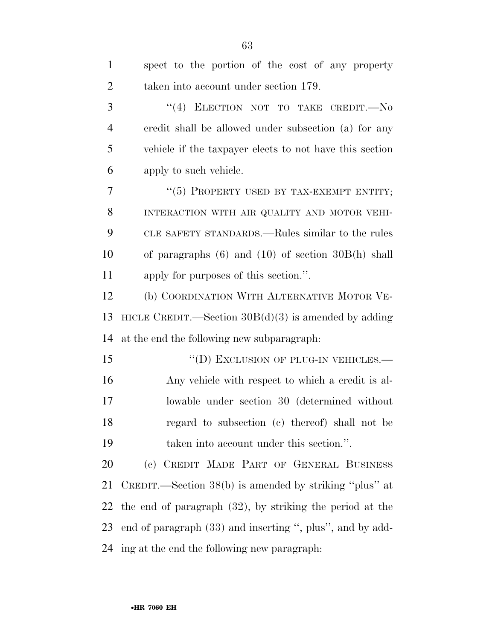| $\mathbf{1}$   | spect to the portion of the cost of any property            |
|----------------|-------------------------------------------------------------|
| $\overline{2}$ | taken into account under section 179.                       |
| 3              | "(4) ELECTION NOT TO TAKE CREDIT. $\longrightarrow$ No      |
| $\overline{4}$ | credit shall be allowed under subsection (a) for any        |
| 5              | vehicle if the taxpayer elects to not have this section     |
| 6              | apply to such vehicle.                                      |
| 7              | "(5) PROPERTY USED BY TAX-EXEMPT ENTITY;                    |
| 8              | INTERACTION WITH AIR QUALITY AND MOTOR VEHI-                |
| 9              | CLE SAFETY STANDARDS.—Rules similar to the rules            |
| 10             | of paragraphs $(6)$ and $(10)$ of section $30B(h)$ shall    |
| 11             | apply for purposes of this section.".                       |
| 12             | (b) COORDINATION WITH ALTERNATIVE MOTOR VE-                 |
| 13             | HICLE CREDIT.—Section $30B(d)(3)$ is amended by adding      |
| 14             | at the end the following new subparagraph:                  |
| 15             | "(D) EXCLUSION OF PLUG-IN VEHICLES.—                        |
| 16             | Any vehicle with respect to which a credit is al-           |
| 17             | lowable under section 30 (determined without                |
| 18             |                                                             |
|                | regard to subsection (c) thereof) shall not be              |
| 19             | taken into account under this section.".                    |
| 20             | (c) CREDIT MADE PART OF GENERAL BUSINESS                    |
| 21             | CREDIT.—Section 38(b) is amended by striking "plus" at      |
| 22             | the end of paragraph $(32)$ , by striking the period at the |
| 23             | end of paragraph (33) and inserting ", plus", and by add-   |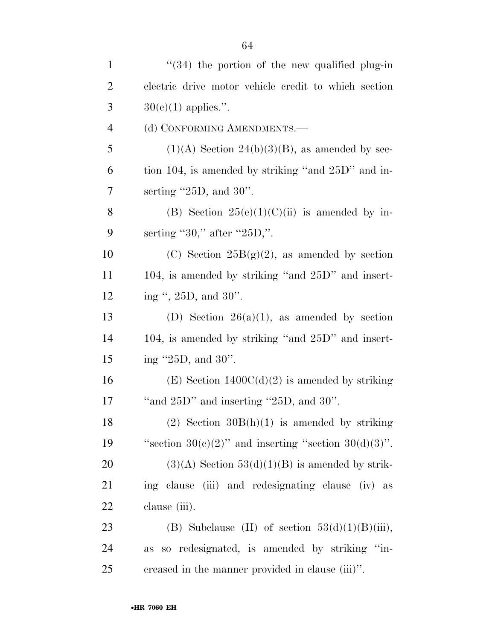| $\mathbf{1}$   | $\cdot$ (34) the portion of the new qualified plug-in      |
|----------------|------------------------------------------------------------|
| $\overline{2}$ | electric drive motor vehicle credit to which section       |
| 3              | $30(e)(1)$ applies.".                                      |
| $\overline{4}$ | (d) CONFORMING AMENDMENTS.-                                |
| 5              | $(1)(A)$ Section 24(b)(3)(B), as amended by sec-           |
| 6              | tion 104, is amended by striking "and 25D" and in-         |
| $\overline{7}$ | serting $"25D$ , and $30"$ .                               |
| 8              | (B) Section $25(e)(1)(C)(ii)$ is amended by in-            |
| 9              | serting "30," after "25D,".                                |
| 10             | (C) Section $25B(g)(2)$ , as amended by section            |
| 11             | 104, is amended by striking "and $25D$ " and insert-       |
| 12             | ing ", 25D, and 30".                                       |
| 13             | (D) Section $26(a)(1)$ , as amended by section             |
| 14             | 104, is amended by striking "and $25D$ " and insert-       |
| 15             | ing $"25D$ , and $30"$ .                                   |
| 16             | $(E)$ Section 1400 $C(d)(2)$ is amended by striking        |
| 17             | "and $25D$ " and inserting " $25D$ , and $30$ ".           |
| 18             | (2) Section $30B(h)(1)$ is amended by striking             |
| 19             | "section $30(e)(2)$ " and inserting "section $30(d)(3)$ ". |
| 20             | $(3)(A)$ Section 53(d)(1)(B) is amended by strik-          |
| 21             | ing clause (iii) and redesignating clause (iv) as          |
| 22             | clause (iii).                                              |
| 23             | (B) Subclause (II) of section $53(d)(1)(B)(iii)$ ,         |
| 24             | so redesignated, is amended by striking "in-<br><b>as</b>  |
| 25             | creased in the manner provided in clause (iii)".           |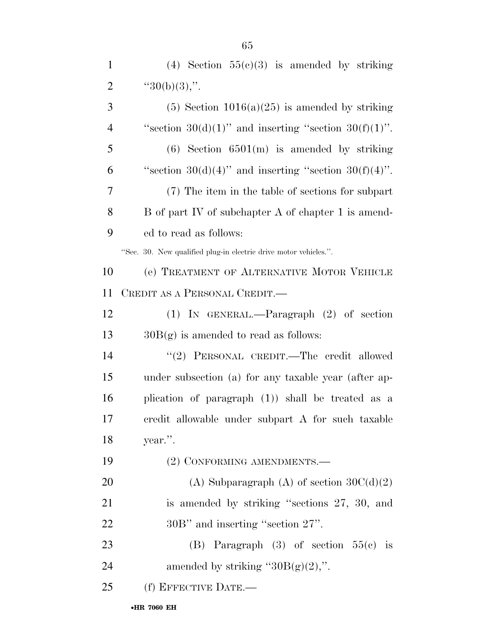1 (4) Section  $55(c)(3)$  is amended by striking

| $\overline{2}$ | " $30(b)(3)$ ,".                                                 |
|----------------|------------------------------------------------------------------|
| 3              | $(5)$ Section 1016(a)(25) is amended by striking                 |
| $\overline{4}$ | "section $30(d)(1)$ " and inserting "section $30(f)(1)$ ".       |
| 5              | $(6)$ Section $6501(m)$ is amended by striking                   |
| 6              | "section $30(d)(4)$ " and inserting "section $30(f)(4)$ ".       |
| 7              | (7) The item in the table of sections for subpart                |
| 8              | B of part IV of subchapter A of chapter 1 is amend-              |
| 9              | ed to read as follows:                                           |
|                | "Sec. 30. New qualified plug-in electric drive motor vehicles.". |
| 10             | (e) TREATMENT OF ALTERNATIVE MOTOR VEHICLE                       |
| 11             | CREDIT AS A PERSONAL CREDIT.—                                    |
| 12             | $(1)$ IN GENERAL.—Paragraph $(2)$ of section                     |
| 13             | $30B(g)$ is amended to read as follows:                          |
| 14             | "(2) PERSONAL CREDIT.—The credit allowed                         |
| 15             | under subsection (a) for any taxable year (after ap-             |
| 16             | plication of paragraph $(1)$ ) shall be treated as a             |
| 17             | credit allowable under subpart A for such taxable                |
| 18             | year.".                                                          |
| 19             | (2) CONFORMING AMENDMENTS.-                                      |
| 20             | (A) Subparagraph (A) of section $30C(d)(2)$                      |
| 21             | is amended by striking "sections 27, 30, and                     |
| 22             | 30B" and inserting "section 27".                                 |
| 23             | (B) Paragraph $(3)$ of section $55(e)$ is                        |
| 24             | amended by striking " $30B(g)(2)$ ,".                            |
| 25             | (f) EFFECTIVE DATE.-                                             |
|                | •HR 7060 EH                                                      |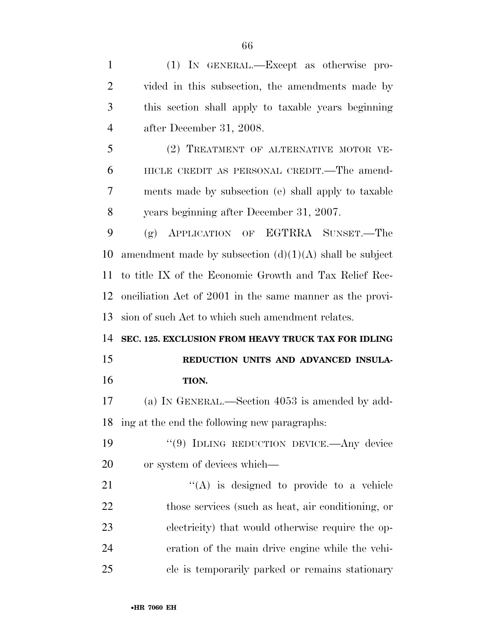| $\mathbf{1}$   | (1) IN GENERAL.—Except as otherwise pro-                  |
|----------------|-----------------------------------------------------------|
| $\overline{2}$ | vided in this subsection, the amendments made by          |
| 3              | this section shall apply to taxable years beginning       |
| $\overline{4}$ | after December 31, 2008.                                  |
| 5              | (2) TREATMENT OF ALTERNATIVE MOTOR VE-                    |
| 6              | HICLE CREDIT AS PERSONAL CREDIT.—The amend-               |
| 7              | ments made by subsection (e) shall apply to taxable       |
| 8              | years beginning after December 31, 2007.                  |
| 9              | APPLICATION OF EGTRRA SUNSET.-The<br>(g)                  |
| 10             | amendment made by subsection $(d)(1)(A)$ shall be subject |
| 11             | to title IX of the Economic Growth and Tax Relief Rec-    |
| 12             | onciliation Act of 2001 in the same manner as the provi-  |
| 13             | sion of such Act to which such amendment relates.         |
| 14             | SEC. 125. EXCLUSION FROM HEAVY TRUCK TAX FOR IDLING       |
|                |                                                           |
| 15             | REDUCTION UNITS AND ADVANCED INSULA-                      |
| 16             | TION.                                                     |
| 17             | (a) IN GENERAL.—Section 4053 is amended by add-           |
| 18             | ing at the end the following new paragraphs:              |
| 19             | "(9) IDLING REDUCTION DEVICE.—Any device                  |
| 20             | or system of devices which—                               |
| 21             | "(A) is designed to provide to a vehicle                  |
| 22             | those services (such as heat, air conditioning, or        |
| 23             | electricity) that would otherwise require the op-         |
| 24             | eration of the main drive engine while the vehi-          |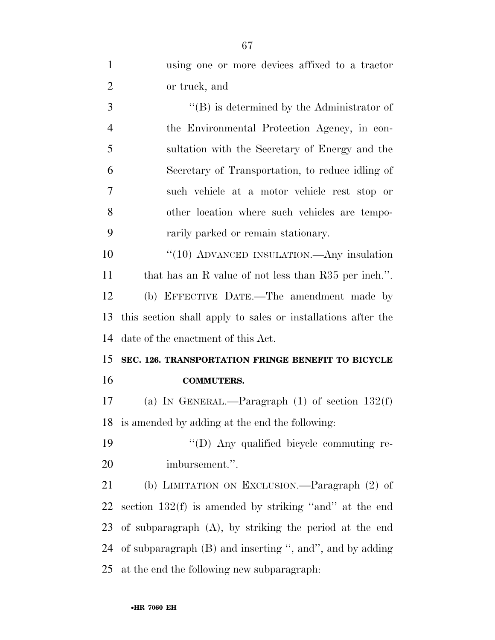| 1              | using one or more devices affixed to a tractor               |
|----------------|--------------------------------------------------------------|
| $\overline{2}$ | or truck, and                                                |
| 3              | $\lq\lq (B)$ is determined by the Administrator of           |
| $\overline{4}$ | the Environmental Protection Agency, in con-                 |
| 5              | sultation with the Secretary of Energy and the               |
| 6              | Secretary of Transportation, to reduce idling of             |
| 7              | such vehicle at a motor vehicle rest stop or                 |
| 8              | other location where such vehicles are tempo-                |
| 9              | rarily parked or remain stationary.                          |
| 10             | " $(10)$ ADVANCED INSULATION.—Any insulation                 |
| 11             | that has an R value of not less than R35 per inch.".         |
| 12             | (b) EFFECTIVE DATE.—The amendment made by                    |
| 13             | this section shall apply to sales or installations after the |
| 14             | date of the enactment of this Act.                           |
| 15             | SEC. 126. TRANSPORTATION FRINGE BENEFIT TO BICYCLE           |
| 16             | <b>COMMUTERS.</b>                                            |
| 17             | (a) IN GENERAL.—Paragraph $(1)$ of section $132(f)$          |
| 18             | is amended by adding at the end the following:               |
| 19             | "(D) Any qualified bicycle commuting re-                     |
| 20             | imbursement.".                                               |
| 21             | (b) LIMITATION ON EXCLUSION.—Paragraph (2) of                |
| 22             | section $132(f)$ is amended by striking "and" at the end     |
| 23             | of subparagraph $(A)$ , by striking the period at the end    |
| 24             | of subparagraph (B) and inserting ", and", and by adding     |
|                |                                                              |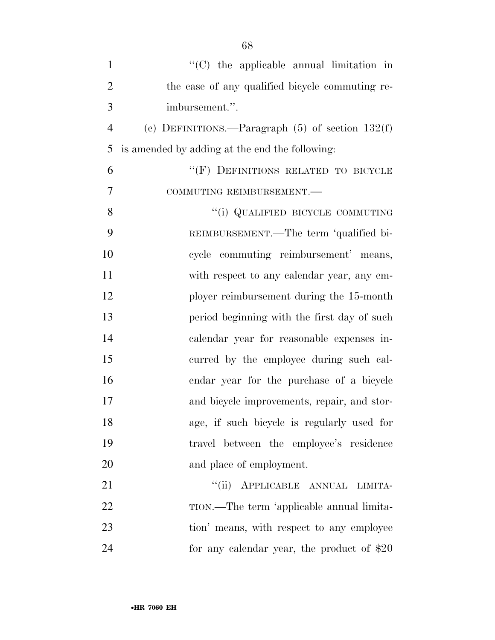| $\mathbf{1}$   | "(C) the applicable annual limitation in             |
|----------------|------------------------------------------------------|
| $\overline{2}$ | the case of any qualified bicycle commuting re-      |
| 3              | imbursement.".                                       |
| $\overline{4}$ | (c) DEFINITIONS.—Paragraph $(5)$ of section $132(f)$ |
| 5              | is amended by adding at the end the following:       |
| 6              | "(F) DEFINITIONS RELATED TO BICYCLE                  |
| $\overline{7}$ | COMMUTING REIMBURSEMENT.                             |
| 8              | "(i) QUALIFIED BICYCLE COMMUTING                     |
| 9              | REIMBURSEMENT.—The term 'qualified bi-               |
| 10             | cycle commuting reimbursement' means,                |
| 11             | with respect to any calendar year, any em-           |
| 12             | ployer reimbursement during the 15-month             |
| 13             | period beginning with the first day of such          |
| 14             | calendar year for reasonable expenses in-            |
| 15             | curred by the employee during such cal-              |
| 16             | endar year for the purchase of a bicycle             |
| 17             | and bicycle improvements, repair, and stor-          |
| 18             | age, if such bicycle is regularly used for           |
| 19             | travel between the employee's residence              |
| 20             | and place of employment.                             |
| 21             | "(ii) APPLICABLE ANNUAL LIMITA-                      |
| 22             | TION.—The term 'applicable annual limita-            |
| 23             | tion' means, with respect to any employee            |
| 24             | for any calendar year, the product of $$20$          |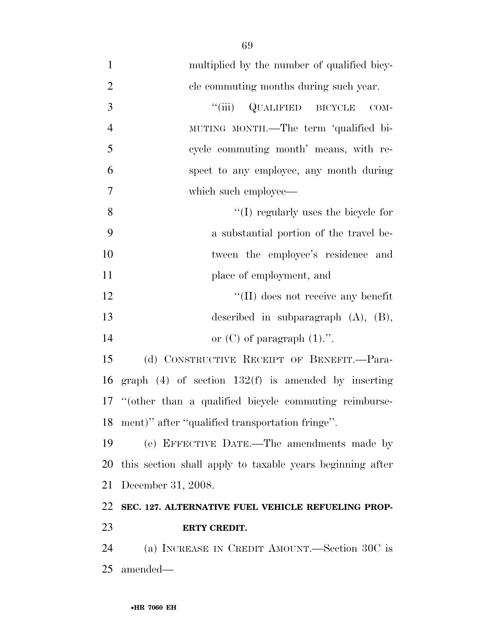multiplied by the number of qualified bicy- cle commuting months during such year. 3 "(iii) QUALIFIED BICYCLE COM- MUTING MONTH.—The term 'qualified bi- cycle commuting month' means, with re- spect to any employee, any month during which such employee— 8 ''(I) regularly uses the bicycle for a substantial portion of the travel be- tween the employee's residence and 11 place of employment, and 12 ''(II) does not receive any benefit described in subparagraph (A), (B), 14 or  $(C)$  of paragraph  $(1)$ .". (d) CONSTRUCTIVE RECEIPT OF BENEFIT.—Para-graph (4) of section 132(f) is amended by inserting

 ''(other than a qualified bicycle commuting reimburse-ment)'' after ''qualified transportation fringe''.

 (e) EFFECTIVE DATE.—The amendments made by this section shall apply to taxable years beginning after December 31, 2008.

## **SEC. 127. ALTERNATIVE FUEL VEHICLE REFUELING PROP-ERTY CREDIT.**

 (a) INCREASE IN CREDIT AMOUNT.—Section 30C is amended—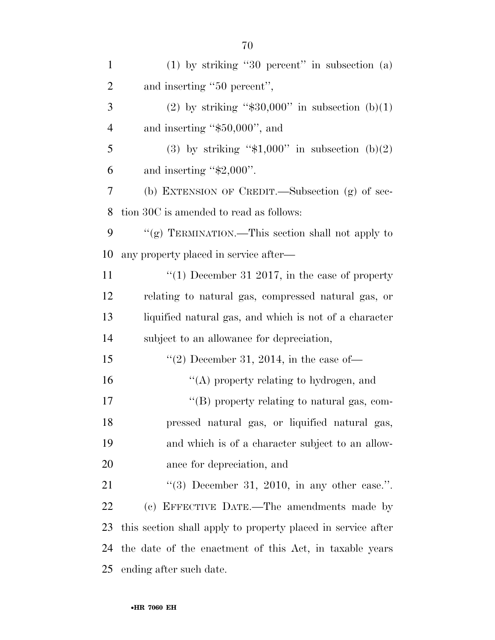| $\mathbf{1}$   | $(1)$ by striking "30 percent" in subsection $(a)$           |
|----------------|--------------------------------------------------------------|
| $\overline{2}$ | and inserting "50 percent",                                  |
| 3              | (2) by striking " $$30,000"$ in subsection (b)(1)            |
| $\overline{4}$ | and inserting " $$50,000"$ , and                             |
| 5              | (3) by striking " $\text{$}1,000$ " in subsection (b)(2)     |
| 6              | and inserting " $$2,000$ ".                                  |
| 7              | (b) EXTENSION OF CREDIT.—Subsection (g) of sec-              |
| 8              | tion 30C is amended to read as follows:                      |
| 9              | "(g) TERMINATION.—This section shall not apply to            |
| 10             | any property placed in service after—                        |
| 11             | "(1) December 31 2017, in the case of property               |
| 12             | relating to natural gas, compressed natural gas, or          |
| 13             | liquified natural gas, and which is not of a character       |
| 14             | subject to an allowance for depreciation,                    |
| 15             | "(2) December 31, 2014, in the case of-                      |
| 16             | "(A) property relating to hydrogen, and                      |
| 17             | "(B) property relating to natural gas, com-                  |
| 18             | pressed natural gas, or liquified natural gas,               |
| 19             | and which is of a character subject to an allow-             |
| 20             | ance for depreciation, and                                   |
| 21             | "(3) December 31, 2010, in any other case.".                 |
| 22             | (c) EFFECTIVE DATE.—The amendments made by                   |
| 23             | this section shall apply to property placed in service after |
| 24             | the date of the enactment of this Act, in taxable years      |
| 25             | ending after such date.                                      |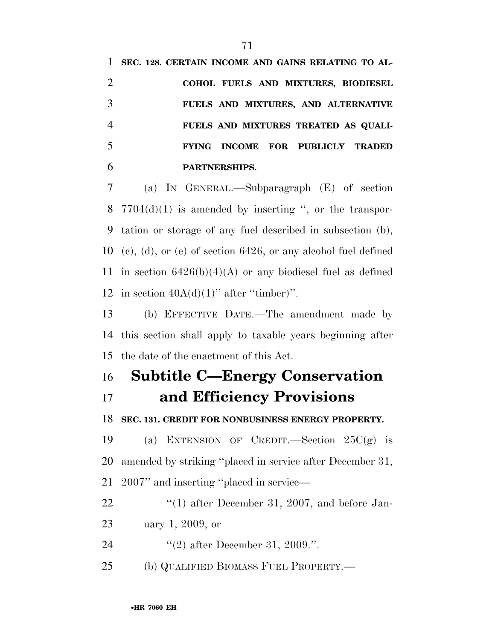**SEC. 128. CERTAIN INCOME AND GAINS RELATING TO AL- COHOL FUELS AND MIXTURES, BIODIESEL FUELS AND MIXTURES, AND ALTERNATIVE FUELS AND MIXTURES TREATED AS QUALI- FYING INCOME FOR PUBLICLY TRADED PARTNERSHIPS.** 

 (a) IN GENERAL.—Subparagraph (E) of section  $7704(d)(1)$  is amended by inserting ", or the transpor- tation or storage of any fuel described in subsection (b), (c), (d), or (e) of section 6426, or any alcohol fuel defined 11 in section  $6426(b)(4)(A)$  or any biodiesel fuel as defined 12 in section  $40A(d)(1)$ " after "timber)".

 (b) EFFECTIVE DATE.—The amendment made by this section shall apply to taxable years beginning after the date of the enactment of this Act.

## **Subtitle C—Energy Conservation and Efficiency Provisions**

**SEC. 131. CREDIT FOR NONBUSINESS ENERGY PROPERTY.** 

19 (a) EXTENSION OF CREDIT.—Section  $25C(g)$  is amended by striking ''placed in service after December 31, 2007'' and inserting ''placed in service—

22 ''(1) after December 31, 2007, and before Jan- uary 1, 2009, or 24 "(2) after December 31, 2009.".

(b) QUALIFIED BIOMASS FUEL PROPERTY.—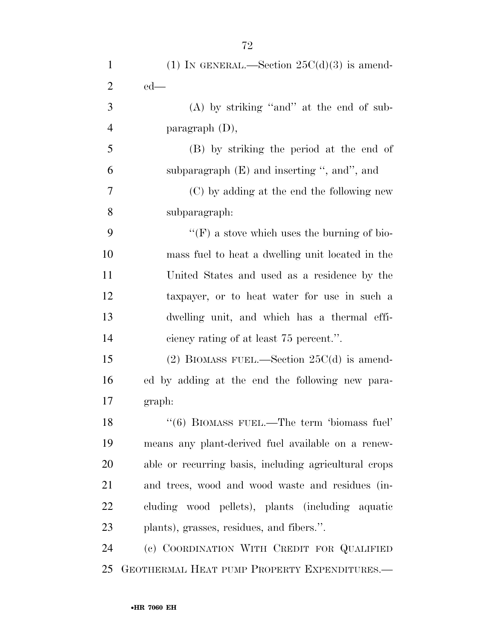| $\mathbf{1}$   | (1) IN GENERAL.—Section $25C(d)(3)$ is amend-         |
|----------------|-------------------------------------------------------|
| $\overline{2}$ | $ed$ —                                                |
| 3              | $(A)$ by striking "and" at the end of sub-            |
| $\overline{4}$ | paragraph $(D)$ ,                                     |
| 5              | (B) by striking the period at the end of              |
| 6              | subparagraph (E) and inserting ", and", and           |
| 7              | (C) by adding at the end the following new            |
| 8              | subparagraph:                                         |
| 9              | "(F) a stove which uses the burning of bio-           |
| 10             | mass fuel to heat a dwelling unit located in the      |
| 11             | United States and used as a residence by the          |
| 12             | taxpayer, or to heat water for use in such a          |
| 13             | dwelling unit, and which has a thermal effi-          |
| 14             | ciency rating of at least 75 percent.".               |
| 15             | (2) BIOMASS FUEL.—Section $25C(d)$ is amend-          |
| 16             | ed by adding at the end the following new para-       |
| 17             | graph:                                                |
| 18             | "(6) BIOMASS FUEL.—The term 'biomass fuel'            |
| 19             | means any plant-derived fuel available on a renew-    |
| 20             | able or recurring basis, including agricultural crops |
| 21             | and trees, wood and wood waste and residues (in-      |
| 22             | cluding wood pellets), plants (including aquatic      |
| 23             | plants), grasses, residues, and fibers.".             |
| 24             | (c) COORDINATION WITH CREDIT FOR QUALIFIED            |
| 25             | GEOTHERMAL HEAT PUMP PROPERTY EXPENDITURES.—          |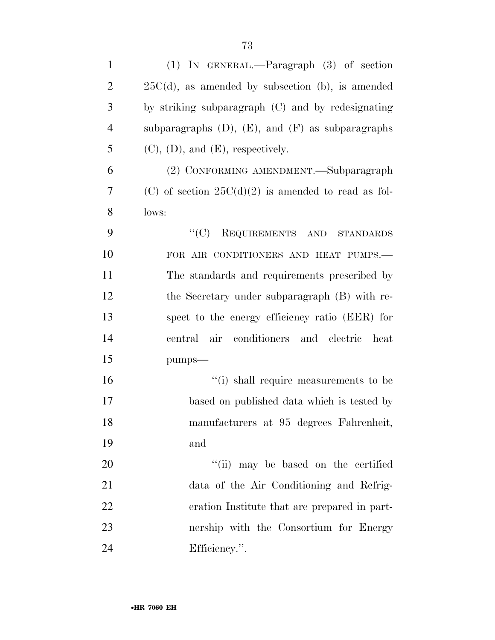| $\mathbf{1}$   | $(1)$ IN GENERAL.—Paragraph $(3)$ of section             |
|----------------|----------------------------------------------------------|
| $\overline{2}$ | $25C(d)$ , as amended by subsection (b), is amended      |
| 3              | by striking subparagraph (C) and by redesignating        |
| $\overline{4}$ | subparagraphs $(D)$ , $(E)$ , and $(F)$ as subparagraphs |
| 5              | $(C)$ , $(D)$ , and $(E)$ , respectively.                |
| 6              | (2) CONFORMING AMENDMENT.—Subparagraph                   |
| 7              | (C) of section $25C(d)(2)$ is amended to read as fol-    |
| 8              | lows:                                                    |
| 9              | ``(C)<br>REQUIREMENTS AND STANDARDS                      |
| 10             | FOR AIR CONDITIONERS AND HEAT PUMPS.-                    |
| 11             | The standards and requirements prescribed by             |
| 12             | the Secretary under subparagraph (B) with re-            |
| 13             | spect to the energy efficiency ratio (EER) for           |
| 14             | air conditioners and electric<br>heat<br>central         |
| 15             | pumps-                                                   |
| 16             | "(i) shall require measurements to be                    |
| 17             | based on published data which is tested by               |
| 18             | manufacturers at 95 degrees Fahrenheit,                  |
| 19             | and                                                      |
| 20             | "(ii) may be based on the certified                      |
| 21             | data of the Air Conditioning and Refrig-                 |
| 22             | eration Institute that are prepared in part-             |
| 23             | nership with the Consortium for Energy                   |
| 24             | Efficiency.".                                            |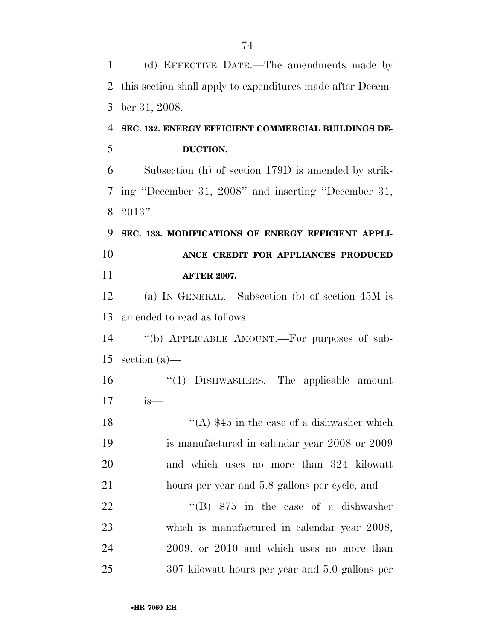| $\mathbf{1}$ | (d) EFFECTIVE DATE.—The amendments made by                 |
|--------------|------------------------------------------------------------|
| 2            | this section shall apply to expenditures made after Decem- |
| 3            | ber 31, 2008.                                              |
| 4            | SEC. 132. ENERGY EFFICIENT COMMERCIAL BUILDINGS DE-        |
| 5            | DUCTION.                                                   |
| 6            | Subsection (h) of section 179D is amended by strik-        |
| 7            | ing "December 31, 2008" and inserting "December 31,        |
| 8            | $2013"$ .                                                  |
| 9            | SEC. 133. MODIFICATIONS OF ENERGY EFFICIENT APPLI-         |
| 10           | ANCE CREDIT FOR APPLIANCES PRODUCED                        |
| 11           | <b>AFTER 2007.</b>                                         |
| 12           | (a) IN GENERAL.—Subsection (b) of section $45M$ is         |
| 13           | amended to read as follows:                                |
| 14           | "(b) APPLICABLE AMOUNT.—For purposes of sub-               |
| 15           | section $(a)$ —                                            |
| 16           | "(1) DISHWASHERS.—The applicable amount                    |
| 17           | $is-$                                                      |
| 18           | "(A) $$45$ in the case of a dishwasher which               |
| 19           | is manufactured in calendar year 2008 or 2009              |
| 20           | and which uses no more than 324 kilowatt                   |
| 21           | hours per year and 5.8 gallons per cycle, and              |
| 22           | "(B) $$75$ in the case of a dishwasher                     |
| 23           | which is manufactured in calendar year 2008,               |
| 24           | 2009, or 2010 and which uses no more than                  |
| 25           | 307 kilowatt hours per year and 5.0 gallons per            |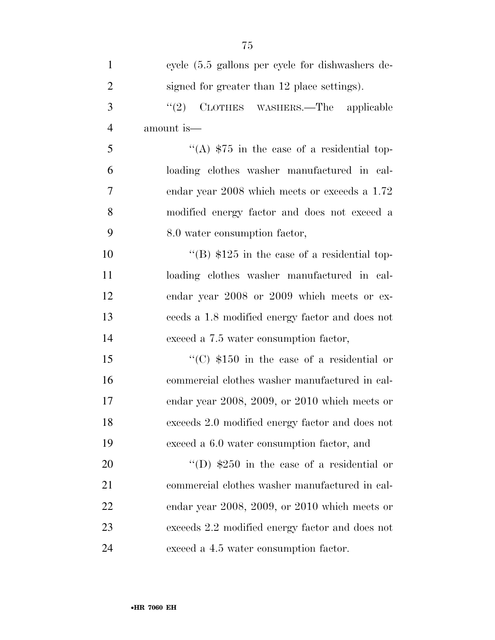| $\mathbf{1}$   | cycle $(5.5 \text{ gallons per cycle}$ for dishwashers de- |
|----------------|------------------------------------------------------------|
| $\overline{2}$ | signed for greater than 12 place settings).                |
| 3              | "(2) CLOTHES WASHERS.—The applicable                       |
| $\overline{4}$ | amount is—                                                 |
| 5              | "(A) $$75$ in the case of a residential top-               |
| 6              | loading clothes washer manufactured in cal-                |
| $\overline{7}$ | endar year 2008 which meets or exceeds a 1.72              |
| 8              | modified energy factor and does not exceed a               |
| 9              | 8.0 water consumption factor,                              |
| 10             | "(B) $$125$ in the case of a residential top-              |
| 11             | loading clothes washer manufactured in cal-                |
| 12             | endar year 2008 or 2009 which meets or ex-                 |
| 13             | ceeds a 1.8 modified energy factor and does not            |
| 14             | exceed a 7.5 water consumption factor,                     |
| 15             | "(C) $$150$ in the case of a residential or                |
| 16             | commercial clothes washer manufactured in cal-             |
| 17             | endar year 2008, 2009, or 2010 which meets or              |
| 18             | exceeds 2.0 modified energy factor and does not            |
| 19             | exceed a 6.0 water consumption factor, and                 |
| 20             | "(D) $$250$ in the case of a residential or                |
| 21             | commercial clothes washer manufactured in cal-             |
| 22             | endar year 2008, 2009, or 2010 which meets or              |
| 23             | exceeds 2.2 modified energy factor and does not            |
| 24             | exceed a 4.5 water consumption factor.                     |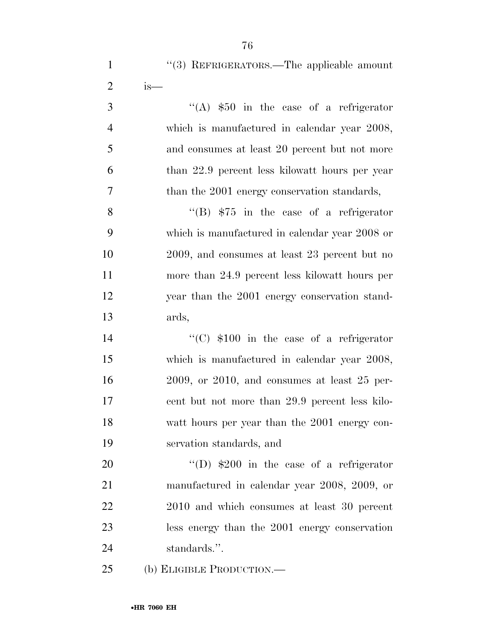1 "(3) REFRIGERATORS.—The applicable amount is—

 ''(A)  $$50$  in the case of a refrigerator which is manufactured in calendar year 2008, and consumes at least 20 percent but not more than 22.9 percent less kilowatt hours per year than the 2001 energy conservation standards,

8 ''(B)  $$75$  in the case of a refrigerator which is manufactured in calendar year 2008 or 2009, and consumes at least 23 percent but no more than 24.9 percent less kilowatt hours per year than the 2001 energy conservation stand-ards,

14 ''(C)  $$100$  in the case of a refrigerator which is manufactured in calendar year 2008, 2009, or 2010, and consumes at least 25 per- cent but not more than 29.9 percent less kilo- watt hours per year than the 2001 energy con-servation standards, and

 $\text{``(D) $200}$  in the case of a refrigerator manufactured in calendar year 2008, 2009, or 2010 and which consumes at least 30 percent less energy than the 2001 energy conservation standards.''.

(b) ELIGIBLE PRODUCTION.—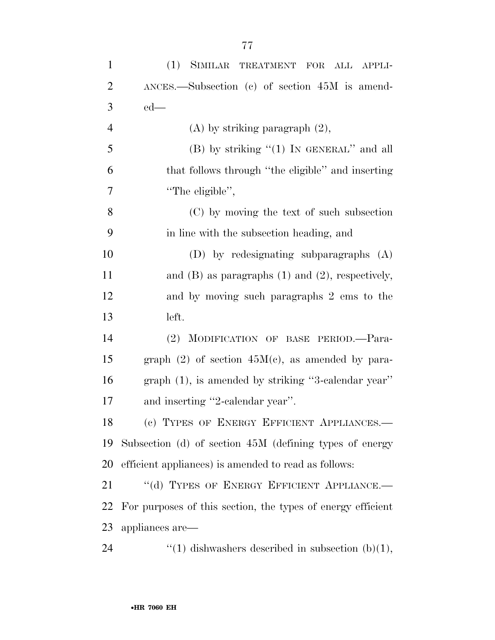| $\mathbf{1}$   | (1) SIMILAR TREATMENT FOR ALL APPLI-                        |
|----------------|-------------------------------------------------------------|
| $\overline{2}$ | $ANCES.$ Subsection (c) of section $45M$ is amend-          |
| 3              | $ed$ —                                                      |
| $\overline{4}$ | $(A)$ by striking paragraph $(2)$ ,                         |
| 5              | $(B)$ by striking " $(1)$ In GENERAL" and all               |
| 6              | that follows through "the eligible" and inserting           |
| 7              | "The eligible",                                             |
| 8              | (C) by moving the text of such subsection                   |
| 9              | in line with the subsection heading, and                    |
| 10             | $(D)$ by redesignating subparagraphs $(A)$                  |
| 11             | and $(B)$ as paragraphs $(1)$ and $(2)$ , respectively,     |
| 12             | and by moving such paragraphs 2 ems to the                  |
| 13             | left.                                                       |
| 14             | (2) MODIFICATION OF BASE PERIOD.-Para-                      |
| 15             | graph $(2)$ of section $45M(e)$ , as amended by para-       |
| 16             | $graph(1)$ , is amended by striking "3-calendar year"       |
| 17             | and inserting "2-calendar year".                            |
| 18             | (c) TYPES OF ENERGY EFFICIENT APPLIANCES.-                  |
| 19             | Subsection (d) of section 45M (defining types of energy     |
| 20             | efficient appliances) is amended to read as follows:        |
| 21             | "(d) TYPES OF ENERGY EFFICIENT APPLIANCE.-                  |
| 22             | For purposes of this section, the types of energy efficient |
| 23             | appliances are—                                             |
| 24             | "(1) dishwashers described in subsection $(b)(1)$ ,         |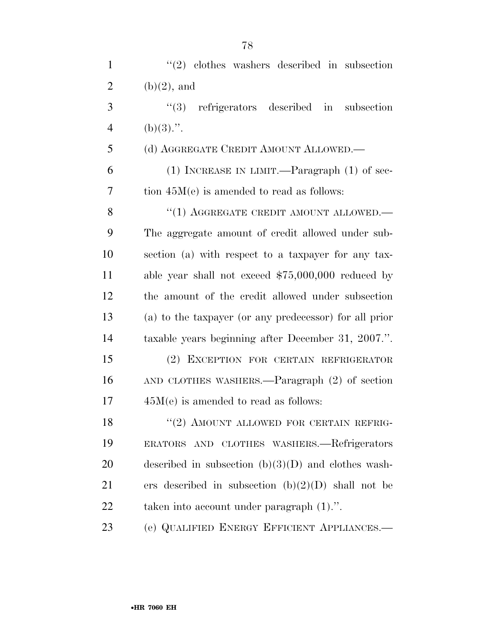| $\mathbf{1}$   | $(2)$ clothes washers described in subsection          |
|----------------|--------------------------------------------------------|
| $\overline{2}$ | $(b)(2)$ , and                                         |
| 3              | $(3)$ refrigerators described in<br>subsection         |
| $\overline{4}$ | $(b)(3)$ .".                                           |
| 5              | (d) AGGREGATE CREDIT AMOUNT ALLOWED.—                  |
| 6              | (1) INCREASE IN LIMIT.—Paragraph $(1)$ of sec-         |
| 7              | tion $45M(e)$ is amended to read as follows:           |
| 8              | "(1) AGGREGATE CREDIT AMOUNT ALLOWED.-                 |
| 9              | The aggregate amount of credit allowed under sub-      |
| 10             | section (a) with respect to a taxpayer for any tax-    |
| 11             | able year shall not exceed $$75,000,000$ reduced by    |
| 12             | the amount of the credit allowed under subsection      |
| 13             | (a) to the taxpayer (or any predecessor) for all prior |
| 14             | taxable years beginning after December 31, 2007.".     |
| 15             | (2) EXCEPTION FOR CERTAIN REFRIGERATOR                 |
| 16             | AND CLOTHES WASHERS.—Paragraph (2) of section          |
| 17             | $45M(e)$ is amended to read as follows:                |
| 18             | $(2)$ AMOUNT ALLOWED FOR CERTAIN REFRIG-               |
| 19             | ERATORS AND CLOTHES WASHERS.—Refrigerators             |
| 20             | described in subsection $(b)(3)(D)$ and clothes wash-  |
| 21             | ers described in subsection $(b)(2)(D)$ shall not be   |
| 22             | taken into account under paragraph $(1)$ .".           |
| 23             | (e) QUALIFIED ENERGY EFFICIENT APPLIANCES.-            |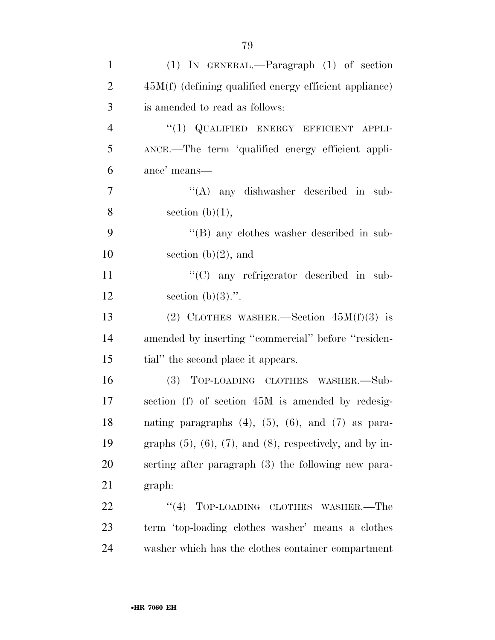| $\mathbf{1}$   | $(1)$ IN GENERAL.—Paragraph $(1)$ of section                        |
|----------------|---------------------------------------------------------------------|
| $\overline{2}$ | $45M(f)$ (defining qualified energy efficient appliance)            |
| 3              | is amended to read as follows:                                      |
| $\overline{4}$ | "(1) QUALIFIED ENERGY EFFICIENT APPLI-                              |
| 5              | ANCE.—The term 'qualified energy efficient appli-                   |
| 6              | ance' means—                                                        |
| $\overline{7}$ | $\lq\lq$ any dishwasher described in sub-                           |
| 8              | section $(b)(1)$ ,                                                  |
| 9              | $\lq$ (B) any clothes washer described in sub-                      |
| 10             | section $(b)(2)$ , and                                              |
| 11             | "(C) any refrigerator described in sub-                             |
| 12             | section $(b)(3)$ .".                                                |
| 13             | (2) CLOTHES WASHER.—Section $45M(f)(3)$ is                          |
| 14             | amended by inserting "commercial" before "residen-                  |
| 15             | tial" the second place it appears.                                  |
| 16             | (3) TOP-LOADING CLOTHES WASHER.-Sub-                                |
| 17             | section (f) of section 45M is amended by redesig-                   |
| 18             | nating paragraphs $(4)$ , $(5)$ , $(6)$ , and $(7)$ as para-        |
| 19             | graphs $(5)$ , $(6)$ , $(7)$ , and $(8)$ , respectively, and by in- |
| 20             | serting after paragraph (3) the following new para-                 |
| 21             | graph:                                                              |
| 22             | "(4) TOP-LOADING CLOTHES WASHER.—The                                |
| 23             | term 'top-loading clothes washer' means a clothes                   |
| 24             | washer which has the clothes container compartment                  |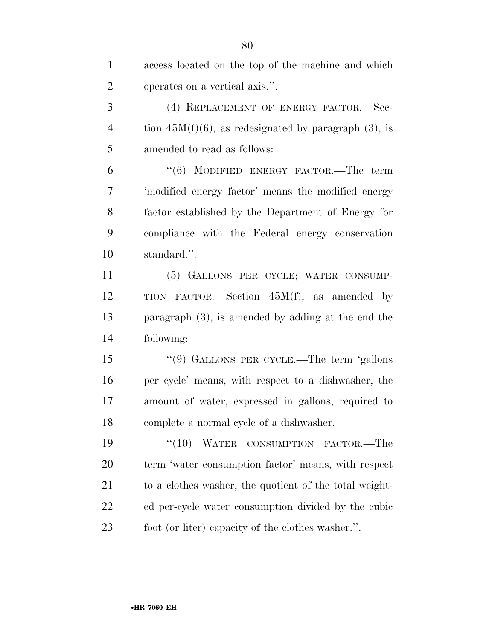| $\mathbf{1}$   | access located on the top of the machine and which      |
|----------------|---------------------------------------------------------|
| $\overline{2}$ | operates on a vertical axis.".                          |
| 3              | (4) REPLACEMENT OF ENERGY FACTOR.-Sec-                  |
| $\overline{4}$ | tion $45M(f)(6)$ , as redesignated by paragraph (3), is |
| 5              | amended to read as follows:                             |
| 6              | $(6)$ MODIFIED ENERGY FACTOR.—The term                  |
| 7              | 'modified energy factor' means the modified energy      |
| 8              | factor established by the Department of Energy for      |
| 9              | compliance with the Federal energy conservation         |
| 10             | standard.".                                             |
| 11             | (5) GALLONS PER CYCLE; WATER CONSUMP-                   |
| 12             | TION FACTOR.—Section $45M(f)$ , as amended by           |
| 13             | paragraph $(3)$ , is amended by adding at the end the   |
| 14             | following:                                              |
| 15             | "(9) GALLONS PER CYCLE.—The term 'gallons               |
| 16             | per cycle' means, with respect to a dishwasher, the     |
| 17             | amount of water, expressed in gallons, required to      |
| 18             | complete a normal cycle of a dishwasher.                |
| 19             | (10)<br>WATER<br>CONSUMPTION FACTOR.—The                |
| 20             | term 'water consumption factor' means, with respect     |
| 21             | to a clothes washer, the quotient of the total weight-  |
| 22             | ed per-cycle water consumption divided by the cubic     |
| 23             | foot (or liter) capacity of the clothes washer.".       |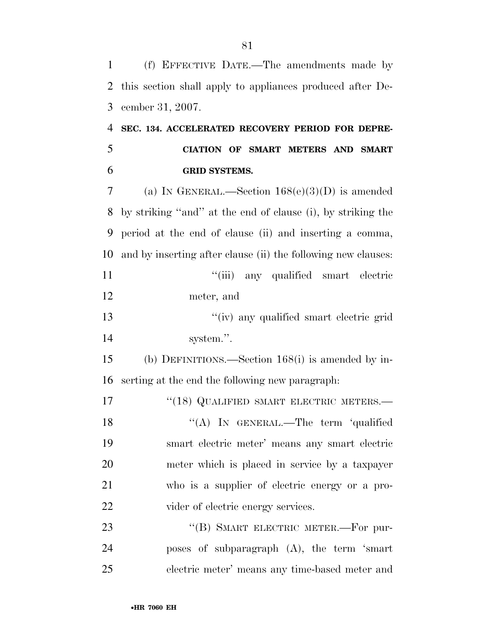(f) EFFECTIVE DATE.—The amendments made by this section shall apply to appliances produced after De- cember 31, 2007. **SEC. 134. ACCELERATED RECOVERY PERIOD FOR DEPRE- CIATION OF SMART METERS AND SMART GRID SYSTEMS.**  (a) IN GENERAL.—Section 168(e)(3)(D) is amended by striking ''and'' at the end of clause (i), by striking the period at the end of clause (ii) and inserting a comma, and by inserting after clause (ii) the following new clauses: 11 ''(iii) any qualified smart electric meter, and ''(iv) any qualified smart electric grid system.''. (b) DEFINITIONS.—Section 168(i) is amended by in- serting at the end the following new paragraph: 17 <sup>''</sup>(18) QUALIFIED SMART ELECTRIC METERS.— 18 "(A) In GENERAL.—The term 'qualified smart electric meter' means any smart electric meter which is placed in service by a taxpayer who is a supplier of electric energy or a pro-22 vider of electric energy services. 23 "(B) SMART ELECTRIC METER.—For pur- poses of subparagraph (A), the term 'smart electric meter' means any time-based meter and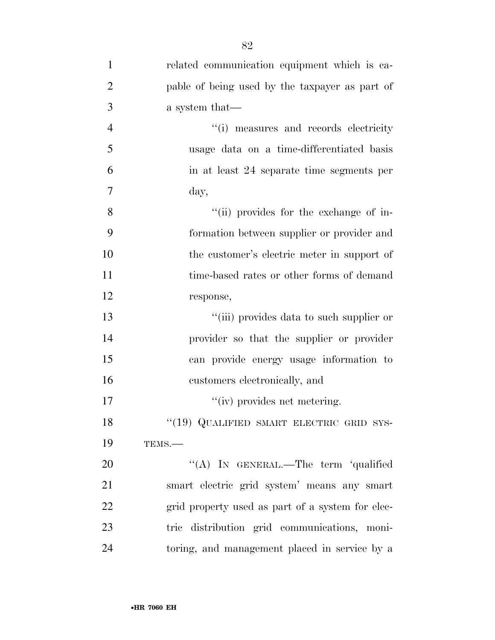| $\mathbf{1}$   | related communication equipment which is ca-     |
|----------------|--------------------------------------------------|
| $\overline{2}$ | pable of being used by the taxpayer as part of   |
| 3              | a system that—                                   |
| $\overline{4}$ | "(i) measures and records electricity            |
| 5              | usage data on a time-differentiated basis        |
| 6              | in at least 24 separate time segments per        |
| 7              | day,                                             |
| 8              | "(ii) provides for the exchange of in-           |
| 9              | formation between supplier or provider and       |
| 10             | the customer's electric meter in support of      |
| 11             | time-based rates or other forms of demand        |
| 12             | response,                                        |
| 13             | "(iii) provides data to such supplier or         |
| 14             | provider so that the supplier or provider        |
| 15             | can provide energy usage information to          |
| 16             | customers electronically, and                    |
| 17             | "(iv) provides net metering.                     |
| 18             | "(19) QUALIFIED SMART ELECTRIC GRID SYS-         |
| 19             | TEMS.-                                           |
| 20             | "(A) IN GENERAL.—The term 'qualified             |
| 21             | smart electric grid system' means any smart      |
| 22             | grid property used as part of a system for elec- |
| 23             | tric distribution grid communications, moni-     |
| 24             | toring, and management placed in service by a    |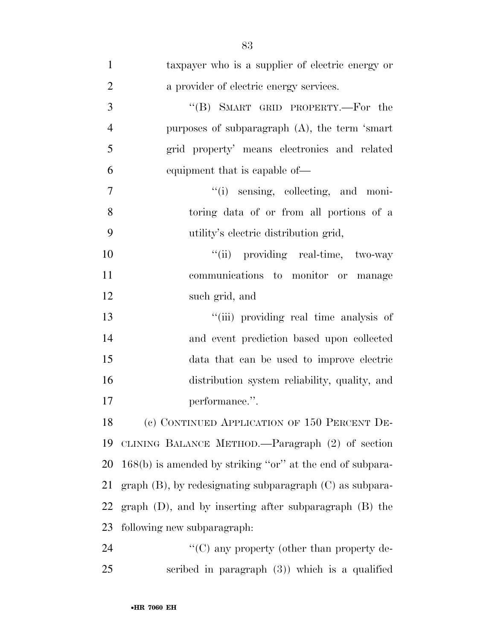| $\mathbf{1}$   | taxpayer who is a supplier of electric energy or              |
|----------------|---------------------------------------------------------------|
| $\overline{2}$ | a provider of electric energy services.                       |
| 3              | "(B) SMART GRID PROPERTY.—For the                             |
| $\overline{4}$ | purposes of subparagraph $(A)$ , the term 'smart'             |
| 5              | grid property' means electronics and related                  |
| 6              | equipment that is capable of—                                 |
| $\overline{7}$ | "(i) sensing, collecting, and moni-                           |
| 8              | toring data of or from all portions of a                      |
| 9              | utility's electric distribution grid,                         |
| 10             | "(ii) providing real-time, two-way                            |
| 11             | communications to monitor or manage                           |
| 12             | such grid, and                                                |
| 13             | "(iii) providing real time analysis of                        |
| 14             | and event prediction based upon collected                     |
| 15             | data that can be used to improve electric                     |
| 16             | distribution system reliability, quality, and                 |
| 17             | performance.".                                                |
| 18             | (c) CONTINUED APPLICATION OF 150 PERCENT DE-                  |
| 19             | CLINING BALANCE METHOD.—Paragraph (2) of section              |
| 20             | $168(b)$ is amended by striking "or" at the end of subpara-   |
| 21             | $graph (B)$ , by redesignating subparagraph $(C)$ as subpara- |
| 22             | graph $(D)$ , and by inserting after subparagraph $(B)$ the   |
| 23             | following new subparagraph:                                   |
| 24             | "(C) any property (other than property de-                    |
| 25             | scribed in paragraph $(3)$ ) which is a qualified             |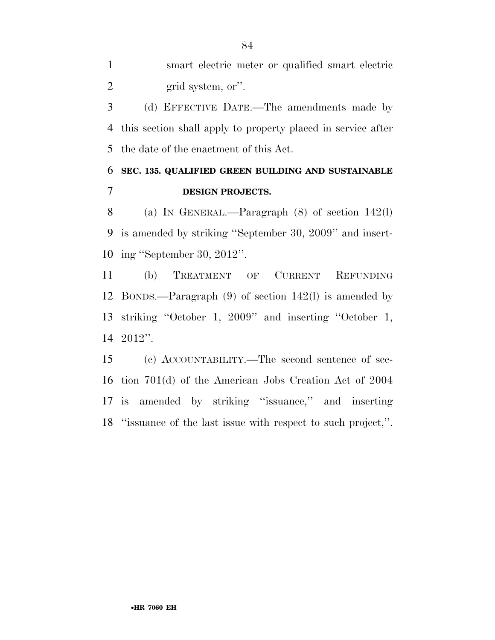smart electric meter or qualified smart electric 2 grid system, or".

 (d) EFFECTIVE DATE.—The amendments made by this section shall apply to property placed in service after the date of the enactment of this Act.

### **SEC. 135. QUALIFIED GREEN BUILDING AND SUSTAINABLE DESIGN PROJECTS.**

 (a) IN GENERAL.—Paragraph (8) of section 142(l) is amended by striking ''September 30, 2009'' and insert-ing ''September 30, 2012''.

 (b) TREATMENT OF CURRENT REFUNDING BONDS.—Paragraph (9) of section 142(l) is amended by striking ''October 1, 2009'' and inserting ''October 1, 2012''.

 (c) ACCOUNTABILITY.—The second sentence of sec- tion 701(d) of the American Jobs Creation Act of 2004 is amended by striking ''issuance,'' and inserting ''issuance of the last issue with respect to such project,''.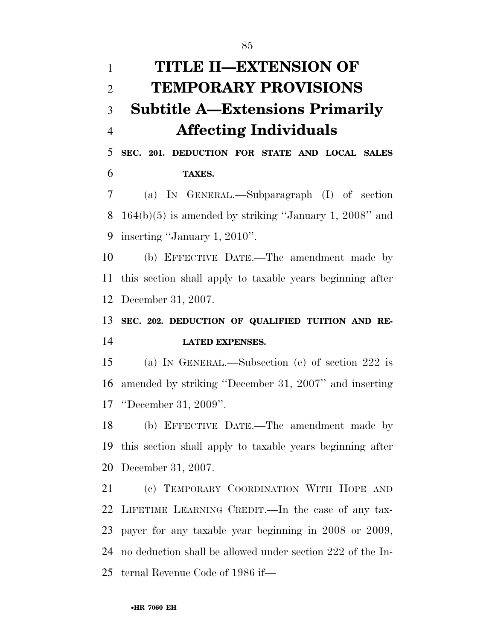| $\mathbf{1}$   | TITLE II—EXTENSION OF                                      |
|----------------|------------------------------------------------------------|
| $\mathfrak{2}$ | <b>TEMPORARY PROVISIONS</b>                                |
| 3              | <b>Subtitle A—Extensions Primarily</b>                     |
| $\overline{4}$ | <b>Affecting Individuals</b>                               |
| 5              | SEC. 201. DEDUCTION FOR STATE AND LOCAL SALES              |
| 6              | TAXES.                                                     |
| 7              | (a) IN GENERAL.—Subparagraph (I) of section                |
| 8              | $164(b)(5)$ is amended by striking "January 1, 2008" and   |
| 9              | inserting "January 1, 2010".                               |
| 10             | (b) EFFECTIVE DATE.—The amendment made by                  |
| 11             | this section shall apply to taxable years beginning after  |
| 12             | December 31, 2007.                                         |
|                |                                                            |
| 13             | SEC. 202. DEDUCTION OF QUALIFIED TUITION AND RE-           |
| 14             | <b>LATED EXPENSES.</b>                                     |
| 15             | (a) IN GENERAL.—Subsection (e) of section 222 is           |
| 16             | amended by striking "December 31, 2007" and inserting      |
|                | 17 "December 31, 2009".                                    |
| 18             | (b) EFFECTIVE DATE.—The amendment made by                  |
| 19             | this section shall apply to taxable years beginning after  |
|                | 20 December 31, 2007.                                      |
| 21             | (c) TEMPORARY COORDINATION WITH HOPE AND                   |
| 22             | LIFETIME LEARNING CREDIT.—In the case of any tax-          |
| 23             | payer for any taxable year beginning in 2008 or 2009,      |
| 24             | no deduction shall be allowed under section 222 of the In- |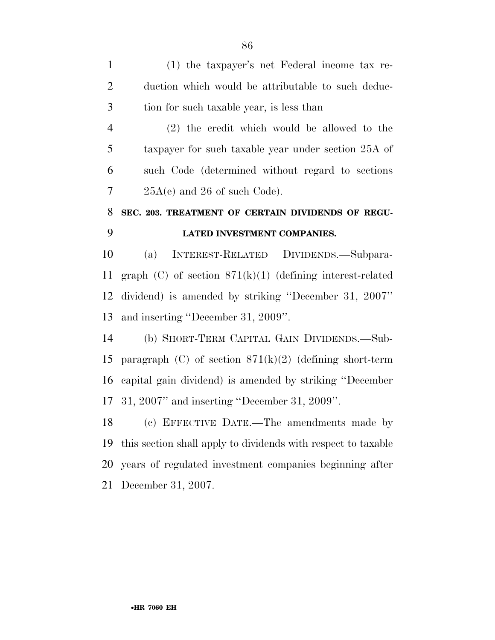(1) the taxpayer's net Federal income tax re- duction which would be attributable to such deduc-tion for such taxable year, is less than

 (2) the credit which would be allowed to the taxpayer for such taxable year under section 25A of such Code (determined without regard to sections  $7 \qquad 25A(e)$  and 26 of such Code).

## **SEC. 203. TREATMENT OF CERTAIN DIVIDENDS OF REGU-LATED INVESTMENT COMPANIES.**

 (a) INTEREST-RELATED DIVIDENDS.—Subpara- graph (C) of section 871(k)(1) (defining interest-related dividend) is amended by striking ''December 31, 2007'' and inserting ''December 31, 2009''.

 (b) SHORT-TERM CAPITAL GAIN DIVIDENDS.—Sub-15 paragraph (C) of section  $871(k)(2)$  (defining short-term capital gain dividend) is amended by striking ''December 31, 2007'' and inserting ''December 31, 2009''.

 (c) EFFECTIVE DATE.—The amendments made by this section shall apply to dividends with respect to taxable years of regulated investment companies beginning after December 31, 2007.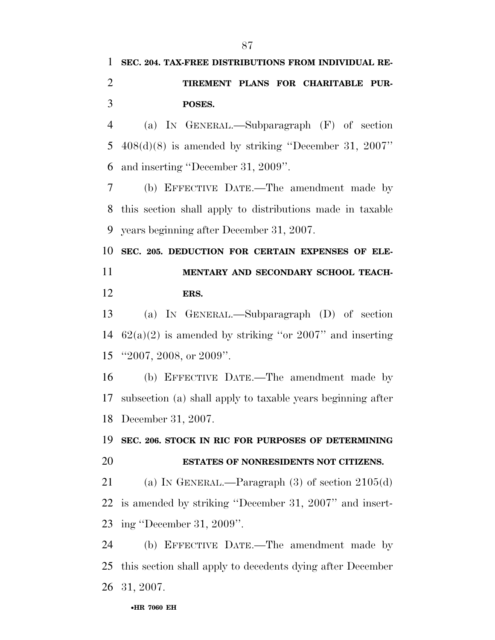**SEC. 204. TAX-FREE DISTRIBUTIONS FROM INDIVIDUAL RE-**

| $\overline{2}$ | TIREMENT PLANS FOR CHARITABLE PUR-                          |
|----------------|-------------------------------------------------------------|
| 3              | POSES.                                                      |
| $\overline{4}$ | (a) IN GENERAL.—Subparagraph $(F)$ of section               |
| 5              | $408(d)(8)$ is amended by striking "December 31, 2007"      |
| 6              | and inserting "December 31, 2009".                          |
| 7              | (b) EFFECTIVE DATE.—The amendment made by                   |
| 8              | this section shall apply to distributions made in taxable   |
| 9              | years beginning after December 31, 2007.                    |
| 10             | SEC. 205. DEDUCTION FOR CERTAIN EXPENSES OF ELE-            |
| 11             | MENTARY AND SECONDARY SCHOOL TEACH-                         |
| 12             | ERS.                                                        |
| 13             | (a) IN GENERAL.—Subparagraph $(D)$ of section               |
| 14             | $62(a)(2)$ is amended by striking "or 2007" and inserting   |
| 15             | "2007, 2008, or $2009$ ".                                   |
| 16             | (b) EFFECTIVE DATE.—The amendment made by                   |
| 17             | subsection (a) shall apply to taxable years beginning after |
| 18             | December 31, 2007.                                          |
|                | 19 SEC. 206. STOCK IN RIC FOR PURPOSES OF DETERMINING       |
| 20             | ESTATES OF NONRESIDENTS NOT CITIZENS.                       |
| 21             | (a) IN GENERAL.—Paragraph $(3)$ of section $2105(d)$        |
| 22             | is amended by striking "December 31, 2007" and insert-      |
| 23             | ing "December 31, 2009".                                    |
| 24             | (b) EFFECTIVE DATE.—The amendment made by                   |
| 25             | this section shall apply to decedents dying after December  |
| 26             | 31, 2007.                                                   |
|                | •HR 7060 EH                                                 |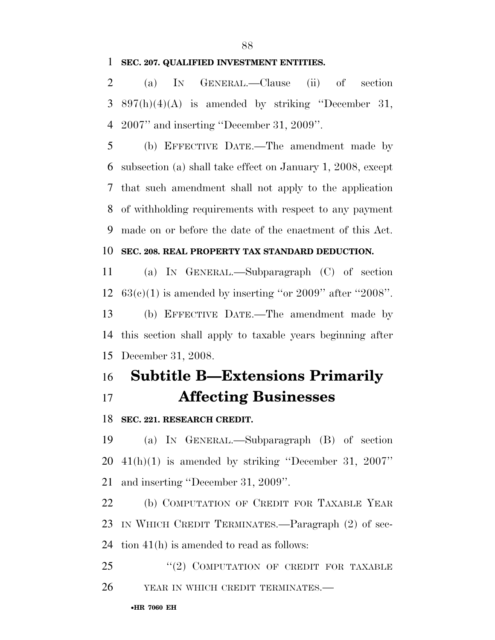#### **SEC. 207. QUALIFIED INVESTMENT ENTITIES.**

 (a) IN GENERAL.—Clause (ii) of section 3 897(h)(4)(A) is amended by striking "December 31, 2007'' and inserting ''December 31, 2009''.

 (b) EFFECTIVE DATE.—The amendment made by subsection (a) shall take effect on January 1, 2008, except that such amendment shall not apply to the application of withholding requirements with respect to any payment made on or before the date of the enactment of this Act.

#### **SEC. 208. REAL PROPERTY TAX STANDARD DEDUCTION.**

 (a) IN GENERAL.—Subparagraph (C) of section 12  $63(c)(1)$  is amended by inserting "or 2009" after "2008".

 (b) EFFECTIVE DATE.—The amendment made by this section shall apply to taxable years beginning after December 31, 2008.

## **Subtitle B—Extensions Primarily Affecting Businesses**

**SEC. 221. RESEARCH CREDIT.** 

 (a) IN GENERAL.—Subparagraph (B) of section 41(h)(1) is amended by striking ''December 31, 2007'' and inserting ''December 31, 2009''.

 (b) COMPUTATION OF CREDIT FOR TAXABLE YEAR IN WHICH CREDIT TERMINATES.—Paragraph (2) of sec-tion 41(h) is amended to read as follows:

25 "(2) COMPUTATION OF CREDIT FOR TAXABLE 26 YEAR IN WHICH CREDIT TERMINATES.—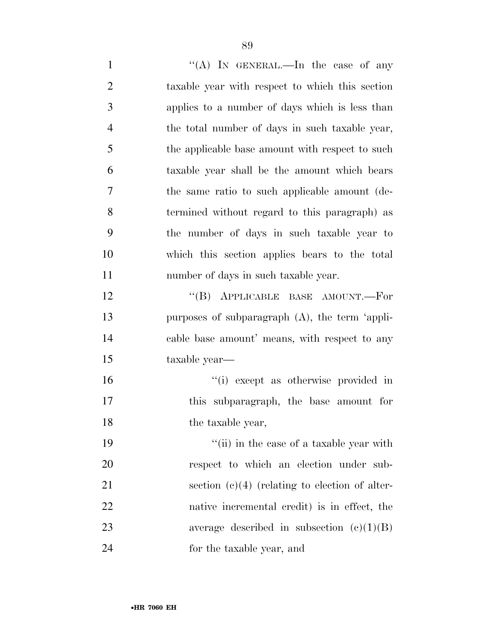1 ''(A) In GENERAL.—In the case of any taxable year with respect to which this section applies to a number of days which is less than the total number of days in such taxable year, the applicable base amount with respect to such taxable year shall be the amount which bears the same ratio to such applicable amount (de- termined without regard to this paragraph) as the number of days in such taxable year to which this section applies bears to the total number of days in such taxable year. 12 "(B) APPLICABLE BASE AMOUNT.—For purposes of subparagraph (A), the term 'appli- cable base amount' means, with respect to any taxable year—  $\frac{1}{10}$  except as otherwise provided in this subparagraph, the base amount for 18 the taxable year, 19 ''(ii) in the case of a taxable year with respect to which an election under sub-21 section (c)(4) (relating to election of alter- native incremental credit) is in effect, the 23 average described in subsection (c)(1)(B)

for the taxable year, and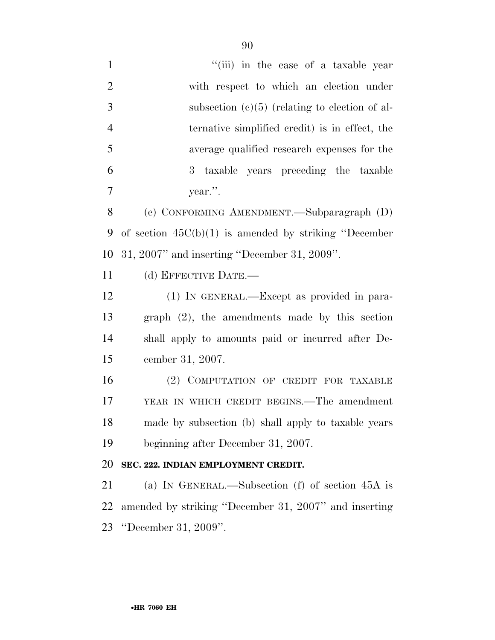| "(iii) in the case of a taxable year                     |
|----------------------------------------------------------|
| with respect to which an election under                  |
| subsection $(c)(5)$ (relating to election of al-         |
| ternative simplified credit) is in effect, the           |
| average qualified research expenses for the              |
| 3 taxable years preceding the taxable                    |
| year.".                                                  |
| (c) CONFORMING AMENDMENT.—Subparagraph (D)               |
| of section $45C(b)(1)$ is amended by striking "December" |
| $31, 2007$ " and inserting "December 31, 2009".          |
| (d) EFFECTIVE DATE.-                                     |
| (1) IN GENERAL.—Except as provided in para-              |
| graph $(2)$ , the amendments made by this section        |
| shall apply to amounts paid or incurred after De-        |
| cember 31, 2007.                                         |
| (2) COMPUTATION OF CREDIT FOR TAXABLE                    |
| YEAR IN WHICH CREDIT BEGINS.—The amendment               |
| made by subsection (b) shall apply to taxable years      |
| beginning after December 31, 2007.                       |
| SEC. 222. INDIAN EMPLOYMENT CREDIT.                      |
| (a) IN GENERAL.—Subsection (f) of section $45A$ is       |
| amended by striking "December 31, 2007" and inserting    |
| "December 31, $2009$ ".                                  |
|                                                          |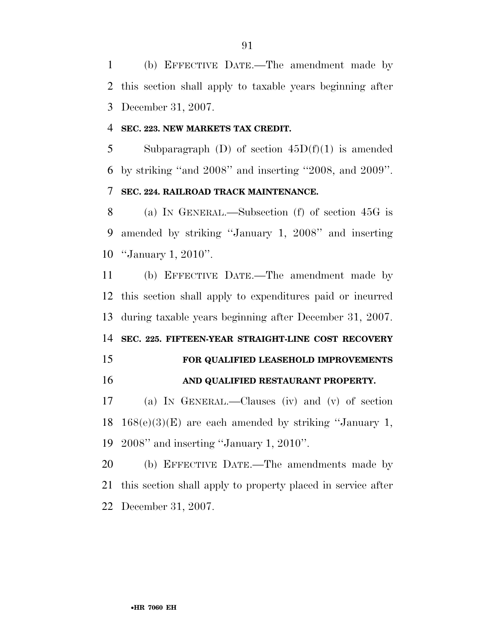(b) EFFECTIVE DATE.—The amendment made by this section shall apply to taxable years beginning after December 31, 2007.

#### **SEC. 223. NEW MARKETS TAX CREDIT.**

5 Subparagraph (D) of section  $45D(f)(1)$  is amended by striking ''and 2008'' and inserting ''2008, and 2009''. **SEC. 224. RAILROAD TRACK MAINTENANCE.** 

## (a) IN GENERAL.—Subsection (f) of section 45G is amended by striking ''January 1, 2008'' and inserting ''January 1, 2010''.

 (b) EFFECTIVE DATE.—The amendment made by this section shall apply to expenditures paid or incurred during taxable years beginning after December 31, 2007.

**SEC. 225. FIFTEEN-YEAR STRAIGHT-LINE COST RECOVERY** 

## **FOR QUALIFIED LEASEHOLD IMPROVEMENTS AND QUALIFIED RESTAURANT PROPERTY.**

 (a) IN GENERAL.—Clauses (iv) and (v) of section 18  $168(e)(3)(E)$  are each amended by striking "January 1, 2008'' and inserting ''January 1, 2010''.

 (b) EFFECTIVE DATE.—The amendments made by this section shall apply to property placed in service after December 31, 2007.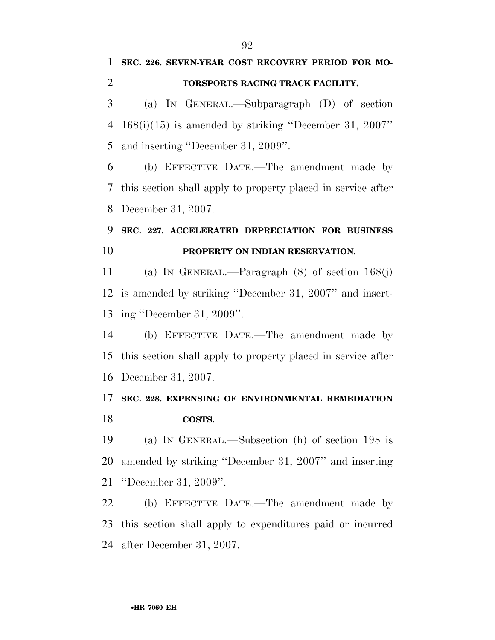**SEC. 226. SEVEN-YEAR COST RECOVERY PERIOD FOR MO-**

# •**HR 7060 EH TORSPORTS RACING TRACK FACILITY.**  (a) IN GENERAL.—Subparagraph (D) of section 168(i)(15) is amended by striking ''December 31, 2007'' and inserting ''December 31, 2009''. (b) EFFECTIVE DATE.—The amendment made by this section shall apply to property placed in service after December 31, 2007. **SEC. 227. ACCELERATED DEPRECIATION FOR BUSINESS PROPERTY ON INDIAN RESERVATION.**  (a) IN GENERAL.—Paragraph (8) of section 168(j) is amended by striking ''December 31, 2007'' and insert- ing ''December 31, 2009''. (b) EFFECTIVE DATE.—The amendment made by this section shall apply to property placed in service after December 31, 2007. **SEC. 228. EXPENSING OF ENVIRONMENTAL REMEDIATION COSTS.**  (a) IN GENERAL.—Subsection (h) of section 198 is amended by striking ''December 31, 2007'' and inserting ''December 31, 2009''. (b) EFFECTIVE DATE.—The amendment made by this section shall apply to expenditures paid or incurred after December 31, 2007.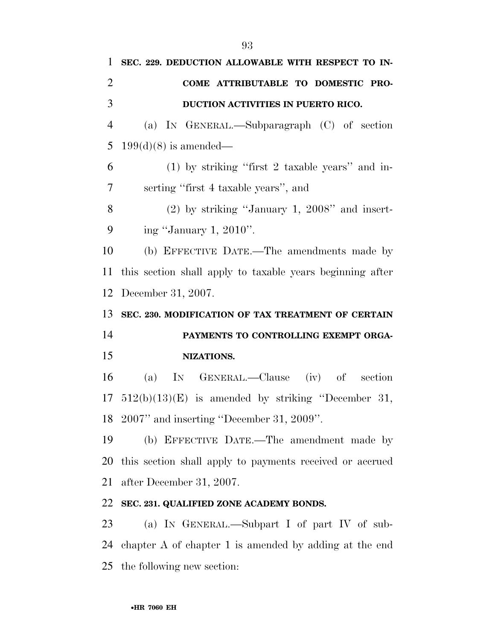**SEC. 229. DEDUCTION ALLOWABLE WITH RESPECT TO IN- COME ATTRIBUTABLE TO DOMESTIC PRO- DUCTION ACTIVITIES IN PUERTO RICO.**  (a) IN GENERAL.—Subparagraph (C) of section 5 199(d)(8) is amended— (1) by striking ''first 2 taxable years'' and in- serting ''first 4 taxable years'', and (2) by striking ''January 1, 2008'' and insert- ing ''January 1, 2010''. (b) EFFECTIVE DATE.—The amendments made by this section shall apply to taxable years beginning after December 31, 2007. **SEC. 230. MODIFICATION OF TAX TREATMENT OF CERTAIN PAYMENTS TO CONTROLLING EXEMPT ORGA- NIZATIONS.**  (a) IN GENERAL.—Clause (iv) of section 512(b)(13)(E) is amended by striking ''December 31, 2007'' and inserting ''December 31, 2009''. (b) EFFECTIVE DATE.—The amendment made by this section shall apply to payments received or accrued after December 31, 2007. **SEC. 231. QUALIFIED ZONE ACADEMY BONDS.**  (a) IN GENERAL.—Subpart I of part IV of sub-chapter A of chapter 1 is amended by adding at the end

the following new section: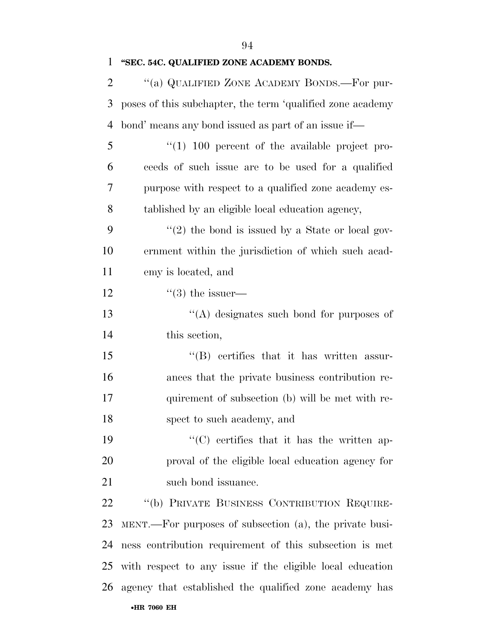**''SEC. 54C. QUALIFIED ZONE ACADEMY BONDS.** 

| 2  | "(a) QUALIFIED ZONE ACADEMY BONDS.—For pur-                |
|----|------------------------------------------------------------|
| 3  | poses of this subchapter, the term 'qualified zone academy |
| 4  | bond' means any bond issued as part of an issue if-        |
| 5  | $(1)$ 100 percent of the available project pro-            |
| 6  | ceeds of such issue are to be used for a qualified         |
| 7  | purpose with respect to a qualified zone academy es-       |
| 8  | tablished by an eligible local education agency,           |
| 9  | $\lq(2)$ the bond is issued by a State or local gov-       |
| 10 | ernment within the jurisdiction of which such a cad-       |
| 11 | emy is located, and                                        |
| 12 | $\lq(3)$ the issuer—                                       |
| 13 | $\lq\lq$ designates such bond for purposes of              |
| 14 | this section,                                              |
| 15 | $\lq\lq(B)$ certifies that it has written assur-           |
| 16 | ances that the private business contribution re-           |
| 17 | quirement of subsection (b) will be met with re-           |
| 18 | spect to such academy, and                                 |
| 19 | "(C) certifies that it has the written ap-                 |
| 20 | proval of the eligible local education agency for          |
| 21 | such bond issuance.                                        |
| 22 | "(b) PRIVATE BUSINESS CONTRIBUTION REQUIRE-                |
| 23 | MENT.—For purposes of subsection (a), the private busi-    |
| 24 | ness contribution requirement of this subsection is met    |
| 25 | with respect to any issue if the eligible local education  |
| 26 | agency that established the qualified zone academy has     |
|    | •HR 7060 EH                                                |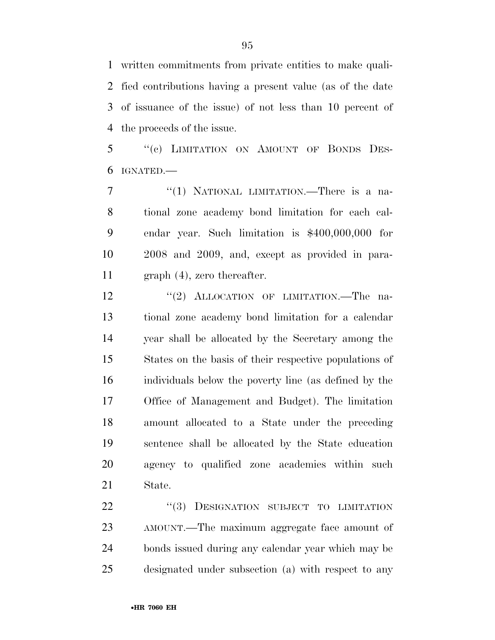written commitments from private entities to make quali- fied contributions having a present value (as of the date of issuance of the issue) of not less than 10 percent of the proceeds of the issue.

5 "(c) LIMITATION ON AMOUNT OF BONDS DES-IGNATED.—

7 "(1) NATIONAL LIMITATION.—There is a na- tional zone academy bond limitation for each cal- endar year. Such limitation is \$400,000,000 for 2008 and 2009, and, except as provided in para-graph (4), zero thereafter.

12 "(2) ALLOCATION OF LIMITATION.—The na- tional zone academy bond limitation for a calendar year shall be allocated by the Secretary among the States on the basis of their respective populations of individuals below the poverty line (as defined by the Office of Management and Budget). The limitation amount allocated to a State under the preceding sentence shall be allocated by the State education agency to qualified zone academies within such State.

22 "(3) DESIGNATION SUBJECT TO LIMITATION AMOUNT.—The maximum aggregate face amount of bonds issued during any calendar year which may be designated under subsection (a) with respect to any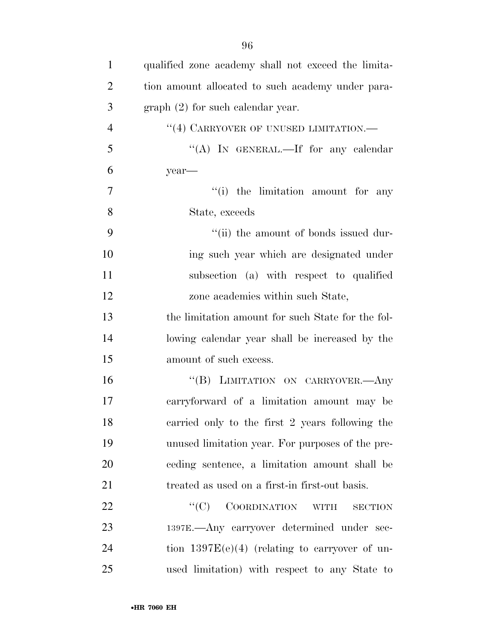| $\mathbf{1}$   | qualified zone academy shall not exceed the limita-                          |
|----------------|------------------------------------------------------------------------------|
| $\overline{2}$ | tion amount allocated to such academy under para-                            |
| 3              | $graph (2)$ for such calendar year.                                          |
| $\overline{4}$ | "(4) CARRYOVER OF UNUSED LIMITATION.—                                        |
| 5              | "(A) IN GENERAL.—If for any calendar                                         |
| 6              | year-                                                                        |
| 7              | "(i) the limitation amount for any                                           |
| 8              | State, exceeds                                                               |
| 9              | "(ii) the amount of bonds issued dur-                                        |
| 10             | ing such year which are designated under                                     |
| 11             | subsection (a) with respect to qualified                                     |
| 12             | zone academies within such State,                                            |
| 13             | the limitation amount for such State for the fol-                            |
| 14             | lowing calendar year shall be increased by the                               |
| 15             | amount of such excess.                                                       |
| 16             | "(B) LIMITATION ON CARRYOVER.- Any                                           |
| 17             | carryforward of a limitation amount may be                                   |
| 18             | carried only to the first 2 years following the                              |
| 19             | unused limitation year. For purposes of the pre-                             |
| 20             | ceding sentence, a limitation amount shall be                                |
| 21             | treated as used on a first-in first-out basis.                               |
| 22             | ``(C)<br><b>COORDINATION</b><br>$\ensuremath{\text{WITH}}$<br><b>SECTION</b> |
| 23             | 1397E.—Any carryover determined under sec-                                   |
| 24             | tion $1397E(e)(4)$ (relating to carryover of un-                             |
| 25             | used limitation) with respect to any State to                                |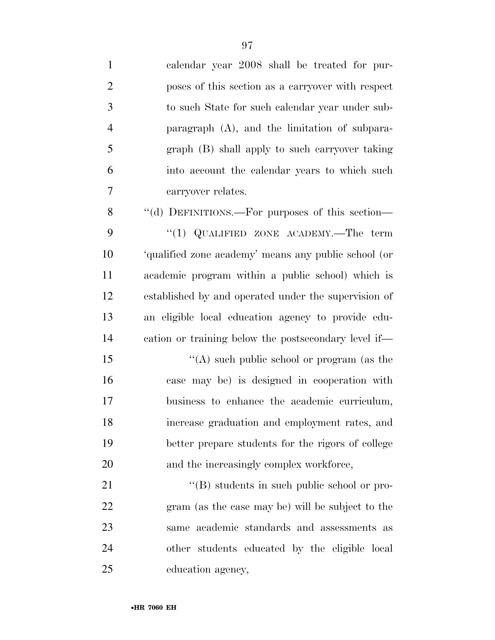| $\mathbf{1}$   | calendar year 2008 shall be treated for pur-         |
|----------------|------------------------------------------------------|
| $\overline{2}$ | poses of this section as a carryover with respect    |
| $\mathfrak{Z}$ | to such State for such calendar year under sub-      |
| $\overline{4}$ | paragraph $(A)$ , and the limitation of subpara-     |
| 5              | graph (B) shall apply to such carryover taking       |
| 6              | into account the calendar years to which such        |
| $\tau$         | carryover relates.                                   |
| 8              | "(d) DEFINITIONS.—For purposes of this section—      |
| 9              | "(1) QUALIFIED ZONE ACADEMY.—The term                |
| 10             | 'qualified zone academy' means any public school (or |
| 11             | academic program within a public school) which is    |
| 12             | established by and operated under the supervision of |
| 13             | an eligible local education agency to provide edu-   |
| 14             | cation or training below the postsecondary level if— |
| 15             | "(A) such public school or program (as the           |
| 16             | case may be) is designed in cooperation with         |
| 17             | business to enhance the academic curriculum,         |
| 18             | increase graduation and employment rates, and        |
| 19             | better prepare students for the rigors of college    |
| 20             | and the increasingly complex workforce,              |
| 21             | $\lq\lq (B)$ students in such public school or pro-  |
| 22             | gram (as the case may be) will be subject to the     |
| 23             | same academic standards and assessments as           |
| 24             | other students educated by the eligible local        |
| 25             | education agency,                                    |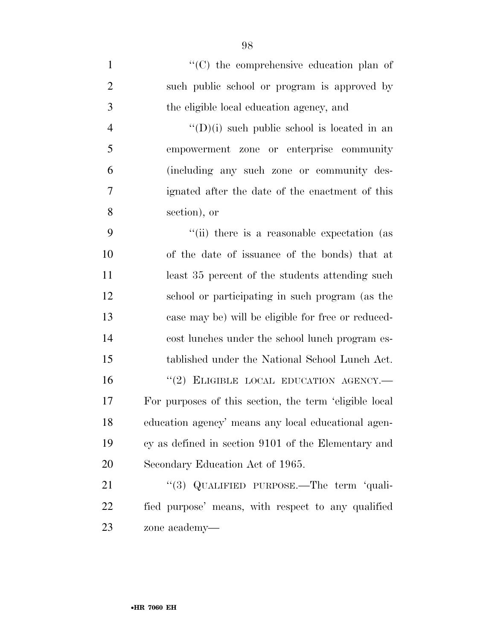$\langle ^{\prime}(C) \rangle$  the comprehensive education plan of such public school or program is approved by the eligible local education agency, and  $''(D)(i)$  such public school is located in an empowerment zone or enterprise community (including any such zone or community des- ignated after the date of the enactment of this section), or ''(ii) there is a reasonable expectation (as of the date of issuance of the bonds) that at 11 least 35 percent of the students attending such school or participating in such program (as the case may be) will be eligible for free or reduced- cost lunches under the school lunch program es- tablished under the National School Lunch Act. 16 "(2) ELIGIBLE LOCAL EDUCATION AGENCY.— For purposes of this section, the term 'eligible local education agency' means any local educational agen- cy as defined in section 9101 of the Elementary and Secondary Education Act of 1965. 21 "(3) QUALIFIED PURPOSE.—The term 'quali- fied purpose' means, with respect to any qualified zone academy—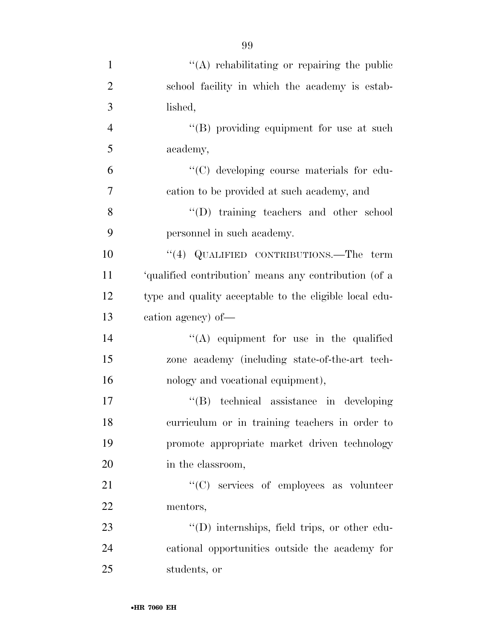| $\mathbf{1}$   | "(A) rehabilitating or repairing the public            |
|----------------|--------------------------------------------------------|
| $\overline{2}$ | school facility in which the academy is estab-         |
| 3              | lished,                                                |
| $\overline{4}$ | "(B) providing equipment for use at such               |
| 5              | academy,                                               |
| 6              | "(C) developing course materials for edu-              |
| $\overline{7}$ | cation to be provided at such academy, and             |
| 8              | "(D) training teachers and other school                |
| 9              | personnel in such academy.                             |
| 10             | "(4) QUALIFIED CONTRIBUTIONS.—The term                 |
| 11             | 'qualified contribution' means any contribution (of a  |
| 12             | type and quality acceptable to the eligible local edu- |
| 13             | cation agency) of-                                     |
| 14             | $\lq\lq$ equipment for use in the qualified            |
| 15             | zone academy (including state-of-the-art tech-         |
| 16             | nology and vocational equipment),                      |
| 17             | "(B) technical assistance in developing                |
| 18             | curriculum or in training teachers in order to         |
| 19             | promote appropriate market driven technology           |
| 20             | in the classroom,                                      |
| 21             | "(C) services of employees as volunteer                |
| 22             | mentors,                                               |
| 23             | "(D) internships, field trips, or other edu-           |
| 24             | cational opportunities outside the academy for         |
| 25             | students, or                                           |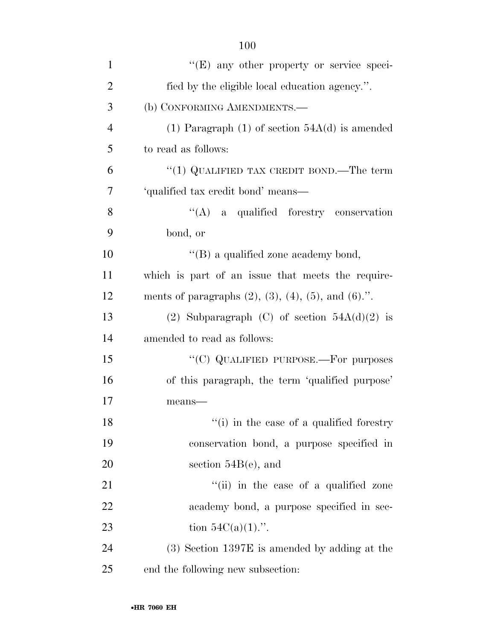| $\mathbf{1}$   | "(E) any other property or service speci-                         |
|----------------|-------------------------------------------------------------------|
| $\overline{2}$ | fied by the eligible local education agency.".                    |
| 3              | (b) CONFORMING AMENDMENTS.-                                       |
| $\overline{4}$ | (1) Paragraph (1) of section $54A(d)$ is amended                  |
| 5              | to read as follows:                                               |
| 6              | "(1) QUALIFIED TAX CREDIT BOND.—The term                          |
| 7              | 'qualified tax credit bond' means-                                |
| 8              | "(A) a qualified forestry conservation                            |
| 9              | bond, or                                                          |
| 10             | "(B) a qualified zone academy bond,                               |
| 11             | which is part of an issue that meets the require-                 |
| 12             | ments of paragraphs $(2)$ , $(3)$ , $(4)$ , $(5)$ , and $(6)$ .". |
| 13             | (2) Subparagraph (C) of section $54A(d)(2)$ is                    |
| 14             | amended to read as follows:                                       |
| 15             | "(C) QUALIFIED PURPOSE.—For purposes                              |
| 16             | of this paragraph, the term 'qualified purpose'                   |
| 17             | means-                                                            |
| 18             | "(i) in the case of a qualified forestry                          |
| 19             | conservation bond, a purpose specified in                         |
| 20             | section $54B(e)$ , and                                            |
| 21             | "(ii) in the case of a qualified zone                             |
| 22             | academy bond, a purpose specified in sec-                         |
| 23             | tion $54C(a)(1)$ .".                                              |
| 24             | $(3)$ Section 1397E is amended by adding at the                   |
| 25             | end the following new subsection:                                 |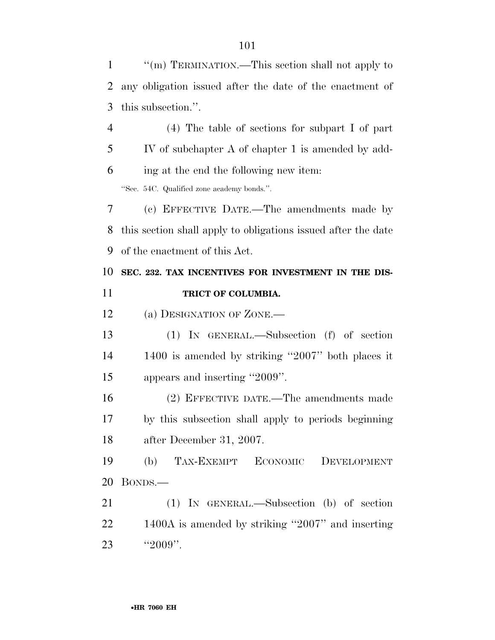''(m) TERMINATION.—This section shall not apply to any obligation issued after the date of the enactment of this subsection.''. (4) The table of sections for subpart I of part

 IV of subchapter A of chapter 1 is amended by add-ing at the end the following new item:

''Sec. 54C. Qualified zone academy bonds.''.

 (c) EFFECTIVE DATE.—The amendments made by this section shall apply to obligations issued after the date of the enactment of this Act.

### **SEC. 232. TAX INCENTIVES FOR INVESTMENT IN THE DIS-TRICT OF COLUMBIA.**

12 (a) DESIGNATION OF ZONE.—

 (1) IN GENERAL.—Subsection (f) of section 1400 is amended by striking ''2007'' both places it appears and inserting ''2009''.

 (2) EFFECTIVE DATE.—The amendments made by this subsection shall apply to periods beginning after December 31, 2007.

 (b) TAX-EXEMPT ECONOMIC DEVELOPMENT BONDS.—

 (1) IN GENERAL.—Subsection (b) of section 1400A is amended by striking ''2007'' and inserting 23 "2009".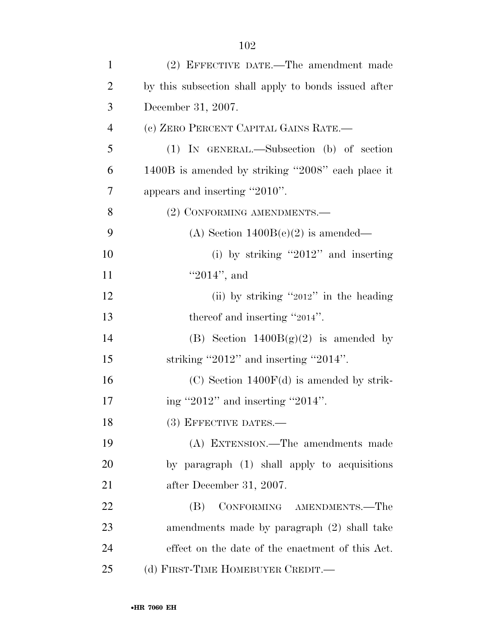| $\mathbf{1}$   | (2) EFFECTIVE DATE.—The amendment made               |
|----------------|------------------------------------------------------|
| $\overline{2}$ | by this subsection shall apply to bonds issued after |
| 3              | December 31, 2007.                                   |
| $\overline{4}$ | (c) ZERO PERCENT CAPITAL GAINS RATE.-                |
| 5              | $(1)$ IN GENERAL.—Subsection $(b)$ of section        |
| 6              | 1400B is amended by striking "2008" each place it    |
| 7              | appears and inserting "2010".                        |
| 8              | (2) CONFORMING AMENDMENTS.—                          |
| 9              | (A) Section $1400B(e)(2)$ is amended—                |
| 10             | (i) by striking "2012" and inserting                 |
| 11             | $"2014"$ , and                                       |
| 12             | (ii) by striking " $2012"$ in the heading            |
| 13             | thereof and inserting "2014".                        |
| 14             | (B) Section $1400B(g)(2)$ is amended by              |
| 15             | striking "2012" and inserting "2014".                |
| 16             | $(C)$ Section 1400 $F(d)$ is amended by strik-       |
| 17             | ing "2012" and inserting "2014".                     |
| 18             | (3) EFFECTIVE DATES.-                                |
| 19             | (A) EXTENSION.—The amendments made                   |
| 20             | by paragraph (1) shall apply to acquisitions         |
| 21             | after December 31, 2007.                             |
| 22             | CONFORMING AMENDMENTS.-The<br>(B)                    |
| 23             | amendments made by paragraph (2) shall take          |
| 24             | effect on the date of the enactment of this Act.     |
| 25             | (d) FIRST-TIME HOMEBUYER CREDIT.—                    |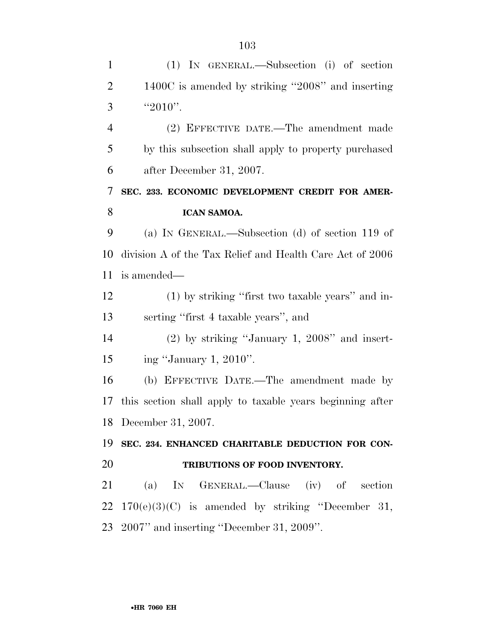| $\mathbf{1}$   | (1) IN GENERAL.—Subsection (i) of section                    |
|----------------|--------------------------------------------------------------|
| $\overline{2}$ | 1400C is amended by striking "2008" and inserting            |
| 3              | "2010".                                                      |
| $\overline{4}$ | (2) EFFECTIVE DATE.—The amendment made                       |
| 5              | by this subsection shall apply to property purchased         |
| 6              | after December 31, 2007.                                     |
| 7              | SEC. 233. ECONOMIC DEVELOPMENT CREDIT FOR AMER-              |
| 8              | ICAN SAMOA.                                                  |
| 9              | (a) IN GENERAL.—Subsection (d) of section 119 of             |
| 10             | division A of the Tax Relief and Health Care Act of 2006     |
| 11             | is amended—                                                  |
| 12             | (1) by striking "first two taxable years" and in-            |
| 13             | serting "first 4 taxable years", and                         |
| 14             | $(2)$ by striking "January 1, 2008" and insert-              |
| 15             | ing "January 1, 2010".                                       |
| 16             | (b) EFFECTIVE DATE.—The amendment made by                    |
| 17             | this section shall apply to taxable years beginning after    |
|                | 18 December 31, 2007.                                        |
| 19             | SEC. 234. ENHANCED CHARITABLE DEDUCTION FOR CON-             |
| 20             | TRIBUTIONS OF FOOD INVENTORY.                                |
| 21             | (a) IN GENERAL.—Clause (iv) of section                       |
|                | $22 \quad 170(e)(3)(C)$ is amended by striking "December 31, |
|                | 23 2007" and inserting "December 31, 2009".                  |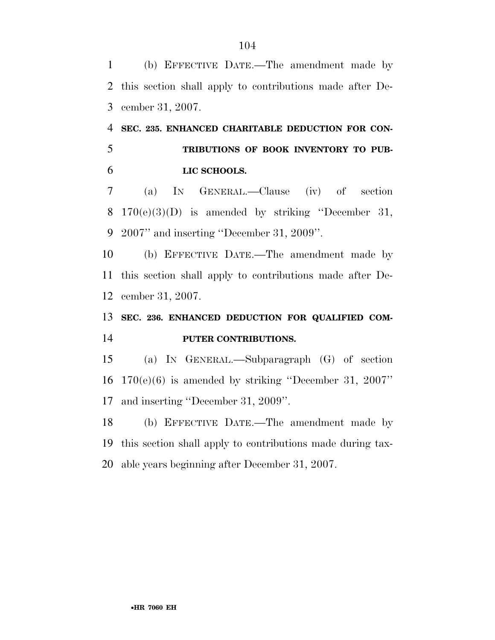(b) EFFECTIVE DATE.—The amendment made by this section shall apply to contributions made after De-cember 31, 2007.

## **SEC. 235. ENHANCED CHARITABLE DEDUCTION FOR CON- TRIBUTIONS OF BOOK INVENTORY TO PUB-LIC SCHOOLS.**

 (a) IN GENERAL.—Clause (iv) of section 8  $170(e)(3)(D)$  is amended by striking "December 31, 2007'' and inserting ''December 31, 2009''.

 (b) EFFECTIVE DATE.—The amendment made by this section shall apply to contributions made after De-cember 31, 2007.

## **SEC. 236. ENHANCED DEDUCTION FOR QUALIFIED COM-PUTER CONTRIBUTIONS.**

 (a) IN GENERAL.—Subparagraph (G) of section 170(e)(6) is amended by striking ''December 31, 2007'' and inserting ''December 31, 2009''.

 (b) EFFECTIVE DATE.—The amendment made by this section shall apply to contributions made during tax-able years beginning after December 31, 2007.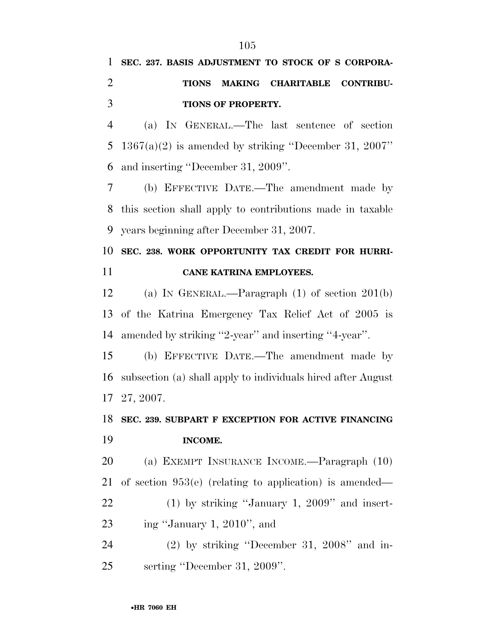## **SEC. 237. BASIS ADJUSTMENT TO STOCK OF S CORPORA- TIONS MAKING CHARITABLE CONTRIBU-TIONS OF PROPERTY.**

 (a) IN GENERAL.—The last sentence of section 1367(a)(2) is amended by striking ''December 31, 2007'' and inserting ''December 31, 2009''.

 (b) EFFECTIVE DATE.—The amendment made by this section shall apply to contributions made in taxable years beginning after December 31, 2007.

## **SEC. 238. WORK OPPORTUNITY TAX CREDIT FOR HURRI-CANE KATRINA EMPLOYEES.**

 (a) IN GENERAL.—Paragraph (1) of section 201(b) of the Katrina Emergency Tax Relief Act of 2005 is amended by striking ''2-year'' and inserting ''4-year''.

 (b) EFFECTIVE DATE.—The amendment made by subsection (a) shall apply to individuals hired after August 27, 2007.

## **SEC. 239. SUBPART F EXCEPTION FOR ACTIVE FINANCING INCOME.**

 (a) EXEMPT INSURANCE INCOME.—Paragraph (10) of section 953(e) (relating to application) is amended—

22 (1) by striking "January 1, 2009" and insert-ing ''January 1, 2010'', and

 (2) by striking ''December 31, 2008'' and in-serting ''December 31, 2009''.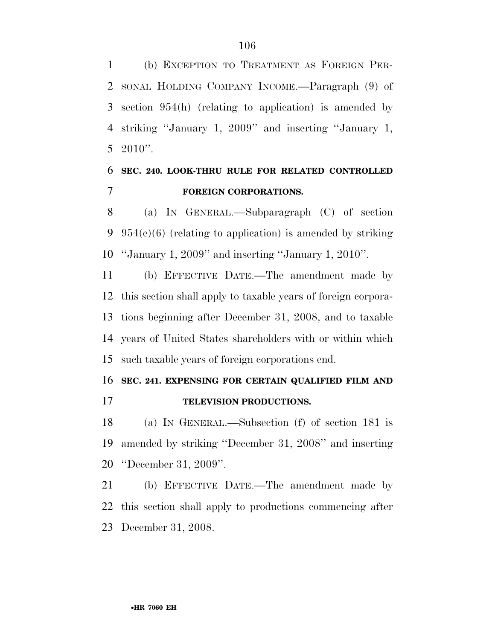(b) EXCEPTION TO TREATMENT AS FOREIGN PER- SONAL HOLDING COMPANY INCOME.—Paragraph (9) of section 954(h) (relating to application) is amended by striking ''January 1, 2009'' and inserting ''January 1, 5 2010 $"$ .

### **SEC. 240. LOOK-THRU RULE FOR RELATED CONTROLLED FOREIGN CORPORATIONS.**

 (a) IN GENERAL.—Subparagraph (C) of section 9  $954(c)(6)$  (relating to application) is amended by striking ''January 1, 2009'' and inserting ''January 1, 2010''.

 (b) EFFECTIVE DATE.—The amendment made by this section shall apply to taxable years of foreign corpora- tions beginning after December 31, 2008, and to taxable years of United States shareholders with or within which such taxable years of foreign corporations end.

#### **SEC. 241. EXPENSING FOR CERTAIN QUALIFIED FILM AND**

**TELEVISION PRODUCTIONS.** 

 (a) IN GENERAL.—Subsection (f) of section 181 is amended by striking ''December 31, 2008'' and inserting ''December 31, 2009''.

 (b) EFFECTIVE DATE.—The amendment made by this section shall apply to productions commencing after December 31, 2008.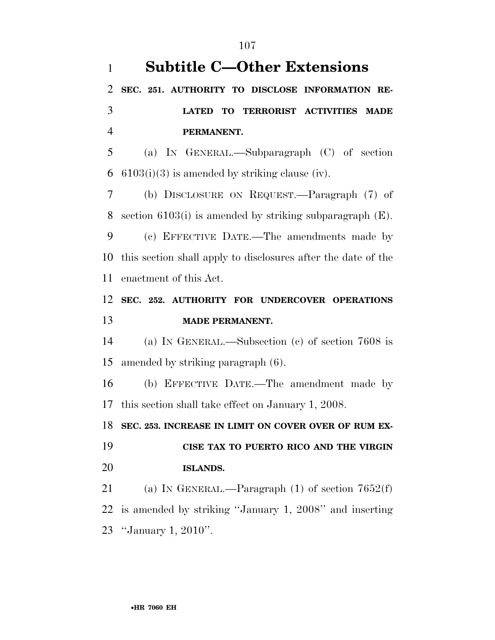**Subtitle C—Other Extensions SEC. 251. AUTHORITY TO DISCLOSE INFORMATION RE- LATED TO TERRORIST ACTIVITIES MADE PERMANENT.**  (a) IN GENERAL.—Subparagraph (C) of section 6 6103(i)(3) is amended by striking clause (iv). (b) DISCLOSURE ON REQUEST.—Paragraph (7) of section 6103(i) is amended by striking subparagraph (E). (c) EFFECTIVE DATE.—The amendments made by this section shall apply to disclosures after the date of the enactment of this Act. **SEC. 252. AUTHORITY FOR UNDERCOVER OPERATIONS MADE PERMANENT.**  (a) IN GENERAL.—Subsection (c) of section 7608 is amended by striking paragraph (6). (b) EFFECTIVE DATE.—The amendment made by this section shall take effect on January 1, 2008. **SEC. 253. INCREASE IN LIMIT ON COVER OVER OF RUM EX- CISE TAX TO PUERTO RICO AND THE VIRGIN ISLANDS.**  (a) IN GENERAL.—Paragraph (1) of section 7652(f) is amended by striking ''January 1, 2008'' and inserting ''January 1, 2010''.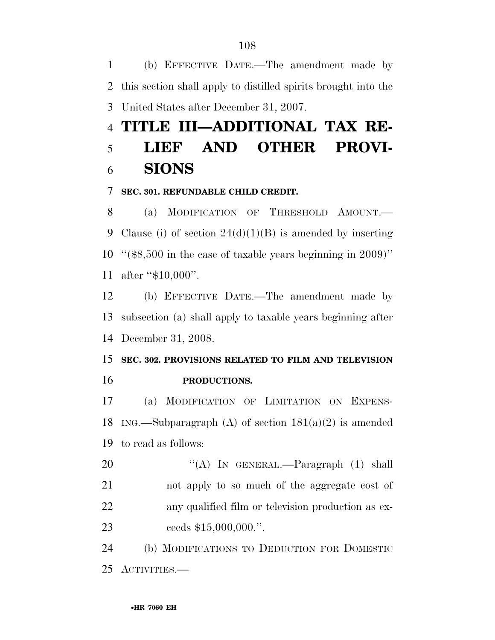(b) EFFECTIVE DATE.—The amendment made by this section shall apply to distilled spirits brought into the United States after December 31, 2007.

## **TITLE III—ADDITIONAL TAX RE- LIEF AND OTHER PROVI-SIONS**

#### **SEC. 301. REFUNDABLE CHILD CREDIT.**

 (a) MODIFICATION OF THRESHOLD AMOUNT.— 9 Clause (i) of section  $24(d)(1)(B)$  is amended by inserting ''(\$8,500 in the case of taxable years beginning in 2009)'' after ''\$10,000''.

 (b) EFFECTIVE DATE.—The amendment made by subsection (a) shall apply to taxable years beginning after December 31, 2008.

 **SEC. 302. PROVISIONS RELATED TO FILM AND TELEVISION PRODUCTIONS.** 

 (a) MODIFICATION OF LIMITATION ON EXPENS-18 ING.—Subparagraph (A) of section  $181(a)(2)$  is amended to read as follows:

20 "(A) In GENERAL.—Paragraph (1) shall not apply to so much of the aggregate cost of any qualified film or television production as ex-23 ceeds \$15,000,000.".

 (b) MODIFICATIONS TO DEDUCTION FOR DOMESTIC ACTIVITIES.—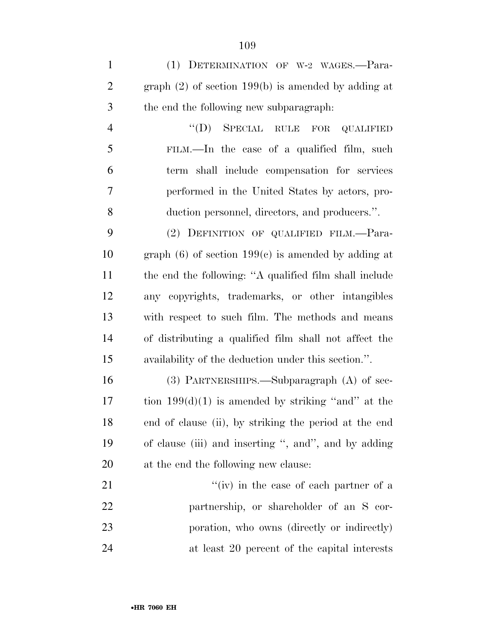(1) DETERMINATION OF W-2 WAGES.—Para- graph (2) of section 199(b) is amended by adding at the end the following new subparagraph:

 ''(D) SPECIAL RULE FOR QUALIFIED FILM.—In the case of a qualified film, such term shall include compensation for services performed in the United States by actors, pro-duction personnel, directors, and producers.''.

 (2) DEFINITION OF QUALIFIED FILM.—Para-10 graph (6) of section  $199(c)$  is amended by adding at the end the following: ''A qualified film shall include any copyrights, trademarks, or other intangibles with respect to such film. The methods and means of distributing a qualified film shall not affect the availability of the deduction under this section.''.

 (3) PARTNERSHIPS.—Subparagraph (A) of sec-17 tion  $199(d)(1)$  is amended by striking "and" at the end of clause (ii), by striking the period at the end of clause (iii) and inserting '', and'', and by adding at the end the following new clause:

21 ''(iv) in the case of each partner of a partnership, or shareholder of an S cor- poration, who owns (directly or indirectly) at least 20 percent of the capital interests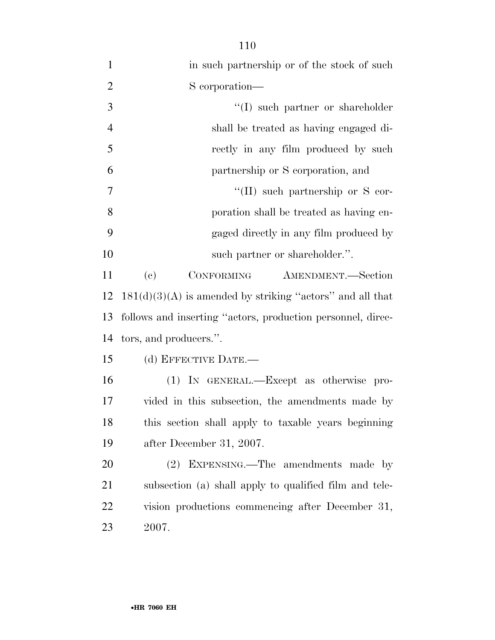| $\mathbf{1}$   | in such partnership or of the stock of such                 |
|----------------|-------------------------------------------------------------|
| $\overline{2}$ | S corporation—                                              |
| 3              | "(I) such partner or shareholder                            |
| $\overline{4}$ | shall be treated as having engaged di-                      |
| 5              | rectly in any film produced by such                         |
| 6              | partnership or S corporation, and                           |
| $\overline{7}$ | $\lq\lq$ (II) such partnership or S cor-                    |
| 8              | poration shall be treated as having en-                     |
| 9              | gaged directly in any film produced by                      |
| 10             | such partner or shareholder.".                              |
| 11             | (e)<br>CONFORMING<br>AMENDMENT.-Section                     |
| 12             | $181(d)(3)(A)$ is amended by striking "actors" and all that |
| 13             | follows and inserting "actors, production personnel, direc- |
| 14             | tors, and producers.".                                      |
| 15             | (d) EFFECTIVE DATE.-                                        |
| 16             | (1) IN GENERAL.—Except as otherwise pro-                    |
| 17             | vided in this subsection, the amendments made by            |
| 18             | this section shall apply to taxable years beginning         |
| 19             | after December 31, 2007.                                    |
| 20             | (2) EXPENSING.—The amendments made by                       |
| 21             | subsection (a) shall apply to qualified film and tele-      |
| 22             | vision productions commencing after December 31,            |
| 23             | 2007.                                                       |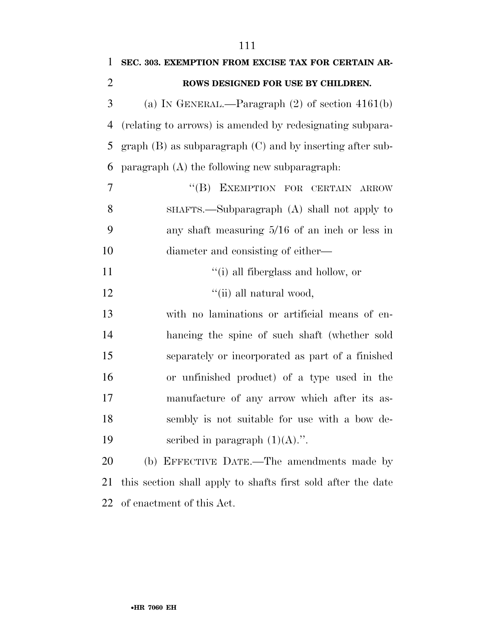| $\mathbf{1}$   | SEC. 303. EXEMPTION FROM EXCISE TAX FOR CERTAIN AR-          |
|----------------|--------------------------------------------------------------|
| $\overline{2}$ | ROWS DESIGNED FOR USE BY CHILDREN.                           |
| 3              | (a) IN GENERAL.—Paragraph $(2)$ of section 4161(b)           |
| $\overline{4}$ | (relating to arrows) is amended by redesignating subpara-    |
| 5              | $graph(B)$ as subparagraph $(C)$ and by inserting after sub- |
| 6              | paragraph $(A)$ the following new subparagraph:              |
| 7              | "(B) EXEMPTION FOR CERTAIN ARROW                             |
| 8              | SHAFTS.—Subparagraph (A) shall not apply to                  |
| 9              | any shaft measuring $5/16$ of an inch or less in             |
| 10             | diameter and consisting of either—                           |
| 11             | "(i) all fiberglass and hollow, or                           |
| 12             | "(ii) all natural wood,                                      |
| 13             | with no laminations or artificial means of en-               |
| 14             | hancing the spine of such shaft (whether sold                |
| 15             | separately or incorporated as part of a finished             |
| 16             | or unfinished product) of a type used in the                 |
| 17             | manufacture of any arrow which after its as-                 |
| 18             | sembly is not suitable for use with a bow de-                |
| 19             | scribed in paragraph $(1)(A)$ .".                            |
| 20             | (b) EFFECTIVE DATE.—The amendments made by                   |
| 21             | this section shall apply to shafts first sold after the date |
|                |                                                              |

of enactment of this Act.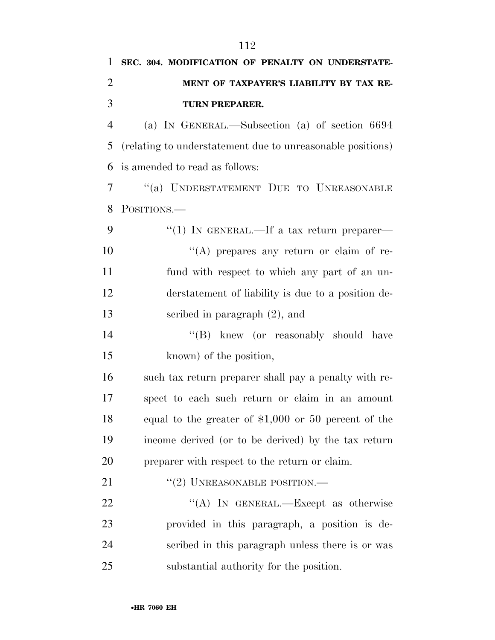## **SEC. 304. MODIFICATION OF PENALTY ON UNDERSTATE- MENT OF TAXPAYER'S LIABILITY BY TAX RE-TURN PREPARER.**

 (a) IN GENERAL.—Subsection (a) of section 6694 (relating to understatement due to unreasonable positions) is amended to read as follows:

 ''(a) UNDERSTATEMENT DUE TO UNREASONABLE POSITIONS.—

9 "(1) IN GENERAL.—If a tax return preparer—  $\langle (A)$  prepares any return or claim of re- fund with respect to which any part of an un- derstatement of liability is due to a position de-scribed in paragraph (2), and

14 ''(B) knew (or reasonably should have known) of the position,

 such tax return preparer shall pay a penalty with re- spect to each such return or claim in an amount equal to the greater of \$1,000 or 50 percent of the income derived (or to be derived) by the tax return preparer with respect to the return or claim.

21  $(2)$  UNREASONABLE POSITION.—

22 "(A) IN GENERAL.—Except as otherwise provided in this paragraph, a position is de- scribed in this paragraph unless there is or was substantial authority for the position.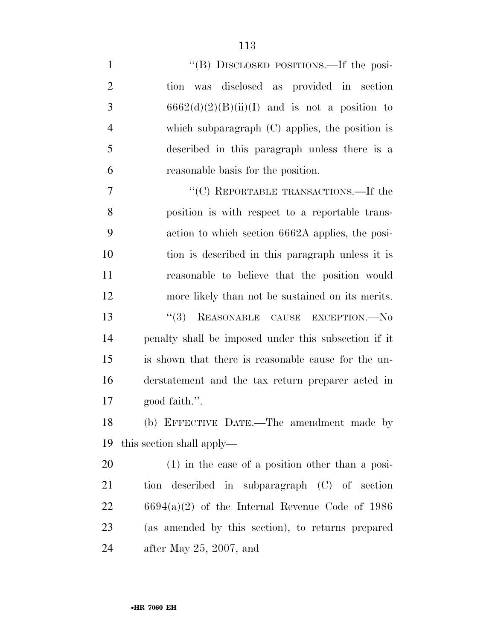| $\mathbf{1}$   | "(B) DISCLOSED POSITIONS.—If the posi-               |
|----------------|------------------------------------------------------|
| $\overline{2}$ | tion was disclosed as provided in section            |
| 3              | $6662(d)(2)(B)(ii)(I)$ and is not a position to      |
| $\overline{4}$ | which subparagraph $(C)$ applies, the position is    |
| 5              | described in this paragraph unless there is a        |
| 6              | reasonable basis for the position.                   |
| 7              | "(C) REPORTABLE TRANSACTIONS.—If the                 |
| 8              | position is with respect to a reportable trans-      |
| 9              | action to which section 6662A applies, the posi-     |
| 10             | tion is described in this paragraph unless it is     |
| 11             | reasonable to believe that the position would        |
| 12             | more likely than not be sustained on its merits.     |
| 13             | "(3) REASONABLE CAUSE EXCEPTION.—No                  |
| 14             | penalty shall be imposed under this subsection if it |
| 15             | is shown that there is reasonable cause for the un-  |
| 16             | derstatement and the tax return preparer acted in    |
| 17             | good faith.".                                        |
| 18             | (b) EFFECTIVE DATE.—The amendment made by            |
| 19             | this section shall apply—                            |
| 20             | $(1)$ in the case of a position other than a posi-   |
| 21             | tion described in subparagraph (C) of section        |
| 22             | $6694(a)(2)$ of the Internal Revenue Code of 1986    |
| 23             | (as amended by this section), to returns prepared    |
| 24             | after May $25, 2007,$ and                            |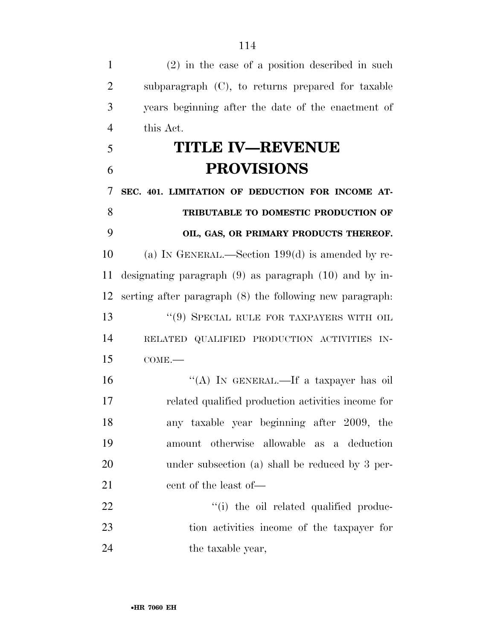(2) in the case of a position described in such subparagraph (C), to returns prepared for taxable years beginning after the date of the enactment of this Act. **TITLE IV—REVENUE PROVISIONS SEC. 401. LIMITATION OF DEDUCTION FOR INCOME AT- TRIBUTABLE TO DOMESTIC PRODUCTION OF OIL, GAS, OR PRIMARY PRODUCTS THEREOF.**  (a) IN GENERAL.—Section 199(d) is amended by re- designating paragraph (9) as paragraph (10) and by in- serting after paragraph (8) the following new paragraph: 13 ''(9) SPECIAL RULE FOR TAXPAYERS WITH OIL RELATED QUALIFIED PRODUCTION ACTIVITIES IN- COME.— ''(A) IN GENERAL.—If a taxpayer has oil related qualified production activities income for any taxable year beginning after 2009, the amount otherwise allowable as a deduction under subsection (a) shall be reduced by 3 per-21 cent of the least of —  $\qquad$  (i) the oil related qualified produc- tion activities income of the taxpayer for 24 the taxable year,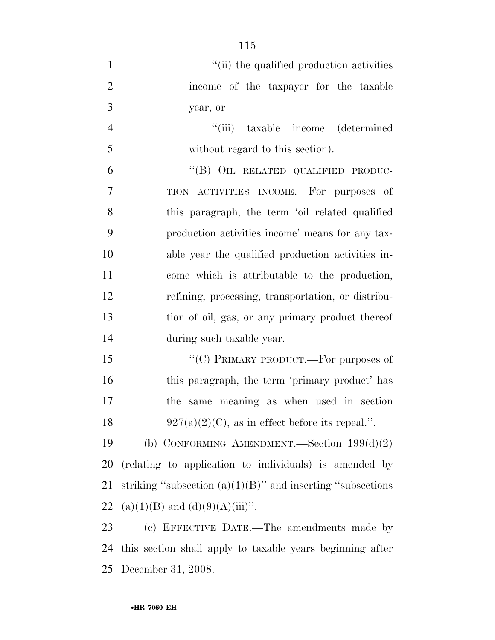| $\mathbf{1}$   | "(ii) the qualified production activities                      |
|----------------|----------------------------------------------------------------|
| $\overline{2}$ | income of the taxpayer for the taxable                         |
| 3              | year, or                                                       |
| $\overline{4}$ | "(iii) taxable income (determined)                             |
| 5              | without regard to this section).                               |
| 6              | "(B) OIL RELATED QUALIFIED PRODUC-                             |
| 7              | TION ACTIVITIES INCOME.—For purposes of                        |
| 8              | this paragraph, the term 'oil related qualified                |
| 9              | production activities income' means for any tax-               |
| 10             | able year the qualified production activities in-              |
| 11             | come which is attributable to the production,                  |
| 12             | refining, processing, transportation, or distribu-             |
| 13             | tion of oil, gas, or any primary product thereof               |
| 14             | during such taxable year.                                      |
| 15             | "(C) PRIMARY PRODUCT.—For purposes of                          |
| 16             | this paragraph, the term 'primary product' has                 |
| 17             | same meaning as when used in section<br>the                    |
| 18             | $927(a)(2)(C)$ , as in effect before its repeal.".             |
| 19             | (b) CONFORMING AMENDMENT.—Section $199(d)(2)$                  |
| <b>20</b>      | (relating to application to individuals) is amended by         |
| 21             | striking "subsection $(a)(1)(B)$ " and inserting "subsections" |
| 22             | $(a)(1)(B)$ and $(d)(9)(A)(iii)$ ".                            |
| 23             | (c) EFFECTIVE DATE.—The amendments made by                     |
| 24             | this section shall apply to taxable years beginning after      |
| 25             | December 31, 2008.                                             |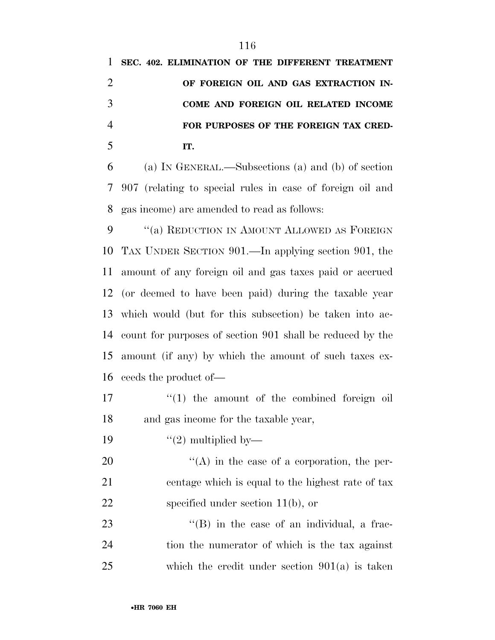| $\mathbf{1}$   | SEC. 402. ELIMINATION OF THE DIFFERENT TREATMENT          |
|----------------|-----------------------------------------------------------|
| $\overline{2}$ | OF FOREIGN OIL AND GAS EXTRACTION IN-                     |
| 3              | COME AND FOREIGN OIL RELATED INCOME                       |
| $\overline{4}$ | FOR PURPOSES OF THE FOREIGN TAX CRED-                     |
| 5              | IT.                                                       |
| 6              | (a) IN GENERAL.—Subsections (a) and (b) of section        |
| 7              | 907 (relating to special rules in case of foreign oil and |
| 8              | gas income) are amended to read as follows:               |
| 9              | "(a) REDUCTION IN AMOUNT ALLOWED AS FOREIGN               |
| 10             | TAX UNDER SECTION 901.—In applying section 901, the       |
| 11             | amount of any foreign oil and gas taxes paid or accrued   |
| 12             | (or deemed to have been paid) during the taxable year     |
| 13             | which would (but for this subsection) be taken into ac-   |
| 14             | count for purposes of section 901 shall be reduced by the |
| 15             | amount (if any) by which the amount of such taxes ex-     |
| 16             | ceeds the product of—                                     |
| 17             | $f(1)$ the amount of the combined foreign oil             |
| 18             | and gas income for the taxable year,                      |
| 19             | $\lq(2)$ multiplied by—                                   |
| 20             | $\lq\lq$ in the case of a corporation, the per-           |

 centage which is equal to the highest rate of tax 22 specified under section 11(b), or

23 ''(B) in the case of an individual, a frac- tion the numerator of which is the tax against which the credit under section 901(a) is taken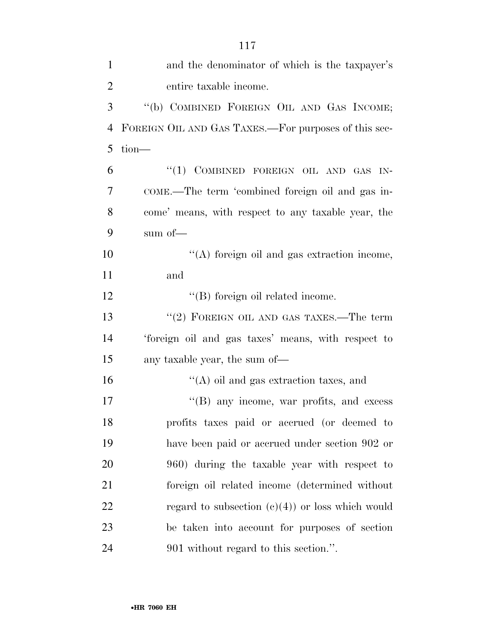| $\mathbf{1}$   | and the denominator of which is the taxpayer's       |
|----------------|------------------------------------------------------|
| $\overline{2}$ | entire taxable income.                               |
| 3              | "(b) COMBINED FOREIGN OIL AND GAS INCOME;            |
| $\overline{4}$ | FOREIGN OIL AND GAS TAXES.—For purposes of this sec- |
| 5              | tion-                                                |
| 6              | "(1) COMBINED FOREIGN OIL AND GAS IN-                |
| 7              | COME.—The term 'combined foreign oil and gas in-     |
| 8              | come' means, with respect to any taxable year, the   |
| 9              | sum of $-$                                           |
| 10             | "(A) foreign oil and gas extraction income,          |
| 11             | and                                                  |
| 12             | $\lq\lq$ for eign oil related income.                |
| 13             | " $(2)$ FOREIGN OIL AND GAS TAXES.—The term          |
| 14             | 'foreign oil and gas taxes' means, with respect to   |
| 15             | any taxable year, the sum of—                        |
| 16             | $\lq\lq$ oil and gas extraction taxes, and           |
| 17             | "(B) any income, war profits, and excess             |
| 18             | profits taxes paid or accrued (or deemed to          |
| 19             | have been paid or accrued under section 902 or       |
| 20             | 960) during the taxable year with respect to         |
| 21             | foreign oil related income (determined without       |
| 22             | regard to subsection $(c)(4)$ or loss which would    |
| 23             | be taken into account for purposes of section        |
| 24             | 901 without regard to this section.".                |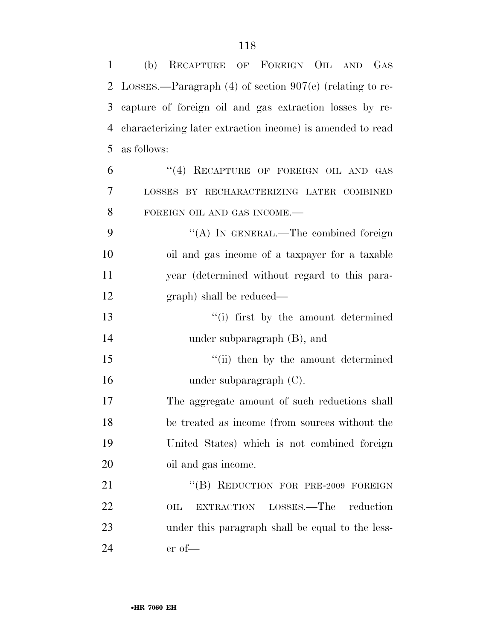| 1  | (b) RECAPTURE OF FOREIGN OIL AND GAS                           |
|----|----------------------------------------------------------------|
|    | 2 LOSSES.—Paragraph $(4)$ of section $907(c)$ (relating to re- |
| 3  | capture of foreign oil and gas extraction losses by re-        |
| 4  | characterizing later extraction income) is amended to read     |
| 5  | as follows:                                                    |
| 6  | "(4) RECAPTURE OF FOREIGN OIL AND GAS                          |
| 7  | LOSSES BY RECHARACTERIZING LATER COMBINED                      |
| 8  | FOREIGN OIL AND GAS INCOME.-                                   |
| 9  | "(A) IN GENERAL.—The combined foreign                          |
| 10 | oil and gas income of a taxpayer for a taxable                 |
| 11 | year (determined without regard to this para-                  |
| 12 | graph) shall be reduced—                                       |
| 13 | "(i) first by the amount determined                            |
| 14 | under subparagraph $(B)$ , and                                 |
| 15 | "(ii) then by the amount determined                            |
| 16 | under subparagraph $(C)$ .                                     |
| 17 | The aggregate amount of such reductions shall                  |
| 18 | be treated as income (from sources without the                 |
| 19 | United States) which is not combined foreign                   |
| 20 | oil and gas income.                                            |
| 21 | "(B) REDUCTION FOR PRE-2009 FOREIGN                            |
| 22 | LOSSES.—The<br>reduction<br>$_{\rm OIL}$<br><b>EXTRACTION</b>  |
| 23 | under this paragraph shall be equal to the less-               |
| 24 | $er of$ —                                                      |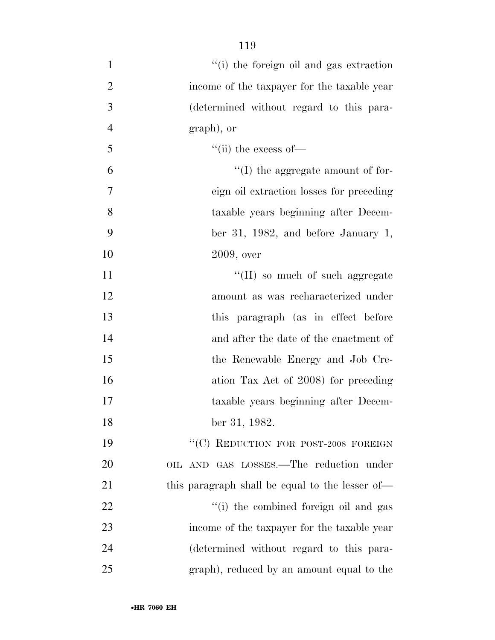1 ''(i) the foreign oil and gas extraction income of the taxpayer for the taxable year (determined without regard to this para- graph), or ''(ii) the excess of  $\mathfrak{g}$   $\mathfrak{t}$  (I) the aggregate amount of for- eign oil extraction losses for preceding taxable years beginning after Decem- ber 31, 1982, and before January 1, 2009, over  $\text{``(II)}$  so much of such aggregate amount as was recharacterized under this paragraph (as in effect before and after the date of the enactment of the Renewable Energy and Job Cre-16 ation Tax Act of 2008) for preceding taxable years beginning after Decem- ber 31, 1982. 19 "'(C) REDUCTION FOR POST-2008 FOREIGN OIL AND GAS LOSSES.—The reduction under 21 this paragraph shall be equal to the lesser of—  $\frac{1}{2}$   $\frac{1}{2}$   $\frac{1}{2}$  the combined foreign oil and gas income of the taxpayer for the taxable year (determined without regard to this para-

graph), reduced by an amount equal to the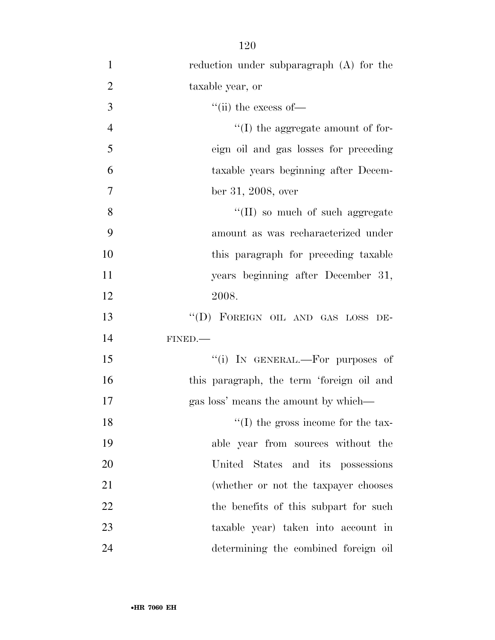| $\mathbf{1}$   | reduction under subparagraph (A) for the   |
|----------------|--------------------------------------------|
| $\overline{2}$ | taxable year, or                           |
| 3              | "(ii) the excess of $-$                    |
| $\overline{4}$ | $\lq\lq$ (I) the aggregate amount of for-  |
| 5              | eign oil and gas losses for preceding      |
| 6              | taxable years beginning after Decem-       |
| $\overline{7}$ | ber 31, 2008, over                         |
| 8              | $\lq\lq$ (II) so much of such aggregate    |
| 9              | amount as was recharacterized under        |
| 10             | this paragraph for preceding taxable       |
| 11             | years beginning after December 31,         |
| 12             | 2008.                                      |
| 13             | "(D) FOREIGN OIL AND GAS LOSS DE-          |
| 14             | FINED.                                     |
| 15             | "(i) IN GENERAL.—For purposes of           |
| 16             | this paragraph, the term 'foreign oil and  |
| 17             | gas loss' means the amount by which—       |
| 18             | $\lq\lq$ (I) the gross income for the tax- |
| 19             | able year from sources without the         |
| 20             | United States and its possessions          |
| 21             | (whether or not the taxpayer chooses       |
| 22             | the benefits of this subpart for such      |
| 23             | taxable year) taken into account in        |
| 24             | determining the combined foreign oil       |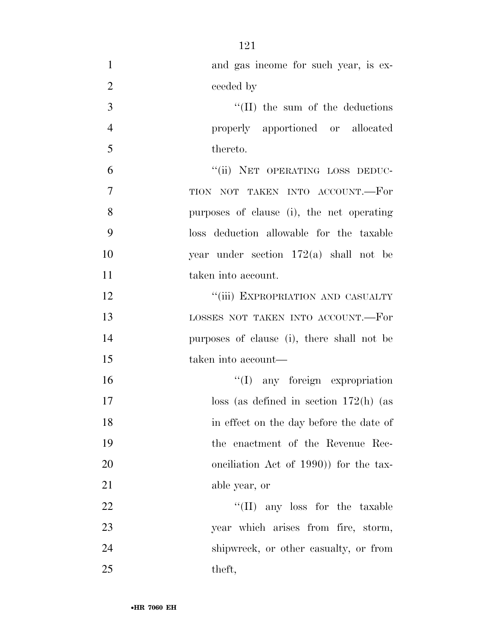| $\mathbf{1}$   | and gas income for such year, is ex-       |
|----------------|--------------------------------------------|
| $\overline{2}$ | ceeded by                                  |
| 3              | $\lq$ (II) the sum of the deductions       |
| $\overline{4}$ | properly apportioned or allocated          |
| 5              | thereto.                                   |
| 6              | "(ii) NET OPERATING LOSS DEDUC-            |
| $\overline{7}$ | TION NOT TAKEN INTO ACCOUNT.-For           |
| 8              | purposes of clause (i), the net operating  |
| 9              | loss deduction allowable for the taxable   |
| 10             | year under section $172(a)$ shall not be   |
| 11             | taken into account.                        |
| 12             | "(iii) EXPROPRIATION AND CASUALTY          |
| 13             | LOSSES NOT TAKEN INTO ACCOUNT.-For         |
| 14             | purposes of clause (i), there shall not be |
| 15             | taken into account—                        |
| 16             | "(I) any foreign expropriation             |
| 17             | $loss$ (as defined in section 172(h) (as   |
| 18             | in effect on the day before the date of    |
| 19             | the enactment of the Revenue Rec-          |
| 20             | onciliation Act of 1990) for the tax-      |
| 21             | able year, or                              |
| 22             | "(II) any loss for the taxable             |
| 23             | year which arises from fire, storm,        |
| 24             | shipwreck, or other casualty, or from      |
| 25             | theft,                                     |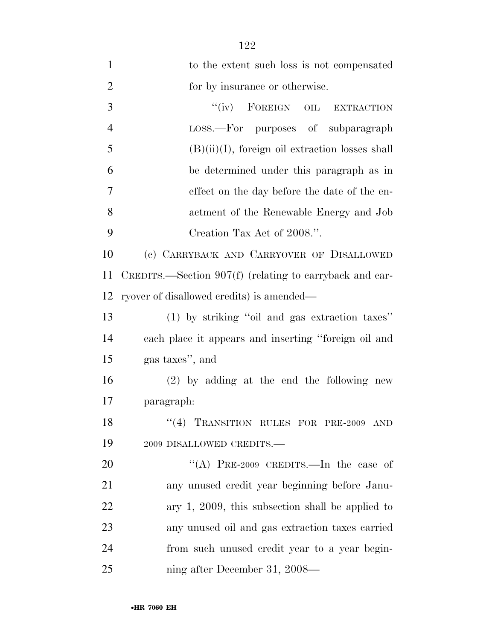| $\mathbf{1}$   | to the extent such loss is not compensated                |
|----------------|-----------------------------------------------------------|
| $\overline{2}$ | for by insurance or otherwise.                            |
| 3              | "(iv) FOREIGN OIL EXTRACTION                              |
| $\overline{4}$ | LOSS.—For purposes of subparagraph                        |
| 5              | $(B)(ii)(I)$ , foreign oil extraction losses shall        |
| 6              | be determined under this paragraph as in                  |
| 7              | effect on the day before the date of the en-              |
| 8              | actment of the Renewable Energy and Job                   |
| 9              | Creation Tax Act of 2008.".                               |
| 10             | (c) CARRYBACK AND CARRYOVER OF DISALLOWED                 |
| 11             | CREDITS.—Section $907(f)$ (relating to carryback and car- |
| 12             | ryover of disallowed credits) is amended—                 |
| 13             | (1) by striking "oil and gas extraction taxes"            |
| 14             | each place it appears and inserting "foreign oil and      |
| 15             | gas taxes", and                                           |
| 16             | $(2)$ by adding at the end the following new              |
| 17             | paragraph:                                                |
| 18             | "(4) TRANSITION RULES FOR PRE-2009 AND                    |
| 19             | 2009 DISALLOWED CREDITS.-                                 |
| 20             | "(A) PRE-2009 CREDITS.—In the case of                     |
| 21             | any unused credit year beginning before Janu-             |
| 22             | ary $1, 2009$ , this subsection shall be applied to       |
| 23             | any unused oil and gas extraction taxes carried           |
| 24             | from such unused credit year to a year begin-             |
| 25             | ning after December 31, 2008—                             |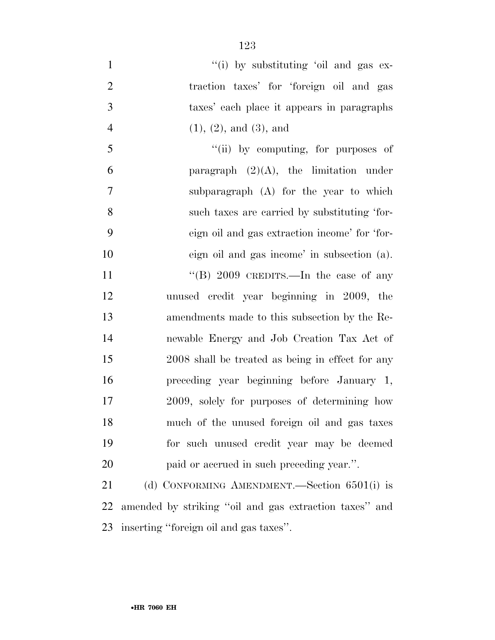$''(i)$  by substituting 'oil and gas ex- traction taxes' for 'foreign oil and gas taxes' each place it appears in paragraphs (1), (2), and (3), and

5 "(ii) by computing, for purposes of 6 paragraph  $(2)(A)$ , the limitation under subparagraph (A) for the year to which such taxes are carried by substituting 'for- eign oil and gas extraction income' for 'for- eign oil and gas income' in subsection (a). 11 "(B) 2009 CREDITS.—In the case of any unused credit year beginning in 2009, the amendments made to this subsection by the Re- newable Energy and Job Creation Tax Act of 2008 shall be treated as being in effect for any preceding year beginning before January 1, 2009, solely for purposes of determining how much of the unused foreign oil and gas taxes for such unused credit year may be deemed paid or accrued in such preceding year.''.

 (d) CONFORMING AMENDMENT.—Section 6501(i) is amended by striking ''oil and gas extraction taxes'' and inserting ''foreign oil and gas taxes''.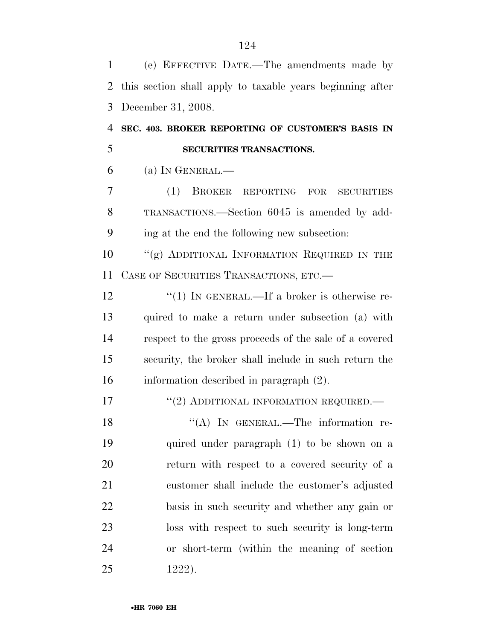(e) EFFECTIVE DATE.—The amendments made by this section shall apply to taxable years beginning after December 31, 2008. **SEC. 403. BROKER REPORTING OF CUSTOMER'S BASIS IN SECURITIES TRANSACTIONS.**  (a) In GENERAL.— (1) BROKER REPORTING FOR SECURITIES TRANSACTIONS.—Section 6045 is amended by add- ing at the end the following new subsection: 10 "(g) ADDITIONAL INFORMATION REQUIRED IN THE CASE OF SECURITIES TRANSACTIONS, ETC.—  $\frac{1}{2}$   $\frac{1}{2}$  IN GENERAL.—If a broker is otherwise re- quired to make a return under subsection (a) with respect to the gross proceeds of the sale of a covered security, the broker shall include in such return the information described in paragraph (2). 17 <sup>"</sup>(2) ADDITIONAL INFORMATION REQUIRED. 18 "(A) IN GENERAL.—The information re- quired under paragraph (1) to be shown on a return with respect to a covered security of a customer shall include the customer's adjusted basis in such security and whether any gain or loss with respect to such security is long-term or short-term (within the meaning of section 1222).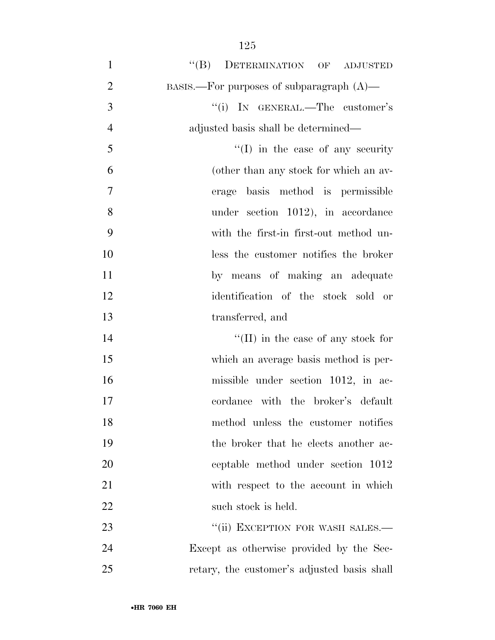| $\mathbf{1}$   | "(B) DETERMINATION OF<br><b>ADJUSTED</b>       |
|----------------|------------------------------------------------|
| $\overline{2}$ | $BASIS$ . For purposes of subparagraph $(A)$ — |
| 3              | "(i) IN GENERAL.—The customer's                |
| $\overline{4}$ | adjusted basis shall be determined—            |
| 5              | $\lq\lq$ (I) in the case of any security       |
| 6              | (other than any stock for which an av-         |
| $\overline{7}$ | basis method is permissible<br>erage           |
| 8              | under section 1012), in accordance             |
| 9              | with the first-in first-out method un-         |
| 10             | less the customer notifies the broker          |
| 11             | by means of making an adequate                 |
| 12             | identification of the stock sold or            |
| 13             | transferred, and                               |
| 14             | "(II) in the case of any stock for             |
| 15             | which an average basis method is per-          |
| 16             | missible under section 1012, in ac-            |
| 17             | cordance with the broker's default             |
| 18             | method unless the customer notifies            |
| 19             | the broker that he elects another ac-          |
| 20             | ceptable method under section 1012             |
| 21             | with respect to the account in which           |
| 22             | such stock is held.                            |
| 23             | "(ii) EXCEPTION FOR WASH SALES.-               |
| 24             | Except as otherwise provided by the Sec-       |
| 25             | retary, the customer's adjusted basis shall    |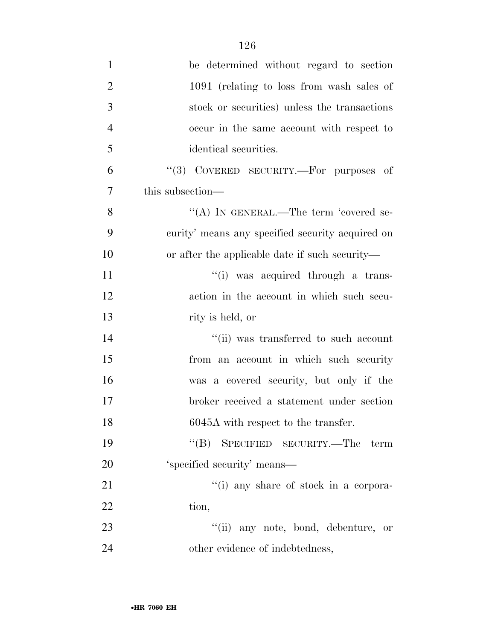| $\mathbf{1}$   | be determined without regard to section          |
|----------------|--------------------------------------------------|
| $\overline{2}$ | 1091 (relating to loss from wash sales of        |
| 3              | stock or securities) unless the transactions     |
| $\overline{4}$ | occur in the same account with respect to        |
| 5              | identical securities.                            |
| 6              | "(3) COVERED SECURITY.—For purposes of           |
| $\overline{7}$ | this subsection—                                 |
| 8              | "(A) IN GENERAL.—The term 'covered se-           |
| 9              | curity' means any specified security acquired on |
| 10             | or after the applicable date if such security—   |
| 11             | "(i) was acquired through a trans-               |
| 12             | action in the account in which such secu-        |
| 13             | rity is held, or                                 |
| 14             | "(ii) was transferred to such account            |
| 15             | from an account in which such security           |
| 16             | was a covered security, but only if the          |
| 17             | broker received a statement under section        |
| 18             | 6045A with respect to the transfer.              |
| 19             | "(B) SPECIFIED SECURITY.—The<br>term             |
| 20             | 'specified security' means—                      |
| 21             | "(i) any share of stock in a corpora-            |
| 22             | tion,                                            |
| 23             | "(ii) any note, bond, debenture, or              |
| 24             | other evidence of indebtedness,                  |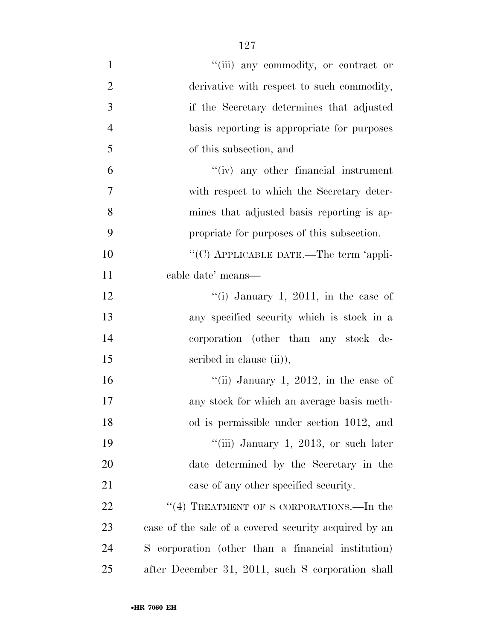| $\mathbf{1}$   | "(iii) any commodity, or contract or                  |
|----------------|-------------------------------------------------------|
| $\overline{2}$ | derivative with respect to such commodity,            |
| $\mathfrak{Z}$ | if the Secretary determines that adjusted             |
| $\overline{4}$ | basis reporting is appropriate for purposes           |
| 5              | of this subsection, and                               |
| 6              | $``(iv)$ any other financial instrument               |
| 7              | with respect to which the Secretary deter-            |
| 8              | mines that adjusted basis reporting is ap-            |
| 9              | propriate for purposes of this subsection.            |
| 10             | "(C) APPLICABLE DATE.—The term 'appli-                |
| 11             | cable date' means-                                    |
| 12             | "(i) January 1, 2011, in the case of                  |
| 13             | any specified security which is stock in a            |
| 14             | corporation (other than any stock de-                 |
| 15             | scribed in clause (ii),                               |
| 16             | "(ii) January 1, 2012, in the case of                 |
| 17             | any stock for which an average basis meth-            |
| 18             | od is permissible under section 1012, and             |
| 19             | "(iii) January 1, 2013, or such later                 |
| 20             | date determined by the Secretary in the               |
| 21             | case of any other specified security.                 |
| 22             | "(4) TREATMENT OF S CORPORATIONS.—In the              |
| 23             | case of the sale of a covered security acquired by an |
| 24             | S corporation (other than a financial institution)    |
| 25             | after December 31, 2011, such S corporation shall     |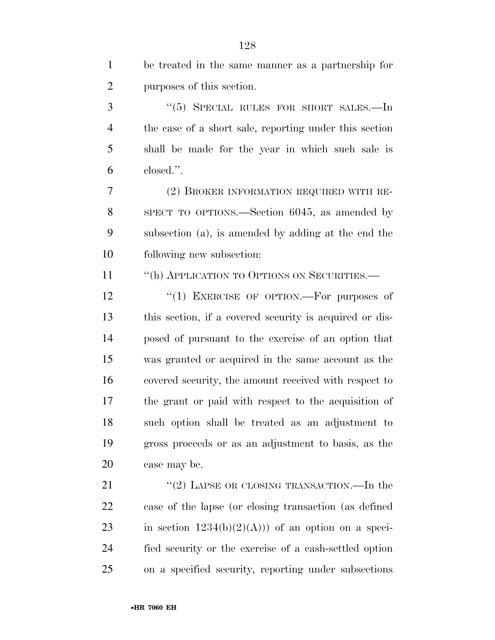| $\mathbf{1}$   | be treated in the same manner as a partnership for      |
|----------------|---------------------------------------------------------|
| $\overline{2}$ | purposes of this section.                               |
| 3              | " $(5)$ SPECIAL RULES FOR SHORT SALES.—In               |
| $\overline{4}$ | the case of a short sale, reporting under this section  |
| 5              | shall be made for the year in which such sale is        |
| 6              | closed.".                                               |
| $\tau$         | (2) BROKER INFORMATION REQUIRED WITH RE-                |
| 8              | SPECT TO OPTIONS.—Section 6045, as amended by           |
| 9              | subsection (a), is amended by adding at the end the     |
| 10             | following new subsection:                               |
| 11             | "(h) APPLICATION TO OPTIONS ON SECURITIES.—             |
| 12             | "(1) EXERCISE OF OPTION.—For purposes of                |
| 13             | this section, if a covered security is acquired or dis- |
| 14             | posed of pursuant to the exercise of an option that     |
| 15             | was granted or acquired in the same account as the      |
| 16             | covered security, the amount received with respect to   |
| 17             | the grant or paid with respect to the acquisition of    |
| 18             | such option shall be treated as an adjustment to        |
| 19             | gross proceeds or as an adjustment to basis, as the     |
| 20             | case may be.                                            |
| 21             | $\lq (2)$ LAPSE OR CLOSING TRANSACTION.—In the          |
| 22             | case of the lapse (or closing transaction (as defined   |
| 23             | in section $1234(b)(2)(A))$ of an option on a speci-    |

 fied security or the exercise of a cash-settled option on a specified security, reporting under subsections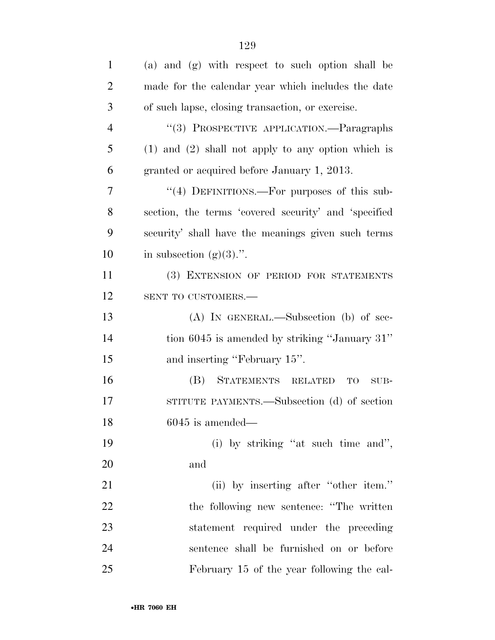| $\mathbf{1}$   | (a) and (g) with respect to such option shall be       |
|----------------|--------------------------------------------------------|
| $\overline{2}$ | made for the calendar year which includes the date     |
| 3              | of such lapse, closing transaction, or exercise.       |
| $\overline{4}$ | "(3) PROSPECTIVE APPLICATION.—Paragraphs               |
| 5              | $(1)$ and $(2)$ shall not apply to any option which is |
| 6              | granted or acquired before January 1, 2013.            |
| 7              | "(4) DEFINITIONS.—For purposes of this sub-            |
| 8              | section, the terms 'covered security' and 'specified   |
| 9              | security' shall have the meanings given such terms     |
| 10             | in subsection $(g)(3)$ .".                             |
| 11             | (3) EXTENSION OF PERIOD FOR STATEMENTS                 |
| 12             | SENT TO CUSTOMERS.-                                    |
| 13             | (A) IN GENERAL.—Subsection (b) of sec-                 |
| 14             | tion 6045 is amended by striking "January 31"          |
| 15             | and inserting "February 15".                           |
| 16             | STATEMENTS RELATED<br>(B)<br><b>TO</b><br>$SUB-$       |
| 17             | STITUTE PAYMENTS.—Subsection (d) of section            |
| 18             | $6045$ is amended—                                     |
| 19             | (i) by striking "at such time and",                    |
| 20             | and                                                    |
| 21             | (ii) by inserting after "other item."                  |
| 22             | the following new sentence: "The written               |
| 23             | statement required under the preceding                 |
| 24             | sentence shall be furnished on or before               |
| 25             | February 15 of the year following the cal-             |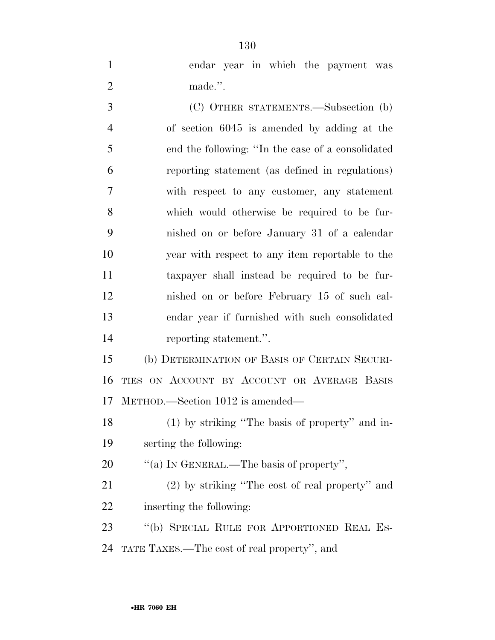| $\mathbf{1}$   | endar year in which the payment was               |
|----------------|---------------------------------------------------|
| $\overline{2}$ | made.".                                           |
| 3              | (C) OTHER STATEMENTS.—Subsection (b)              |
| $\overline{4}$ | of section 6045 is amended by adding at the       |
| 5              | end the following: "In the case of a consolidated |
| 6              | reporting statement (as defined in regulations)   |
| $\overline{7}$ | with respect to any customer, any statement       |
| 8              | which would otherwise be required to be fur-      |
| 9              | nished on or before January 31 of a calendar      |
| 10             | year with respect to any item reportable to the   |
| 11             | taxpayer shall instead be required to be fur-     |
| 12             | nished on or before February 15 of such cal-      |
| 13             | endar year if furnished with such consolidated    |
|                |                                                   |

reporting statement.''.

 (b) DETERMINATION OF BASIS OF CERTAIN SECURI- TIES ON ACCOUNT BY ACCOUNT OR AVERAGE BASIS METHOD.—Section 1012 is amended—

 (1) by striking ''The basis of property'' and in-serting the following:

20  $\qquad$  "(a) IN GENERAL.—The basis of property",

 (2) by striking ''The cost of real property'' and inserting the following:

 ''(b) SPECIAL RULE FOR APPORTIONED REAL ES-TATE TAXES.—The cost of real property'', and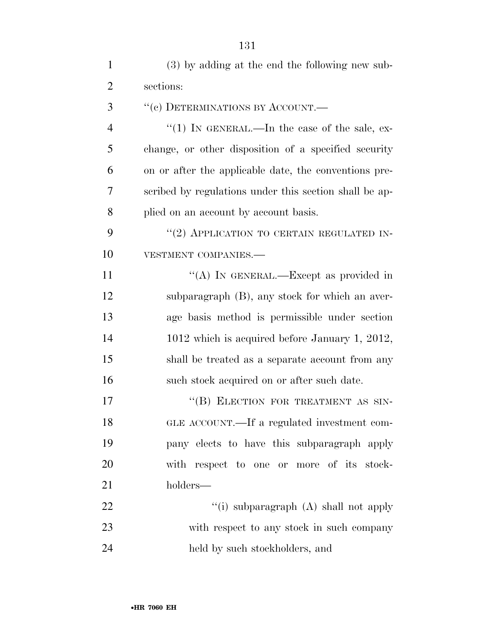| $\mathbf{1}$   | (3) by adding at the end the following new sub-        |
|----------------|--------------------------------------------------------|
| $\overline{2}$ | sections:                                              |
| 3              | "(c) DETERMINATIONS BY ACCOUNT.—                       |
| $\overline{4}$ | "(1) IN GENERAL.—In the case of the sale, ex-          |
| 5              | change, or other disposition of a specified security   |
| 6              | on or after the applicable date, the conventions pre-  |
| 7              | scribed by regulations under this section shall be ap- |
| 8              | plied on an account by account basis.                  |
| 9              | "(2) APPLICATION TO CERTAIN REGULATED IN-              |
| 10             | VESTMENT COMPANIES.-                                   |
| 11             | "(A) IN GENERAL.—Except as provided in                 |
| 12             | subparagraph (B), any stock for which an aver-         |
| 13             | age basis method is permissible under section          |
| 14             | 1012 which is acquired before January 1, 2012,         |
| 15             | shall be treated as a separate account from any        |
| 16             | such stock acquired on or after such date.             |
| 17             | "(B) ELECTION FOR TREATMENT AS SIN-                    |
| 18             | GLE ACCOUNT.—If a regulated investment com-            |
| 19             | pany elects to have this subparagraph apply            |
| 20             | with respect to one or more of its stock-              |
| 21             | holders—                                               |
| 22             | "(i) subparagraph (A) shall not apply                  |
| 23             | with respect to any stock in such company              |
| 24             | held by such stockholders, and                         |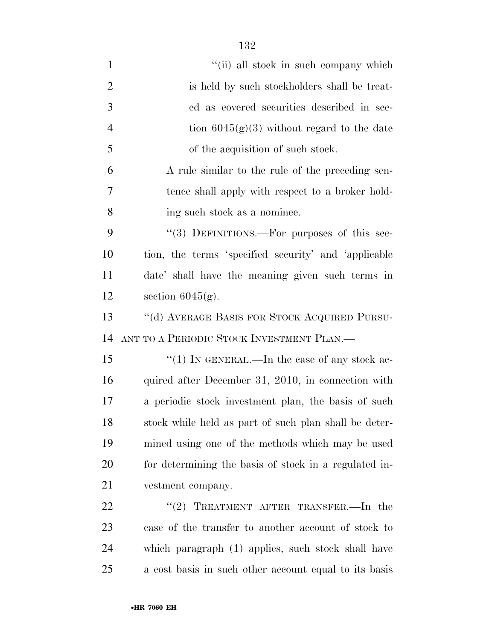1 ''(ii) all stock in such company which 2 is held by such stockholders shall be treat- ed as covered securities described in sec-4 tion  $6045(g)(3)$  without regard to the date of the acquisition of such stock. A rule similar to the rule of the preceding sen- tence shall apply with respect to a broker hold- ing such stock as a nominee. 9 "(3) DEFINITIONS.—For purposes of this sec- tion, the terms 'specified security' and 'applicable date' shall have the meaning given such terms in section 6045(g). ''(d) AVERAGE BASIS FOR STOCK ACQUIRED PURSU- ANT TO A PERIODIC STOCK INVESTMENT PLAN.— 15 "(1) IN GENERAL.—In the case of any stock ac-16 quired after December 31, 2010, in connection with a periodic stock investment plan, the basis of such stock while held as part of such plan shall be deter- mined using one of the methods which may be used for determining the basis of stock in a regulated in- vestment company. 22 "(2) TREATMENT AFTER TRANSFER.—In the case of the transfer to another account of stock to

which paragraph (1) applies, such stock shall have

a cost basis in such other account equal to its basis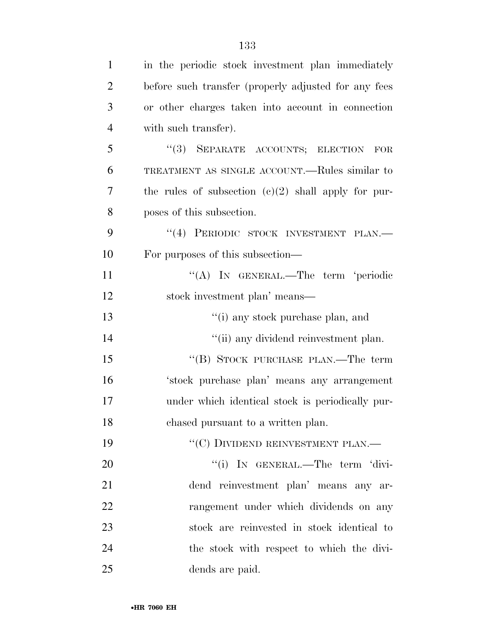| $\mathbf{1}$   | in the periodic stock investment plan immediately     |
|----------------|-------------------------------------------------------|
| $\overline{2}$ | before such transfer (properly adjusted for any fees  |
| 3              | or other charges taken into account in connection     |
| $\overline{4}$ | with such transfer).                                  |
| 5              | "(3) SEPARATE ACCOUNTS; ELECTION FOR                  |
| 6              | TREATMENT AS SINGLE ACCOUNT.—Rules similar to         |
| 7              | the rules of subsection $(c)(2)$ shall apply for pur- |
| 8              | poses of this subsection.                             |
| 9              | "(4) PERIODIC STOCK INVESTMENT PLAN.-                 |
| 10             | For purposes of this subsection—                      |
| 11             | "(A) IN GENERAL.—The term 'periodic                   |
| 12             | stock investment plan' means—                         |
| 13             | "(i) any stock purchase plan, and                     |
| 14             | "(ii) any dividend reinvestment plan.                 |
| 15             | "(B) STOCK PURCHASE PLAN.—The term                    |
| 16             | 'stock purchase plan' means any arrangement           |
| 17             | under which identical stock is periodically pur-      |
| 18             | chased pursuant to a written plan.                    |
| 19             | $``(C)$ DIVIDEND REINVESTMENT PLAN.—                  |
| 20             | "(i) IN GENERAL.—The term 'divi-                      |
| 21             | dend reinvestment plan' means any ar-                 |
| 22             | rangement under which dividends on any                |
| 23             | stock are reinvested in stock identical to            |
| 24             | the stock with respect to which the divi-             |
| 25             | dends are paid.                                       |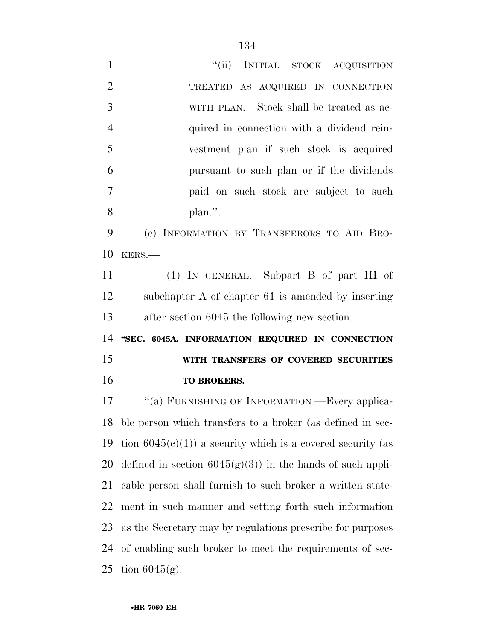| $\mathbf{1}$   | "(ii) INITIAL STOCK ACQUISITION                                |
|----------------|----------------------------------------------------------------|
| $\overline{2}$ | TREATED AS ACQUIRED IN CONNECTION                              |
| 3              | WITH PLAN.—Stock shall be treated as ac-                       |
| $\overline{4}$ | quired in connection with a dividend rein-                     |
| 5              | vestment plan if such stock is acquired                        |
| 6              | pursuant to such plan or if the dividends                      |
| 7              | paid on such stock are subject to such                         |
| 8              | plan.".                                                        |
| 9              | (c) INFORMATION BY TRANSFERORS TO AID BRO-                     |
| 10             | KERS.                                                          |
| 11             | $(1)$ IN GENERAL.—Subpart B of part III of                     |
| 12             | subchapter A of chapter 61 is amended by inserting             |
|                |                                                                |
| 13             | after section 6045 the following new section:                  |
| 14             | "SEC. 6045A. INFORMATION REQUIRED IN CONNECTION                |
| 15             | WITH TRANSFERS OF COVERED SECURITIES                           |
| 16             | TO BROKERS.                                                    |
| 17             | "(a) FURNISHING OF INFORMATION.—Every applica-                 |
|                | 18 ble person which transfers to a broker (as defined in sec-  |
| 19             | tion $6045(c)(1)$ ) a security which is a covered security (as |
| 20             | defined in section $6045(g)(3)$ in the hands of such appli-    |
| 21             | cable person shall furnish to such broker a written state-     |
| 22             | ment in such manner and setting forth such information         |
| 23             | as the Secretary may by regulations prescribe for purposes     |
| 24             | of enabling such broker to meet the requirements of sec-       |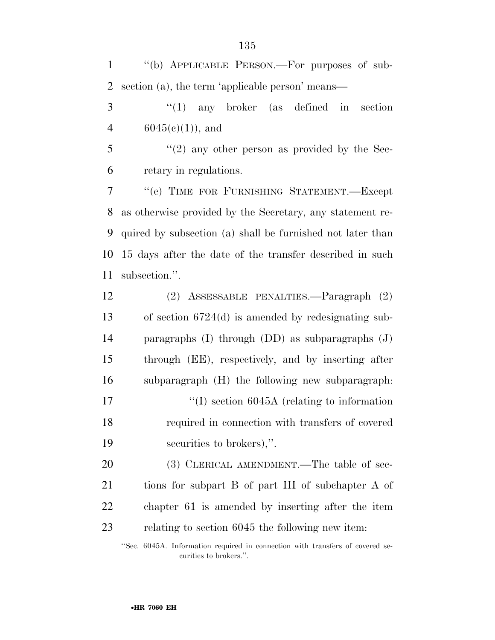''(b) APPLICABLE PERSON.—For purposes of sub-section (a), the term 'applicable person' means—

 ''(1) any broker (as defined in section 4  $6045(e)(1)$ , and

 $\frac{3}{5}$  ''(2) any other person as provided by the Sec-retary in regulations.

 ''(c) TIME FOR FURNISHING STATEMENT.—Except as otherwise provided by the Secretary, any statement re- quired by subsection (a) shall be furnished not later than 15 days after the date of the transfer described in such subsection.''.

 (2) ASSESSABLE PENALTIES.—Paragraph (2) of section 6724(d) is amended by redesignating sub- paragraphs (I) through (DD) as subparagraphs (J) through (EE), respectively, and by inserting after subparagraph (H) the following new subparagraph:  $\frac{17}{10}$  section 6045A (relating to information required in connection with transfers of covered securities to brokers),''.

20 (3) CLERICAL AMENDMENT.—The table of sec- tions for subpart B of part III of subchapter A of chapter 61 is amended by inserting after the item relating to section 6045 the following new item:

''Sec. 6045A. Information required in connection with transfers of covered securities to brokers.''.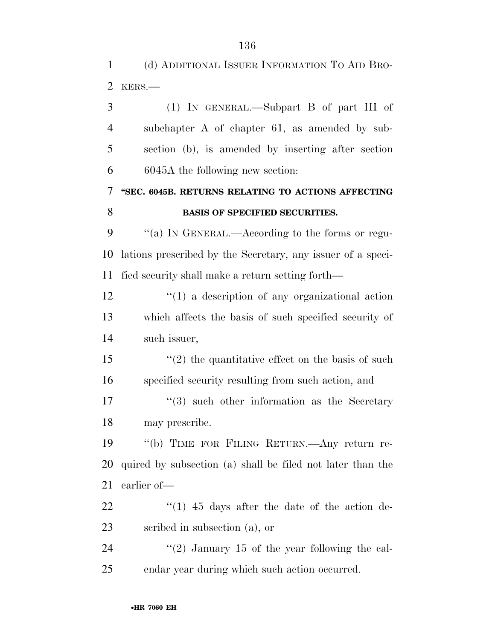(d) ADDITIONAL ISSUER INFORMATION TO AID BRO-

KERS.—

| 3              | $(1)$ IN GENERAL.—Subpart B of part III of                        |
|----------------|-------------------------------------------------------------------|
| $\overline{4}$ | subchapter A of chapter 61, as amended by sub-                    |
| 5              | section (b), is amended by inserting after section                |
| 6              | 6045A the following new section:                                  |
| 7              | "SEC. 6045B. RETURNS RELATING TO ACTIONS AFFECTING                |
| 8              | <b>BASIS OF SPECIFIED SECURITIES.</b>                             |
| 9              | "(a) IN GENERAL.—According to the forms or regu-                  |
| 10             | lations prescribed by the Secretary, any issuer of a speci-       |
| 11             | fied security shall make a return setting forth—                  |
| 12             | $\lq(1)$ a description of any organizational action               |
| 13             | which affects the basis of such specified security of             |
| 14             | such issuer,                                                      |
| 15             | $\cdot\cdot\cdot(2)$ the quantitative effect on the basis of such |
| 16             | specified security resulting from such action, and                |
| 17             | $\cdot\cdot\cdot(3)$ such other information as the Secretary      |
| 18             | may prescribe.                                                    |
| 19             | "(b) TIME FOR FILING RETURN.—Any return re-                       |
| 20             | quired by subsection (a) shall be filed not later than the        |
| 21             | earlier of-                                                       |
| 22             | $(1)$ 45 days after the date of the action de-                    |
| 23             | scribed in subsection (a), or                                     |
| 24             | $\lq(2)$ January 15 of the year following the cal-                |
| 25             | endar year during which such action occurred.                     |
|                |                                                                   |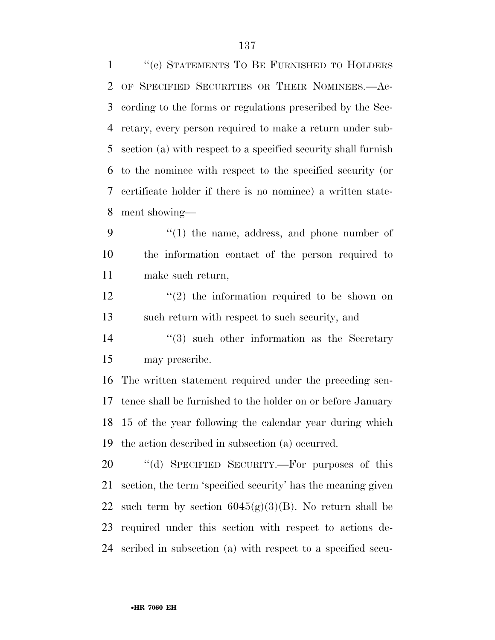''(c) STATEMENTS TO BE FURNISHED TO HOLDERS OF SPECIFIED SECURITIES OR THEIR NOMINEES.—Ac- cording to the forms or regulations prescribed by the Sec- retary, every person required to make a return under sub- section (a) with respect to a specified security shall furnish to the nominee with respect to the specified security (or certificate holder if there is no nominee) a written state-ment showing—

9 "(1) the name, address, and phone number of the information contact of the person required to make such return,

 ''(2) the information required to be shown on such return with respect to such security, and

14 ''(3) such other information as the Secretary may prescribe.

 The written statement required under the preceding sen- tence shall be furnished to the holder on or before January 15 of the year following the calendar year during which the action described in subsection (a) occurred.

20 "(d) SPECIFIED SECURITY.—For purposes of this section, the term 'specified security' has the meaning given 22 such term by section  $6045(g)(3)(B)$ . No return shall be required under this section with respect to actions de-scribed in subsection (a) with respect to a specified secu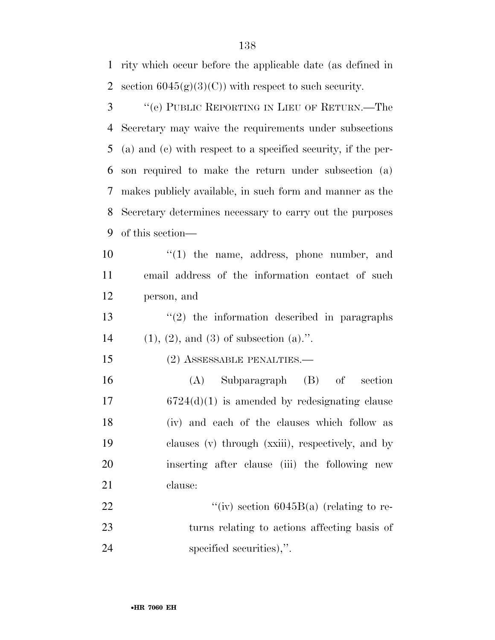rity which occur before the applicable date (as defined in 2 section  $6045(g)(3)(C)$  with respect to such security.

 ''(e) PUBLIC REPORTING IN LIEU OF RETURN.—The Secretary may waive the requirements under subsections (a) and (c) with respect to a specified security, if the per- son required to make the return under subsection (a) makes publicly available, in such form and manner as the Secretary determines necessary to carry out the purposes of this section—

 ''(1) the name, address, phone number, and email address of the information contact of such person, and

13  $\frac{13}{2}$  the information described in paragraphs 14 (1), (2), and (3) of subsection (a).".

15 (2) ASSESSABLE PENALTIES.—

 (A) Subparagraph (B) of section 6724(d)(1) is amended by redesignating clause (iv) and each of the clauses which follow as clauses (v) through (xxiii), respectively, and by inserting after clause (iii) the following new clause:

22  $\frac{((iv) \cdot 6045B(a) \cdot (relating \cdot to \cdot re)}{2}$  turns relating to actions affecting basis of specified securities),''.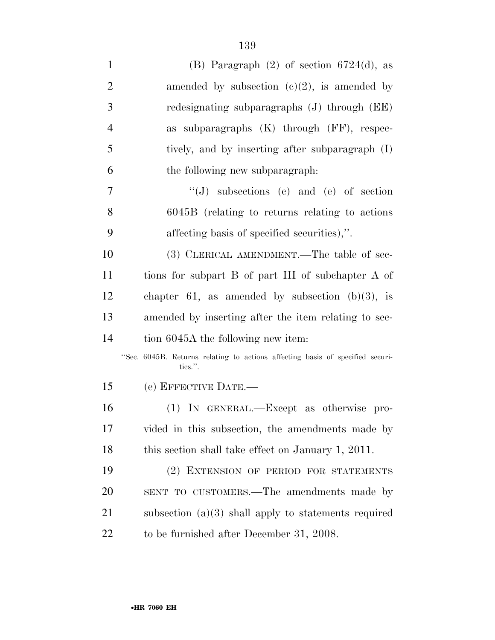| $\mathbf{1}$   | (B) Paragraph $(2)$ of section $6724(d)$ , as                                            |
|----------------|------------------------------------------------------------------------------------------|
| $\overline{2}$ | amended by subsection $(c)(2)$ , is amended by                                           |
| 3              | redesignating subparagraphs $(J)$ through $(EE)$                                         |
| $\overline{4}$ | as subparagraphs $(K)$ through $(FF)$ , respec-                                          |
| 5              | tively, and by inserting after subparagraph (I)                                          |
| 6              | the following new subparagraph.                                                          |
| 7              | $\lq\lq (J)$ subsections (c) and (e) of section                                          |
| 8              | $6045B$ (relating to returns relating to actions                                         |
| 9              | affecting basis of specified securities),".                                              |
| 10             | (3) CLERICAL AMENDMENT.—The table of sec-                                                |
| <sup>11</sup>  | tions for subpart B of part III of subchapter A of                                       |
| 12             | chapter 61, as amended by subsection $(b)(3)$ , is                                       |
| 13             | amended by inserting after the item relating to sec-                                     |
| 14             | tion 6045A the following new item:                                                       |
|                | "Sec. 6045B. Returns relating to actions affecting basis of specified securi-<br>ties.". |
| 15             | (e) EFFECTIVE DATE.-                                                                     |
| 16             | (1) IN GENERAL.—Except as otherwise pro-                                                 |
| 17             | vided in this subsection, the amendments made by                                         |
| 18             | this section shall take effect on January 1, 2011.                                       |
| 19             | (2) EXTENSION OF PERIOD FOR STATEMENTS                                                   |
| <b>20</b>      | SENT TO CUSTOMERS.—The amendments made by                                                |
| 21             | subsection $(a)(3)$ shall apply to statements required                                   |
| 22             | to be furnished after December 31, 2008.                                                 |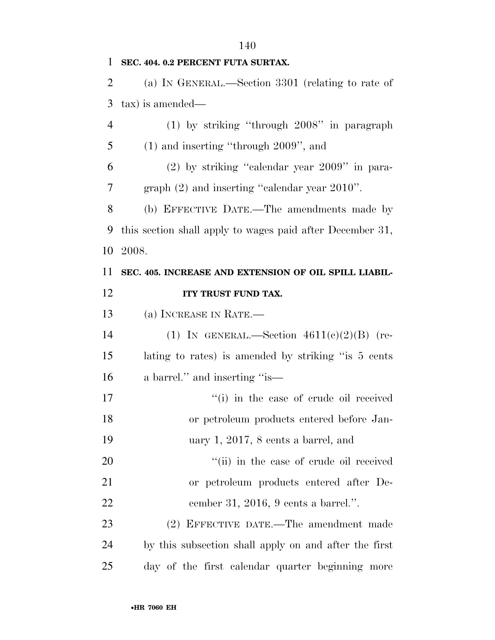| $\mathbf{1}$   | SEC. 404. 0.2 PERCENT FUTA SURTAX.                        |
|----------------|-----------------------------------------------------------|
| $\overline{2}$ | (a) IN GENERAL.—Section 3301 (relating to rate of         |
| 3              | tax) is amended—                                          |
| $\overline{4}$ | $(1)$ by striking "through $2008$ " in paragraph          |
| 5              | $(1)$ and inserting "through $2009$ ", and                |
| 6              | $(2)$ by striking "calendar year $2009$ " in para-        |
| 7              | graph (2) and inserting "calendar year 2010".             |
| 8              | (b) EFFECTIVE DATE.—The amendments made by                |
| 9              | this section shall apply to wages paid after December 31, |
| 10             | 2008.                                                     |
| 11             | SEC. 405. INCREASE AND EXTENSION OF OIL SPILL LIABIL-     |
| 12             | ITY TRUST FUND TAX.                                       |
| 13             | (a) INCREASE IN RATE.-                                    |
| 14             | (1) IN GENERAL.—Section $4611(e)(2)(B)$ (re-              |
| 15             | lating to rates) is amended by striking "is 5 cents       |
| 16             | a barrel." and inserting "is—                             |
| 17             | "(i) in the case of crude oil received                    |
| 18             | or petroleum products entered before Jan-                 |

19 uary 1, 2017, 8 cents a barrel, and

20  $"$ (ii) in the case of crude oil received 21 or petroleum products entered after De-22 cember 31, 2016, 9 cents a barrel.''.

23 (2) EFFECTIVE DATE.—The amendment made 24 by this subsection shall apply on and after the first 25 day of the first calendar quarter beginning more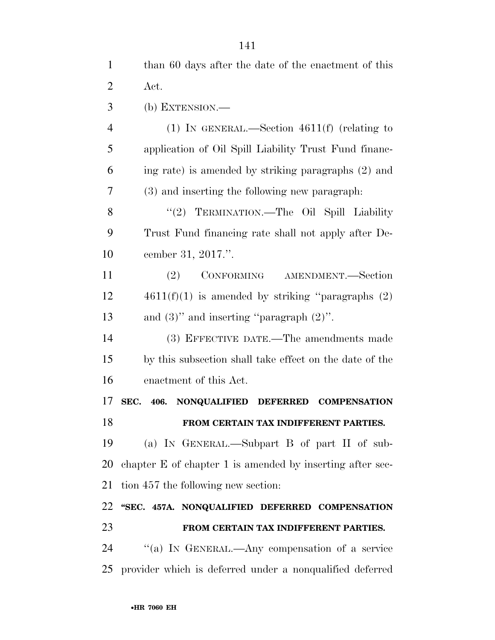| $\mathbf{1}$   | than 60 days after the date of the enactment of this      |
|----------------|-----------------------------------------------------------|
| 2              | Act.                                                      |
| 3              | (b) EXTENSION.—                                           |
| $\overline{4}$ | (1) IN GENERAL.—Section $4611(f)$ (relating to            |
| 5              | application of Oil Spill Liability Trust Fund financ-     |
| 6              | ing rate) is amended by striking paragraphs (2) and       |
| 7              | (3) and inserting the following new paragraph.            |
| 8              | "(2) TERMINATION.—The Oil Spill Liability                 |
| 9              | Trust Fund financing rate shall not apply after De-       |
| 10             | cember 31, 2017.".                                        |
| 11             | CONFORMING AMENDMENT.—Section<br>(2)                      |
| 12             | $4611(f)(1)$ is amended by striking "paragraphs $(2)$     |
| 13             | and $(3)$ " and inserting "paragraph $(2)$ ".             |
| 14             | (3) EFFECTIVE DATE.—The amendments made                   |
| 15             | by this subsection shall take effect on the date of the   |
| 16             | enactment of this Act.                                    |
| 17             | SEC. 406. NONQUALIFIED DEFERRED<br><b>COMPENSATION</b>    |
| 18             | FROM CERTAIN TAX INDIFFERENT PARTIES.                     |
| 19             | (a) IN GENERAL.—Subpart B of part II of sub-              |
| 20             | chapter E of chapter 1 is amended by inserting after sec- |
| 21             | tion 457 the following new section:                       |
| 22             | "SEC. 457A. NONQUALIFIED DEFERRED COMPENSATION            |
| 23             | FROM CERTAIN TAX INDIFFERENT PARTIES.                     |
| 24             | "(a) IN GENERAL.—Any compensation of a service            |
| 25             | provider which is deferred under a nonqualified deferred  |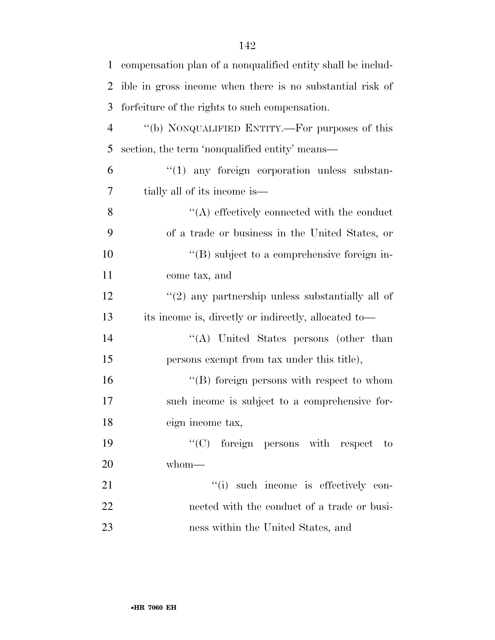| $\mathbf{1}$   | compensation plan of a nonqualified entity shall be includ- |
|----------------|-------------------------------------------------------------|
| 2              | ible in gross income when there is no substantial risk of   |
| 3              | forfeiture of the rights to such compensation.              |
| $\overline{4}$ | "(b) NONQUALIFIED ENTITY.—For purposes of this              |
| 5              | section, the term 'nonqualified entity' means—              |
| 6              | $\lq(1)$ any foreign corporation unless substan-            |
| 7              | tially all of its income is—                                |
| 8              | $\lq\lq$ effectively connected with the conduct             |
| 9              | of a trade or business in the United States, or             |
| 10             | $\lq\lq (B)$ subject to a comprehensive foreign in-         |
| 11             | come tax, and                                               |
| 12             | $\lq(2)$ any partnership unless substantially all of        |
| 13             | its income is, directly or indirectly, allocated to—        |
| 14             | "(A) United States persons (other than                      |
| 15             | persons exempt from tax under this title),                  |
| 16             | $\lq\lq$ foreign persons with respect to whom               |
| 17             | such income is subject to a comprehensive for-              |
| 18             | eign income tax,                                            |
| 19             | $\lq\lq$ for eign persons with respect to                   |
| 20             | whom-                                                       |
| 21             | "(i) such income is effectively con-                        |
| 22             | nected with the conduct of a trade or busi-                 |
| 23             | ness within the United States, and                          |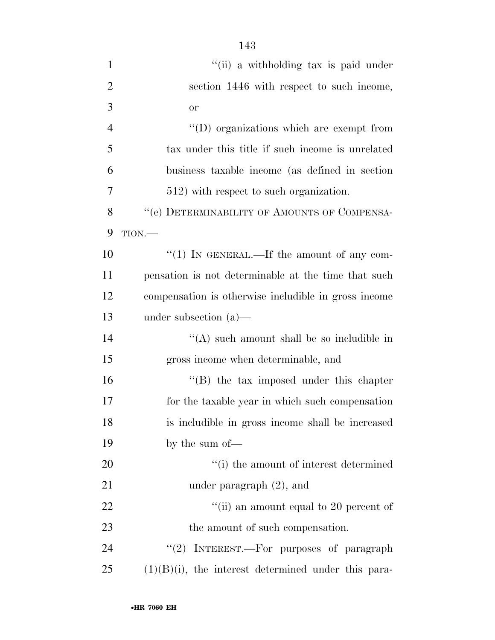| $\mathbf{1}$   | "(ii) a withholding tax is paid under                  |
|----------------|--------------------------------------------------------|
| $\overline{2}$ | section 1446 with respect to such income,              |
| 3              | <b>or</b>                                              |
| $\overline{4}$ | $\lq\lq$ organizations which are exempt from           |
| 5              | tax under this title if such income is unrelated       |
| 6              | business taxable income (as defined in section         |
| 7              | 512) with respect to such organization.                |
| 8              | "(c) DETERMINABILITY OF AMOUNTS OF COMPENSA-           |
| 9              | TION.                                                  |
| 10             | " $(1)$ IN GENERAL.—If the amount of any com-          |
| 11             | pensation is not determinable at the time that such    |
| 12             | compensation is otherwise includible in gross income   |
| 13             | under subsection $(a)$ —                               |
| 14             | "(A) such amount shall be so includible in             |
| 15             | gross income when determinable, and                    |
| 16             | $\lq\lq$ the tax imposed under this chapter            |
| 17             | for the taxable year in which such compensation        |
| 18             | is includible in gross income shall be increased       |
| 19             | by the sum of-                                         |
| 20             | "(i) the amount of interest determined                 |
| 21             | under paragraph $(2)$ , and                            |
| 22             | "(ii) an amount equal to 20 percent of                 |
| 23             | the amount of such compensation.                       |
| 24             | " $(2)$ INTEREST.—For purposes of paragraph            |
| 25             | $(1)(B)(i)$ , the interest determined under this para- |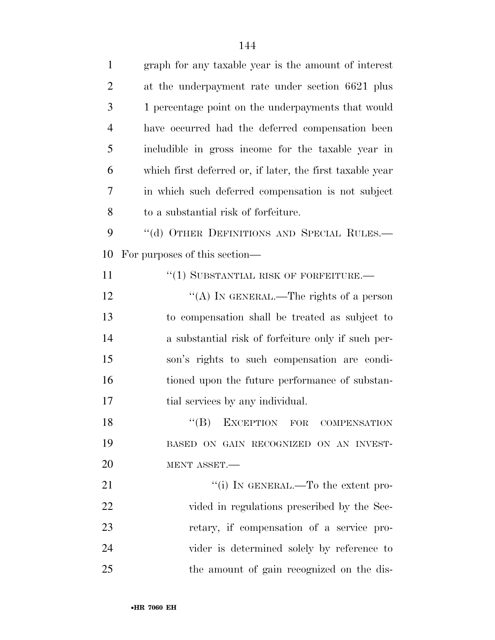| $\mathbf{1}$   | graph for any taxable year is the amount of interest      |
|----------------|-----------------------------------------------------------|
| $\overline{2}$ | at the underpayment rate under section 6621 plus          |
| 3              | 1 percentage point on the underpayments that would        |
| $\overline{4}$ | have occurred had the deferred compensation been          |
| 5              | includible in gross income for the taxable year in        |
| 6              | which first deferred or, if later, the first taxable year |
| 7              | in which such deferred compensation is not subject        |
| 8              | to a substantial risk of forfeiture.                      |
| 9              | "(d) OTHER DEFINITIONS AND SPECIAL RULES.-                |
| 10             | For purposes of this section—                             |
| 11             | $``(1)$ SUBSTANTIAL RISK OF FORFEITURE.—                  |
| 12             | "(A) IN GENERAL.—The rights of a person                   |
| 13             | to compensation shall be treated as subject to            |
| 14             | a substantial risk of forfeiture only if such per-        |
| 15             | son's rights to such compensation are condi-              |
| 16             | tioned upon the future performance of substan-            |
| 17             | tial services by any individual.                          |
| 18             | $\lq\lq(B)$ EXCEPTION FOR COMPENSATION                    |
| 19             | BASED ON GAIN RECOGNIZED ON AN INVEST-                    |
| 20             | MENT ASSET.                                               |
| 21             | "(i) IN GENERAL.—To the extent pro-                       |
| 22             | vided in regulations prescribed by the Sec-               |
| 23             | retary, if compensation of a service pro-                 |
| 24             | vider is determined solely by reference to                |
| 25             | the amount of gain recognized on the dis-                 |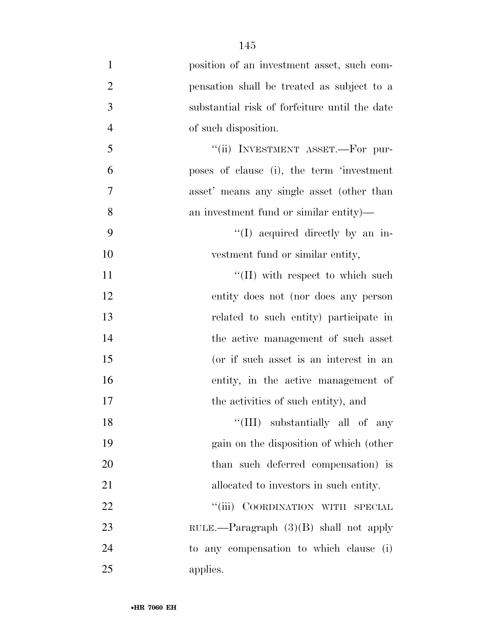| $\mathbf{1}$   | position of an investment asset, such com-    |
|----------------|-----------------------------------------------|
| $\overline{2}$ | pensation shall be treated as subject to a    |
| 3              | substantial risk of forfeiture until the date |
| $\overline{4}$ | of such disposition.                          |
| 5              | "(ii) INVESTMENT ASSET.—For pur-              |
| 6              | poses of clause (i), the term 'investment     |
| 7              | asset' means any single asset (other than     |
| 8              | an investment fund or similar entity)—        |
| 9              | "(I) acquired directly by an in-              |
| 10             | vestment fund or similar entity,              |
| 11             | $\lq$ (II) with respect to which such         |
| 12             | entity does not (nor does any person          |
| 13             | related to such entity) participate in        |
| 14             | the active management of such asset           |
| 15             | (or if such asset is an interest in an        |
| 16             | entity, in the active management of           |
| 17             | the activities of such entity), and           |
| 18             | "(III) substantially all of any               |
| 19             | gain on the disposition of which (other       |
| 20             | than such deferred compensation) is           |
| 21             | allocated to investors in such entity.        |
| 22             | "(iii) COORDINATION WITH SPECIAL              |
| 23             | RULE.—Paragraph $(3)(B)$ shall not apply      |
| 24             | to any compensation to which clause (i)       |
| 25             | applies.                                      |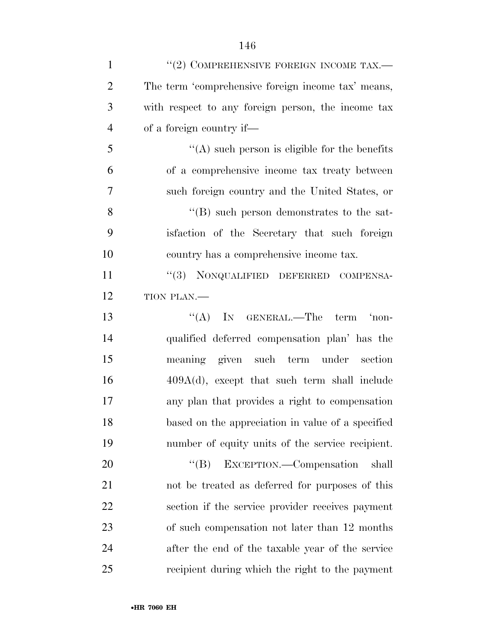| $\mathbf{1}$   | $``(2)$ COMPREHENSIVE FOREIGN INCOME TAX.—         |
|----------------|----------------------------------------------------|
| $\overline{2}$ | The term 'comprehensive foreign income tax' means, |
| 3              | with respect to any foreign person, the income tax |
| $\overline{4}$ | of a foreign country if—                           |
| 5              | $\lq\lq$ such person is eligible for the benefits  |
| 6              | of a comprehensive income tax treaty between       |
| 7              | such foreign country and the United States, or     |
| 8              | $\lq\lq (B)$ such person demonstrates to the sat-  |
| 9              | is faction of the Secretary that such foreign      |
| 10             | country has a comprehensive income tax.            |
| 11             | "(3) NONQUALIFIED DEFERRED COMPENSA-               |
| 12             | TION PLAN.-                                        |
| 13             | "(A) IN GENERAL.—The term 'non-                    |
| 14             | qualified deferred compensation plan' has the      |
| 15             | meaning given such term under section              |
| 16             | $409A(d)$ , except that such term shall include    |
| 17             | any plan that provides a right to compensation     |
| 18             | based on the appreciation in value of a specified  |
| 19             | number of equity units of the service recipient.   |
| 20             | $\lq\lq (B)$<br>EXCEPTION.—Compensation<br>shall   |
| 21             | not be treated as deferred for purposes of this    |
| 22             | section if the service provider receives payment   |
| 23             | of such compensation not later than 12 months      |
| 24             | after the end of the taxable year of the service   |
| 25             | recipient during which the right to the payment    |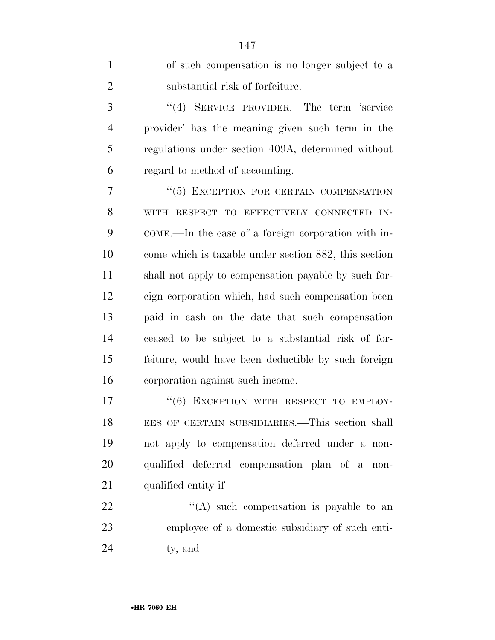of such compensation is no longer subject to a substantial risk of forfeiture. ''(4) SERVICE PROVIDER.—The term 'service provider' has the meaning given such term in the regulations under section 409A, determined without regard to method of accounting. ''(5) EXCEPTION FOR CERTAIN COMPENSATION WITH RESPECT TO EFFECTIVELY CONNECTED IN- COME.—In the case of a foreign corporation with in- come which is taxable under section 882, this section shall not apply to compensation payable by such for- eign corporation which, had such compensation been paid in cash on the date that such compensation ceased to be subject to a substantial risk of for- feiture, would have been deductible by such foreign corporation against such income. 17 "(6) EXCEPTION WITH RESPECT TO EMPLOY- EES OF CERTAIN SUBSIDIARIES.—This section shall not apply to compensation deferred under a non- qualified deferred compensation plan of a non-21 qualified entity if—  $\langle (A) \rangle$  such compensation is payable to an employee of a domestic subsidiary of such enti-ty, and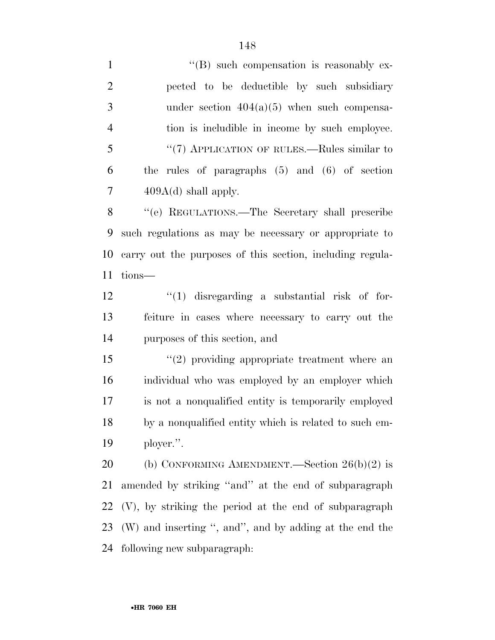1 ''(B) such compensation is reasonably ex- pected to be deductible by such subsidiary under section 404(a)(5) when such compensa- tion is includible in income by such employee. ''(7) APPLICATION OF RULES.—Rules similar to the rules of paragraphs (5) and (6) of section  $7 \qquad \qquad 409A(d)$  shall apply. ''(e) REGULATIONS.—The Secretary shall prescribe such regulations as may be necessary or appropriate to carry out the purposes of this section, including regula- tions— ''(1) disregarding a substantial risk of for- feiture in cases where necessary to carry out the purposes of this section, and ''(2) providing appropriate treatment where an individual who was employed by an employer which is not a nonqualified entity is temporarily employed by a nonqualified entity which is related to such em- ployer.''. (b) CONFORMING AMENDMENT.—Section 26(b)(2) is amended by striking ''and'' at the end of subparagraph (V), by striking the period at the end of subparagraph (W) and inserting '', and'', and by adding at the end the following new subparagraph: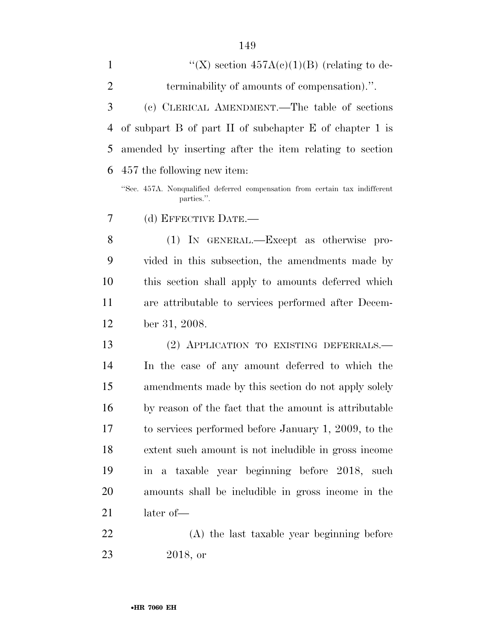| $\mathbf{1}$   | "(X) section $457A(c)(1)(B)$ (relating to de-                                             |
|----------------|-------------------------------------------------------------------------------------------|
| $\overline{2}$ | terminability of amounts of compensation).".                                              |
| 3              | (c) CLERICAL AMENDMENT.—The table of sections                                             |
| 4              | of subpart $B$ of part $H$ of subchapter $E$ of chapter 1 is                              |
| 5              | amended by inserting after the item relating to section                                   |
| 6              | 457 the following new item:                                                               |
|                | "Sec. 457A. Nonqualified deferred compensation from certain tax indifferent<br>parties.". |
| 7              | (d) EFFECTIVE DATE.-                                                                      |
| 8              | (1) IN GENERAL.—Except as otherwise pro-                                                  |
| 9              | vided in this subsection, the amendments made by                                          |
| 10             | this section shall apply to amounts deferred which                                        |
| 11             | are attributable to services performed after Decem-                                       |
| 12             | ber 31, 2008.                                                                             |
| 13             | (2) APPLICATION TO EXISTING DEFERRALS.—                                                   |
| 14             | In the case of any amount deferred to which the                                           |
| 15             | amendments made by this section do not apply solely                                       |
| 16             | by reason of the fact that the amount is attributable                                     |
| 17             | to services performed before January 1, 2009, to the                                      |
| 18             | extent such amount is not includible in gross income                                      |
| 19             | in a taxable year beginning before 2018, such                                             |
| 20             | amounts shall be includible in gross income in the                                        |
| 21             | later of-                                                                                 |
| 22             | (A) the last taxable year beginning before                                                |

2018, or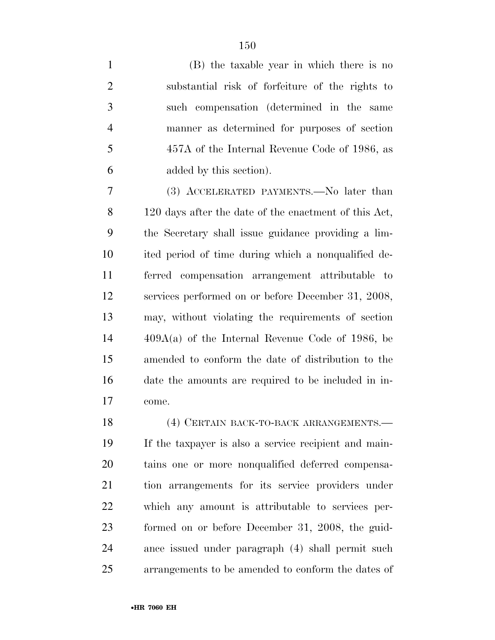| $\mathbf{1}$   | (B) the taxable year in which there is no       |
|----------------|-------------------------------------------------|
| $\overline{2}$ | substantial risk of forfeiture of the rights to |
| 3              | such compensation (determined in the same       |
| $\overline{4}$ | manner as determined for purposes of section    |
| 5              | 457A of the Internal Revenue Code of 1986, as   |
| 6              | added by this section).                         |
|                |                                                 |

 (3) ACCELERATED PAYMENTS.—No later than 120 days after the date of the enactment of this Act, the Secretary shall issue guidance providing a lim- ited period of time during which a nonqualified de- ferred compensation arrangement attributable to services performed on or before December 31, 2008, may, without violating the requirements of section 409A(a) of the Internal Revenue Code of 1986, be amended to conform the date of distribution to the date the amounts are required to be included in in-come.

18 (4) CERTAIN BACK-TO-BACK ARRANGEMENTS. If the taxpayer is also a service recipient and main- tains one or more nonqualified deferred compensa- tion arrangements for its service providers under which any amount is attributable to services per- formed on or before December 31, 2008, the guid- ance issued under paragraph (4) shall permit such arrangements to be amended to conform the dates of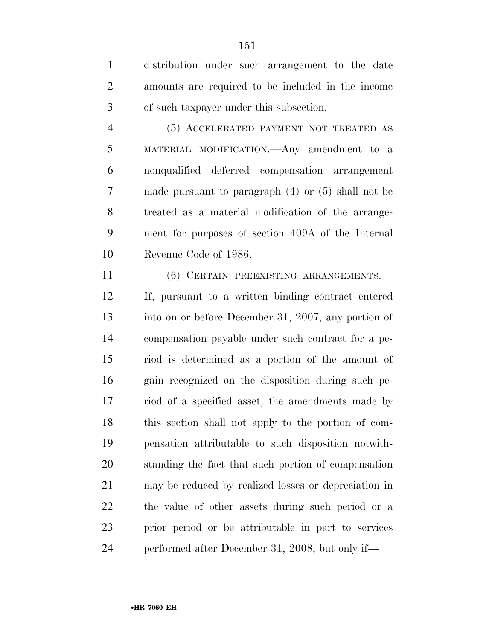distribution under such arrangement to the date amounts are required to be included in the income of such taxpayer under this subsection.

 (5) ACCELERATED PAYMENT NOT TREATED AS MATERIAL MODIFICATION.—Any amendment to a nonqualified deferred compensation arrangement made pursuant to paragraph (4) or (5) shall not be treated as a material modification of the arrange- ment for purposes of section 409A of the Internal Revenue Code of 1986.

 (6) CERTAIN PREEXISTING ARRANGEMENTS.— If, pursuant to a written binding contract entered into on or before December 31, 2007, any portion of compensation payable under such contract for a pe- riod is determined as a portion of the amount of gain recognized on the disposition during such pe- riod of a specified asset, the amendments made by this section shall not apply to the portion of com- pensation attributable to such disposition notwith- standing the fact that such portion of compensation may be reduced by realized losses or depreciation in the value of other assets during such period or a prior period or be attributable in part to services performed after December 31, 2008, but only if—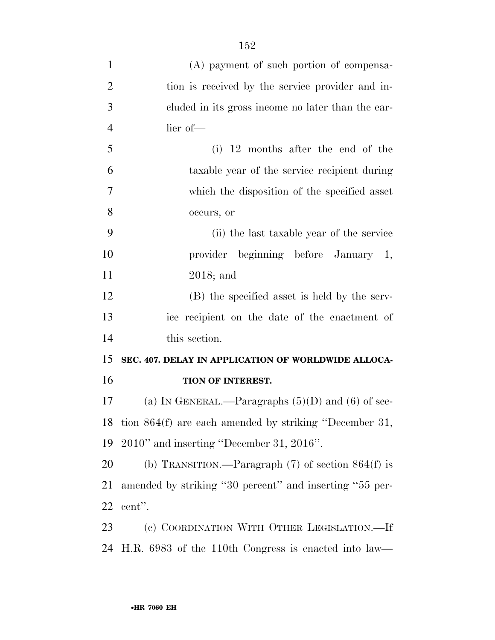| $\mathbf{1}$   | (A) payment of such portion of compensa-                |
|----------------|---------------------------------------------------------|
| $\overline{2}$ | tion is received by the service provider and in-        |
| 3              | cluded in its gross income no later than the ear-       |
| $\overline{4}$ | lier of-                                                |
| 5              | $(i)$ 12 months after the end of the                    |
| 6              | taxable year of the service recipient during            |
| 7              | which the disposition of the specified asset            |
| 8              | occurs, or                                              |
| 9              | (ii) the last taxable year of the service               |
| 10             | provider beginning before January 1,                    |
| 11             | $2018$ ; and                                            |
| 12             | (B) the specified asset is held by the serv-            |
| 13             | ice recipient on the date of the enactment of           |
| 14             | this section.                                           |
| 15             | SEC. 407. DELAY IN APPLICATION OF WORLDWIDE ALLOCA-     |
| 16             | TION OF INTEREST.                                       |
| 17             | (a) IN GENERAL.—Paragraphs $(5)(D)$ and $(6)$ of sec-   |
| 18             | tion 864(f) are each amended by striking "December 31,  |
| 19             | $2010"$ and inserting "December 31, $2016"$ .           |
| 20             | (b) TRANSITION.—Paragraph $(7)$ of section $864(f)$ is  |
| 21             | amended by striking "30 percent" and inserting "55 per- |
| 22             | cent".                                                  |
| 23             | (c) COORDINATION WITH OTHER LEGISLATION.—If             |
| 24             | H.R. 6983 of the 110th Congress is enacted into law—    |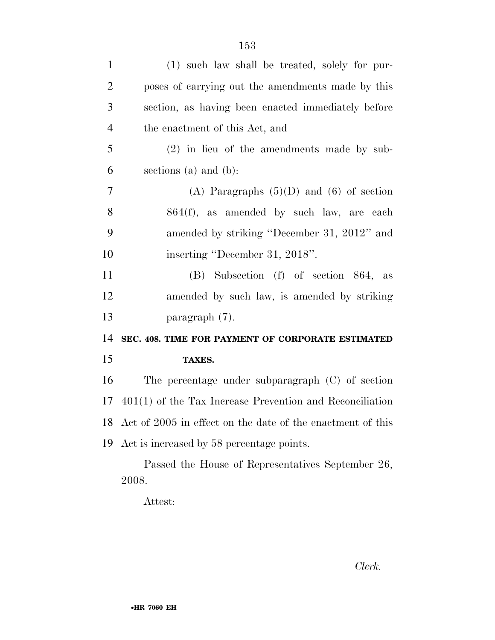| $\mathbf{1}$   | (1) such law shall be treated, solely for pur-             |
|----------------|------------------------------------------------------------|
| $\overline{2}$ | poses of carrying out the amendments made by this          |
| 3              | section, as having been enacted immediately before         |
| 4              | the enactment of this Act, and                             |
| 5              | $(2)$ in lieu of the amendments made by sub-               |
| 6              | sections (a) and (b):                                      |
| $\overline{7}$ | (A) Paragraphs $(5)(D)$ and $(6)$ of section               |
| 8              | 864(f), as amended by such law, are each                   |
| 9              | amended by striking "December 31, 2012" and                |
| 10             | inserting "December 31, 2018".                             |
| 11             | (B) Subsection (f) of section 864, as                      |
| 12             | amended by such law, is amended by striking                |
| 13             | paragraph $(7)$ .                                          |
| 14             | SEC. 408. TIME FOR PAYMENT OF CORPORATE ESTIMATED          |
| 15             | TAXES.                                                     |
| 16             | The percentage under subparagraph $(C)$ of section         |
| 17             | $401(1)$ of the Tax Increase Prevention and Reconciliation |
| 18             | Act of 2005 in effect on the date of the enactment of this |
| 19             | Act is increased by 58 percentage points.                  |
|                | Passed the House of Representatives September 26,<br>2008. |
|                |                                                            |

Attest:

*Clerk.*